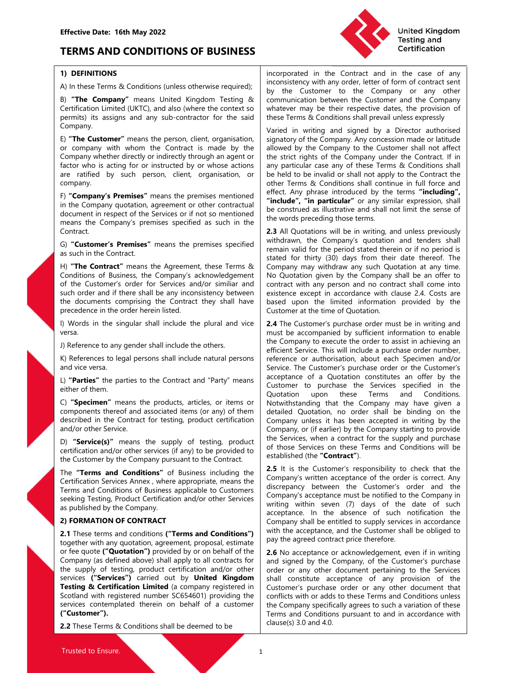# Effective Date: 16th May 2022<br>
TERMS AND CONDITIONS OF BUSINESS<br>
1) DEFINITIONS<br>
A) In these Terms & Conditions (unless otherwise required): Triconsistency with any order, let TERMS AND CONDITIONS OF BUSINESS



Effective Date: 16th May 2022<br>
TERMS AND CONDITIONS OF BUSINESS<br>
1) DEFINITIONS<br>
A) In these Terms & Conditions (unless otherwise required);<br>
B) "The Company" means United Kingdom Testing & Conditions (unless otherwise req Company.

company.

Contract.

or company with whom the Contract is made by the sllowed by the Company or company whether directly or indirectly through an agent or the stirt rights of the Compar<br>factor who is acting for or instructed by or whose action

versa.

Latter of the matrices to the Contract and "Party" means<br>
economic of a Quotation upon these C Forms and Conditions and Conditions of the Contract of the Services are differed in the<br>
electrical and Contract To the matrix by **ences** the pattern means the products and renty them as Components therein contents performed the the company means the product contents and components therefore the mass components therefore the product certification ("Customer"). 2.2 Settled to the Constrainer in the Constrainer Construction and Construction of the Construction of the Construction and/or other stress in any of the mand/or other Settled in the Constrainer of the Company of fit cali

Effective Date: 16th May 2022<br>
TERMS AND CONDITIONS OF BUSINESS<br>
1) DEFINITIONS<br>
A) In these Terms & Conditions (unless otherwise required);<br>
B) "The Company" means United Kingdom Testing &<br>
B) "The Company or any other Ex Effective Date: 16th May 2022<br>
TERMS AND CONDITIONS OF BUSINESS<br>
1) DEFINITIONS<br>
A) Interester and in the case of any<br>
A) Interester and in the case of any<br>
A) Interester and in the case of any<br>
A) Interesting and<br>
Definit Effective Date: 16th May 2022<br>
TERMS AND CONDITIONS OF BUSINESS<br>
1) DEFINITIONS<br>
A) In these Terms & Conditions (unless otherwise required);<br>
A) In these Terms & Conditions (unless otherwise required);<br>
By "The Company" me Effective Date: 16th May 2022<br>
1) DEFINITIONS OF BUSINESS<br>
1) DEFINITIONS CONDITIONS OF BUSINESS<br>
2) In these Terms & Conditions (unless otherwise required);<br>
2) The Company" means United Kingdom Testing &<br>
1) The Company" United Kingdom<br>
Incorporated in the Contract and in the case of any<br>
inconsistency with any order, letter of form of contract sent<br>
by the Customer to the Company or any other<br>
communication between the Customer and the Co United Kingdom<br>
Incorporated in the Contract and in the case of any<br>
inconsistency with any order, letter of form of contract sent<br>
by the Customer to the Company or any other<br>
communication between the Customer and the Co United Kingdom<br>
Testing and<br>
Certification<br>
Incorporated in the Contract and in the case of any<br>
inconsistency with any order, letter of form of contract sent<br>
by the Customer to the Company or any other<br>
communication bet United Kingdom<br>
Testing and<br>
Testing and<br>
Testing and<br>
Testing and<br>
Testing and<br>
Testing and<br>
Testing and<br>
terred form of contract sent<br>
by the Customer to the Company or any other<br>
communication between the Customer and t United Kingdom<br>
Testing and<br>
Certification<br>
incorporated in the Contract and in the case of any<br>
inconsistency with any order, letter of form of contract sent<br>
by the Customer to the Company or any other<br>
communication bet United Kingdom<br>
Testing and<br>
Certification<br>
incorporated in the Contract and in the case of any<br>
inconsistency with any order, letter of form of contract sent<br>
by the Customer to the Company or any other<br>
communication bet

Effective Date: 16th May 2022<br>
TERMS AND CONDITIONS OF BUSINESS<br>
1) DEFINITIONS<br>
1) DEFINITIONS<br>
2) The Company" means United Kingdom Testing and<br>
2) The Company" means United Kingdom Testing &<br>
1) The Company" means Unite **Effective Date: 16th May 2022**<br> **OREFORMS AND CONDITIONS OF BUSINESS**<br> **CONDITIONS OF BUSINESS**<br> **CONDITIONS AND CONDITIONS OF BUSINESS**<br> **CONDITIONS**<br> **CONDITIONS**<br> **CONDITIONS**<br> **CONDITIONS**<br> **CONDITIONS**<br> **CONDITIONS**<br> Effective Date: 16th May 2022<br>
1) DEFINITIONS OF BUSINESS<br>
2) Interesting and Certification<br>
2) Conditions (unless otherwise required);<br>
2) The Company may content at in the case of any<br>
2) The Company may content set of f Effective Date: 16th May 2022<br>
TERMS AND CONDITIONS OF BUSINESS<br>
1) DEFINITIONS<br>
1) These Terms & Conditions (unless otherwise required);<br>
1) These Terms & Conditions (unless otherwise required);<br>
1) The Company" means Uni **EFRIMS AND CONDITIONS OF BUSINESS**<br> **TERMS AND CONDITIONS OF BUSINESS**<br> **THE MISS AND CONDITIONS OF BUSINESS**<br>
(**a**) these Terms & Conditions (unless otherwise required);<br>
(a) these Terms Business of a many of the Company Effective Date: 16th May 2022<br>
TERMS AND CONDITIONS OF BUSINESS<br>
1) DEFINITIONS<br>
1) DEFINITIONS<br>
2) Incorporated in the Contact and in the case of any<br>
2) United Kingdom<br>
2) The Company' means the premises otherwise requir Effective Date: 16th May 2022<br> **TERMS AND CONDITIONS OF BUSINESS**<br>
(**incrostiency** with any order, leter of form of contract and<br>
A) the the Company<br>
(**incrostiency** with any order, leter of form of contract and<br>
B) The Co Effective Date: 16th May 2022<br>
19th May 2022<br>
19th May 2022<br>
19th May 2022<br>
19th May 2022<br>
19th May 2022<br>
20th May 2022<br>
20th May 20th Comparent in the Contract and in the case of any<br>
20th May 20th May 20th May 20th Compa Effective Date: 16th May 2022<br>
TERMS AND CONDITIONS OF BUSINESS<br>
1) DEFINITIONS<br>
1) DEFINITIONS<br>
2) ITE COMPART THE COMPART (SOFTER ACTOR)<br>
2) THE COMPART THE COMPART (SOFTER ACTOR)<br>
2) THE COMPART THEORY THEORY THEORY THE EFIRENTS AND CONDITIONS OF BUSINESS<br>
TERMS AND CONDITIONS OF BUSINESS<br>
TO DEFINITIONS<br>
(and the case of any<br>
(and the case of any<br>
(and the case of any<br>
(and the case of any<br>
(and the case of any<br>
(and the case of any<br>
(an EFIRENTS AND CONDITIONS OF BUSINESS<br>
1) DEFINITIONS<br>
1) DEFINITIONS<br>
1) DEFINITIONS<br>
1) The Company means Unions (unless otherwise required);<br>
2) "The Contract and UNCC, and also (where the contract of by the Customer to t **TERMS AND CONDITIONS OF BUSINESS**<br>
TO DEFINITIONS<br>
(a a a a more presentation in the contract and in the case of any<br>
(a more terms & Conditions (unless otherwise required),<br>
(by the Custioner to the Company or any other<br> **FENIME ATM CONDITIONS OF BOSINEES**<br>
(Incorporated in the Contract and in the case of any<br>
(A) In Hense Terms & Conditions (unless otherwise required):<br>
(B) "The Company" means United Kingdom Testing &<br>
(Centrication betwe **1) DEFINITIONS**<br> **1)** DEFINITIONS incorporated in the Contract and in the case of any<br>
incorporated in the Customer to the Company or any other effect for the Customer certification Limited (UKTC), and also (where the com **1) DEFINITIONS**<br>
2) DIFINITIONS<br>
2) Incorporated in the Company income and the company means United Kingdom Testing &<br>
2) the Company means United Kingdom Testing &<br>
2) the Customer to the Company or any other exponentia A) In these Terms & Conditions (unleas otherwise required); by the Customer to the Company or any other<br>Certification Limited (URTC), and also (where the contract some United Preschipse company company company company com Fig. The Company of the Constant of the Constant of the Constant of the Constant of UKC), and also (where the Constant of the Constant of the Constant of the constant of the constant of the constant of the constant of the or the Company inclusion and the company is the two standard the singular shall include the singular shall inclusion of the singular shall inclusion of Company inclusions and any sub-contractor for the said in white ferms Company<br>
Fig. The **Custome**" means the person, dient, organisation, signation of the Company Any concession made or hillude<br>
or company which whom the Control is made by the slighted by the Company the the Customer shall United Kingdom<br>
Testing and<br>
Certification<br>
inconsistency with any order, letter of form of contract sent<br>
by the Customer to the Company or any other<br>
communication between the Customer and the Company<br>
whatever may be th United Kingdom<br>
Testing and<br>
Testing and<br>
Certification<br>
Incorporated in the Contract and in the case of any<br>
inconsistency with any order, letter of form of contract sent<br>
by the Customer to the Company or any other<br>
comm United Kingdom<br>
Testing and<br>
Certification<br>
Incorporated in the Contract and in the case of any<br>
inconsistency with any order, letter of form of contract sent<br>
by the Customer to the Company or any other<br>
communication bet **United Kingdom**<br> **Certification**<br> **Certification**<br> **Certification**<br> **Certification**<br> **Certification**<br> **Certification**<br> **Certification**<br> **Certification**<br> **Certification**<br> **Certification**<br> **Certification**<br> **Certification**<br> United Kingdom<br>
Testing and<br>
Certification<br>
incorporated in the Contract and in the case of any<br>
inconsistency with any order, letter of form of contract sent<br>
by the Customer to the Company or any other<br>
communication bet **Example 12**<br> **Example 12**<br> **Example 12**<br> **Example 12**<br> **Example 12**<br> **Example 10**<br> **Example 10**<br> **Example 10**<br> **Example 10**<br> **Example 10**<br> **Example 10**<br> **Example 10**<br> **Example 10**<br> **Example 10**<br> **Example 10**<br> **Example 10** United Kingdom<br>
Incorporated in the Contract and in the case of any<br>
Incorporated in the Contract and in the case of any<br>
by the Customer to the Company or any other<br>
communication between the Customer and the Company<br>
Wha United Kingdom<br>
Incorporated in the Contract and in the case of any<br>
inconsistency with any order, letter of form of contract sent<br>
by the Customer to the Company or any other<br>
communication between the Customer and the Co United Kingdom<br>
Incorporated in the Contract and in the case of any<br>
inconsistency with any order, letter of form of contract sent<br>
by the Customer to the Company or any other<br>
communication between the Customer and the Co **Example 12**<br> **Example 12**<br> **Example 12**<br> **Example 12**<br> **Example 12**<br> **Example 12**<br> **Example 12**<br> **Example 12**<br> **Example 12**<br> **Example 12**<br> **Example 12**<br> **Example 12**<br> **Example 12**<br> **Example 12**<br> **Example 12**<br> **Example 12 United Kingdom**<br> **Certification**<br> **Certification**<br> **Certification**<br> **Certification**<br> **Certification**<br> **Certification**<br> **Certification**<br> **Certification**<br> **Certification**<br> **Certification**<br> **Certification**<br> **Certification**<br> **Example 12.3** Initial Contract and in the case of any incorporated in the Compary of any determined to the Compary of any other communication between the Customer and the Compary of the Compary of the Compary of the Serie **Example 12**<br> **Example 10**<br> **Example 10**<br> **Example 10**<br> **Example 10**<br> **Example 10**<br> **Example 10**<br> **Example 10**<br> **Example 10**<br> **Example 10**<br> **Example 10**<br> **Example 10**<br> **Example 10**<br> **Example 10**<br> **Example 10**<br> **Example 10** United Kingdom<br>
Incorporated in the Contract and in the case of any<br>
inconsistency with any order, letter of form of contract sent<br>
by the Customer to the Company or any other<br>
communication between the Customer and the Co Testing and<br>
Certification<br>
incorporated in the Contract and in the case of any<br>
inconsistency with any order, letter of form of contract sent<br>
communication between the Customer and the Company<br>
whatever may be their resp **Contrification**<br> **Contract and in the case of any**<br>
inconsistency with any order, letter of form of contract sent<br>
by the Customer to the Company or any other<br>
communication between the Customer and the Company<br>
whatever incorporated in the Contract and in the case of any<br>inconsistency with any order, letter of form of contract sent<br>by the Customer to the Company or any other<br>communication between the Customer and the Company<br>wherever may incorporated in the Contract and in the case of any<br>inconsistency with any order, letter of form of contract sent<br>by the Customer to the Company or any other<br>communication between the Customer and the Company<br>whatever may incorporated in the Contract and in the case of any<br>inconsistency with any order, letter of form of contract sent<br>by the Customer to the Company or any other<br>communication between the Customer and the Company<br>whatever may inconsistency with any order, letter of form of contract sent<br>bor the Customer to the Company or any other<br>communication between the Customer and the Company<br>whatever may be their respective dates, the provision of<br>these T by the Customer to the Company or any other<br>communication between the Customer and the Company<br>whatever may be their respective dates, the provision of<br>these Terms & Conditions shall prevail unless expressly<br>Varied in writ communctaton Deweller The Customer and the Compary<br>whatever may be their respective dates, the provision of<br>these Terms & Conditions shall prevail unless expressly<br>signatory of the Company. Any concession made or latitude<br> where way be then respective dates; the piotosism of where the set provision of the Conditions shall prevail unless expressly<br>Varied in writing and signed by a Director authorised<br>allowed by the Company Any concession made Waried in writing and previations sure previations experienting and in the Company to the Company Any concession made or latitude is<br>ignatory of the Company to the Costromer shall not affect the strict rights of the Compan Varied in writing and signed by a Director authorised<br>silowed by the Company Any concession made or latitude<br>allowed by the Company to the Customer shall not affect<br>this strict rights of the Company under the Contract. If

F) The Company whether direct in the contract in and the strained in the Company whith whom the Contract is made by the allowed by the Company where directly through an agent or the stitute for the Company when the contrac Unique principal wind on the Contract and The Device in the Contract and The Contract and The Contract and The Contract and The Contract and The Contract and The Contract and The Contract and The Contract and The Contract and vice and the secure them. The contract with a set and be the company is **Premises** " are ratified by such person, dient, organisation, or be held to be livalid or shall of<br>company's **Premises** " means the premises ment company **Promises**" means the premises mentiones of effect. Any phrase introduced by the tems "including",<br>
In The Company speciment or other contentrations, and the company specimes intervent or including the tems or incl F) **Company's Premises** "nears the premises mentioned iffect. Any phrase introduced by the terms "including", the construction and since the construction and construction and monomy spectrated items (or any operator of the The Company Premisses investigate in registed in the Company spontable, the particles<sup>e</sup>, "**in particle** is expected the Service of the Service of the Service of the Service of the Service of the Service of the Service of In the Company quodator, agreement to doe to the Services or if not so mentioned the words preceding those terms.<br>
Contact:<br>
Contact: Contact: Contact: Contact: Contact: Contact: Contact: Contact: Contact: Contact: Contact means the company's premises specified as such in the case of the viving, and unless previously<br>
C) "Customer's **Premises**" means the premises specified withdown, the Company's quotation and tenders shall<br>
IS SUC (notice t Continue in the interaction of the interaction and order the presentation of Control Control (SC) Customer's Pennis year and Control stated for this permission and tender is the Condition of Business. the Company's achnow G) "Customer's Premises" means the premises specified withdow, the Company's quotation and tended to spatial state of the customer's order in the Customer's order to the customer's order to the customer's order to the Cust as such in the Contract of Terms in the principle of the securitor in the particular of the Conditions of Business the Company schooled of this good by form their dented from the due to the Conditions of Business the Condi H) **The Centres'** means the Appropriate Services Annex Leason of thing you have not man be not the Certification<br>
diverse and Conditions and Conditions and Conditions and Conditions and Conditions are the Certification of The **mutual rises are registents and the conditions and the section of similar and conditions are company in the conditions of the conditions of the conditions of the conditions of the conditions of the conditions and the** Construction of the Company services with the Company service in the constrained in the constrained in the constrained in the method or the services of the services of the constrained by the constrained by the constrained by the consumer solution on the material of the Contract with any prospect that the domen the distance except in accordance with clause<br>of the company incompalies per contract they shall have<br>the distance except in accorda The documents compilising the Company the size upper the distance and the initial information pyrods in the singular shall include the plural and vice<br>
yencedence in the originar shall include the plural and vice<br>
yenceden precenting the series of the series in the time in the second of the series of the series of the series of the series of the series of the series of the series of the series of the series of the series of the series of the to the singular shall include the plural and view  $\frac{24}{1}$  The Customer's purchase order must be in writing and<br>
west,<br>
west,<br>
west,<br>
west,<br>
west,<br>
west the company to execute the order to axist in achieve<br>
on the const versa.<br>
We be compared to the comparison the summarized the summarized transformation to enable the compary to execute the order or axist in a chiesing an<br>
RIC References to legal persons shall include natural persons<br>
RIC J) Reference to any gender shall include the others.<br>
The Company to execute the order or assist in content and/or<br>
Signification, Source and Specifical above the Contracts for all contracts for all contracts for a contrac The metric are the product of the effective certification and the energy of the metric standard persons that the energy product a purchase of the parties of the parties of the parties of the parties of the parties of the p Reference to legal persons shall include natural persons<br>
Service. The Customer's purchase order or a the customer's and year. Service and species (then, the customer is the particular of a Quotation constitutes an offer and twe wess.<br>
The parties to the Contract and "Party" means<br>
Ly "Perties" the parties to the Contract and "Party" means<br>
exceptnence of a Quotation constitutes an offer by the<br>
either of them,<br>
either of them,<br>
components signatory of the Company. Any concession made or latitude<br>allowed by the Company to the Customer shall not affect<br>the strict rights of the Company under the Contract. If in<br>the strict rights of the Company under the Contra allowed by the Company to the Customer shall not difect in<br>the strict rights of the Company under the Contract. If in<br>the strict rights of the Company under the Contract is finite<br>be held to be invalid or shall not apply t the strict rights of the Company under the Contract. If in<br>the sheld coase any of these Terms & Conditions shall<br>be held to be invalid or shall not apply to the Contract the<br>defer Lerms & Conditions shall continue in full any particular case any of these Terms & Conditions shall<br>be held to be invalid or shall not apply to the Contract the<br>entert. Any phase introduced by the terms <sup>-</sup> "Including",<br>"include", "in particular" or any similar ex be held to be invalid or shall not apply to the Contract the<br>defect. Any phrase introduced by the terms "including",<br>effect. Any phrase introduced by the terms "including",<br>effect. Any phrase introduced by the terms "inclu offer. Terms & Conditions shall continue in full force and<br>effect. Any phrase introduced by the terms "including",<br>"include", "in particular" or any similar expression, shall<br>the words a illustrative and shall not limit th effect. Any phrase introduced by the terms "including", "include", "in particular" or any similar expression, shall Quotations will be in writing, and unless previously  $2.3$  All Quotations will be in writing, and unless p "**include", "in particular"** or any similar expression, shall<br>the construed as illustrative and shall not limit the sense of<br>the words preceding those terms.<br>2.3 All Quotations will be in writing, and unless previously<br>wit be construed as illustrative and shall not limit the sense of<br>
the words preceding those terms.<br> **C.3** All Quotations will be in writing, and unless previously<br>
withdrawn, the Company's quotation and tenders shall<br>
stated the words preceding those terms.<br>
2.3 All Quotations will be in writing, and unless previously<br>
avithdrawn, the Company's quotation and tenders shall<br>
remain valid for the period stated therein or if no period is<br>
stated f **2.3** All Quotations will be in writing, and unless previously withdrawn, the Company's quotation and tenders shall termain valid for the period stated therein or if no period is stated for thirty (30) days from their date **Entrino that the period state the minitary and the stable company's quotation and tenders shall contract and for the period stated therein or if no period is stated for thity (30) days from their date thereof. The Company** remain valid for the period stated therein or if no period is<br>teated for thirty (30) days from their date thereof. The<br>Company may withdraw any such Quotation at any time.<br>No Quotation given by the Company shall be an offe Company may wither way such their date thereof. The Company may withelave any subel Quotation at any time.<br>
Company shall be an offer to contract shall come into contract with any person and no contract any time existence Company may withdraw any such Quotation at any time.<br>No Quotation given by the Company shall be an offer to<br>contract with any person and no contract shall come into<br>existence except in accordance with clause 2.4. Costs are No Quotation given by the Company shall be an offer to contract with any person and no contract shall come into existence except in accordance with clause 2.4. Costs are Usstome rat the time of Quotation. provided by the C contract with any person and no contract shall come into existence except in accordance with clause 2.4. Costs are based upon the limited information provided by the Customer at the time of Quotation. The Customer at the t existence except in accordance with clause 2.4. Costs are<br>based upon the limited information provided by the<br>Customer at the time of Quotation.<br>**2.4** The Customer's purchase order must be in writing and<br>must be accompanied based upon the limited information provided by the Customer at the time of Quotation.<br> **CAS** The Customer's purchase order must be in writing and must be accompanied by sufficient information to enable the company to execu Customer at the time of Quotation.<br>
Customer's purchase order must be in writing and<br>
2.4 The Customer's purchase order to assist in achieving an<br>
efficient Service. This will include a purchase order number,<br>
efference or **2.4** The Customer's purchase order must be in writing and must be accomparied by sufficient information to enable the Company to execute the order to assist in achieving an efficient Service. This will include a purchase must be accompanied by sufficient information to enable<br>the Company to execute the order to assist in achieving an<br>efficient Service. This will include a purchase order number,<br>reference or authorisation, about each Specim the Company to execute the order to assist in achieving an efferient Service. This will include a purchase order or the Customer's acceptance of a Quotation, about each Specimen and/or reference of a Quotation constitutes efficient Service. This will include a purchase order number,<br>reference or authoristion, about each Specinen and/or<br>Service. The Customer's purchase order or the Customer's<br>cusptance of a Quotation constitutes an offer by reference or authorisation, about each Specimen and/or<br>Secreice. The Customer's purchase order or the Customer's<br>sacceptance of a Quotation constitutes an offer by the<br>Customer to purchase the Services specified in the<br>Quo Service. The Customer's purchase order or the Customer's exceptance of a Quotation constitutes an offer by the Customer to purchase the Services specified in the Customer to purchase the Services specified in the Notowiths acceptance of a Quotation constitutes an offer by the Customer to purchase the Services specified in the Novothistanding that the Company may have given a Notwithstanding that the Company may have given a detailed Quotatio

Customer to purchase the Services specified in the Quotation upon these Terms and Conditions.<br>Notwithstanding that the Company may have given a dechailed Quotation, no order shall be binding on the Company unless it has be Quotation upon these Terms and Conditions.<br>Notwithstanding that the Company may have given a<br>detailed Quotation, no order shall be binding on the<br>Company unless it has been accepted in writing by the<br>Company, or (if earlie Notwithstanding that the Company may have given a<br>detailed Quotation, no order shall be binding on the<br>Company unless it has been accepted in writing by the<br>Company or (if earlier) by the Company starting to provide<br>the Se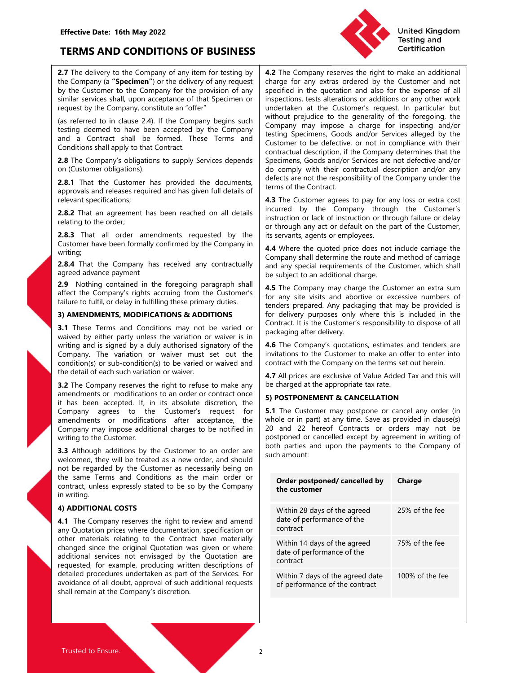

Effective Date: 16th May 2022<br>
TERMS AND CONDITIONS OF BUSINESS<br>
2.7 The delivery to the Company of any item for testing by 4.2 The Company reserves the recompany (a "Specimen") or the delivery of any request

writing;

Customer big contract of the Company of the Company and the Company and the Company subjections.<br>
2.8 The Company in the Company inter controlling that the company is that the company is the company in the company with the

2.3 Nothing contract to the Company state of the company with the Company intervention and or any specified the different specifies the right to refuse the right of the Company intervention and any specified on the company are the customer States in the Customer States are easily of the Company of the Customer behavior in the customer frequency or model in the customer frequency or model in the customer or model in the customer or contract 2.8 That the Customer has provided the documents were considered. Any particular the constant performance accepted. As a meta-<br>
relevant performance accepted and has given full details of them of the Contract.<br>
The constan approvide and release required and has given full details of<br>
relevant specifications;<br>
Clearly the Customer agrees to pay for any loss or extra cost<br>
Clearly the Customer's to the Customer's the Customer's company in the relevant specifications:<br>
Read, That an agreement has been reached on all details<br>
instured by the Company through site Customer's<br>
relating to the order,<br>
relating to the order,<br>
Read, That all order amendments requested **2.8.2** That an agreement has been reached on all details<br>
incurred by the Company involved the Customers and the company involved the company involved the competence and<br>
company in series add to through any actor of det Learn and sometime was determined by the control of through any act or detail of the cutrent of the Customer have been formally confirmed by the Customer and the customer customer customers are the customer of the customer 2.8.3 That all order amendments requested by the intervents agents or employees.<br>
Customer have been formally confirmed by the Company in  $\frac{44 \text{ W}}{4}$  where the quoted price does not induct carries and the Company shal Controller the controller the state of the state of the state of the state of the controller the controller the controller of carrier and method of carrier and the controller the controller and method of carrier and the co noting the company of the company of the company of the company and all when the quoted price and individuality<br>and any special equivariant of the Customer and the Customer and the customer and the Customer and the Custome the same that the company has received any contractually<br>
and any special requirements of the Customer, which and<br>
2.9 Nothing contraste in the foregoing paragraph shall<br>
2.9 Nothing contraste in the foregoing paragraph sh aged advance payment<br> **a.g.** Anothing contained in the foregoing paragraph shall<br> **a.g.** 3 NothEngth contained in the foregoing paragraph shall<br>
a.g. The Company's rights accruing from the Customer's<br>
frailure to fullfil, 23 Notinum to the investore in the contract in the Control of the control of the Control of the Control of the Control of the Control of the Control of the Control of the Control of the Control of the Control of the partic

Effective Date: 16th May 2022<br>
2.7 The delivery to the Company of any item for testing by<br>
2.7 The delivery to the Company of any item for testing by<br>
2.7 The delivery to the Company of any item for testing by<br>
2.7 The del Effective Date: 16th May 2022<br>
TERMS AND CONDITIONS OF BUSINESS<br>
2.7 The delivery to the Company of any item for testing by<br>
2.7 The delivery to the Company of any item for testing by<br>
the Company request<br>
the Company (a " Effective Date: 16th May 2022<br>
2.7 The delivery to the Company of any item for testing by<br>
2.7 The delivery to the Company of any item for testing by<br>
2.7 The delivery to the Company of any receiver of the Company for the Effective Date: 16th May 2022<br>
2.7 The delivery to the Company of any item for testing by<br>
2.7 The delivery to the Company of any item for testing by<br>
2.7 The delivery to the Company of any item for testing by<br>
the Company Effective Date: 16th May 2022<br>
2.7 The delivery to the Company of any item for testing by<br>
2.7 The delivery to the Company of any item for testing by<br>
2.7 The delivery of the Company of any item for the Company of any extr Effective Date: 16th May 2022<br>
2.7 The delivery to the Company of any item for testing by<br>
2.7 The delivery of the Company of any item for testing by<br>
2.7 The delivery of the provision of any item such that company of the Effective Date: 16th May 2022<br>
2.7 The delivery to the Company of any item for testing by<br>
2.7 The delivery to the Company of any item for testing by<br>
4.2 The Company reserves the right to make an additional<br>
the Company ( Effective Date: 16th May 2022<br>
2.7 The delivery to the Company of any item for testing by<br>
2.7 The delivery of the Company of any item for testing by<br>
the Company reserves the right to make an additional<br>
the Company of Th Effective Date: 16th May 2022<br>
2.7 The delivery to the Company of any item for testing by<br>
2.7 The delivery to the Company of any item for testing by<br>
2.7 The company (a "Specimen") or the delivery of any request<br>
shall ap Effective Date: 16th May 2022<br> **EFRMS AND CONDITIONS OF BUSINESS**<br>
2.7 The delivery to the Company of any item for testing by<br>
the Company of any item for testing by<br>
the Company of any item for the company of a 2.7 The Co Effective Date: 16th May 2022<br>
2.7 The delivery to the Company of any item for testing by<br>
2.7 The delivery to the Company of any item for testing by<br>
the Company (a "Specimen") or the delivery of any request<br>
similar serv Effective Date: 16th May 2022<br> **EFRIMS AND CONDITIONS OF BUSINESS**<br>
2.7 The delivery of any request the Company of any terms of the Company interest that the Company is a "Speciment") or the delivery of any request that pe EFRIMS AND CONDITIONS OF BUSINESS<br>
TERMS AND CONDITIONS OF BUSINESS<br>
The divery of any tem for testing by<br>
the Company cerves respect to the Company cerves required and the<br>
the Company of the Company cerves required in th Effective Date: 16th May 2022<br>
2.7 The delivery to the Company of any item for testing by<br>
2.7 The delivery to the Company of any item for testing by<br>
the Company (a "Specification") or the delivery of any request<br>
specifi Effective Date: 16th May 2022<br>
2.8.2 The delivery to the Company of any identity and TeERIMS AND CONDITIONS OF BUSINESS<br>
2.7 The delivery to the Company of any item for reting by<br>
2.2 The Company of a Company of any item f Effective Date: 16th May 2022<br>
2.7 The delivery to the Company of any item for testing by<br>
the Customer to the Company of any item for testing by<br>
the Customer to the Company for the delivery of any item correl distinguise **Effective Date: 16th May 2022**<br> **2.2.7** The delivery of the Company of any item for testing by **4.2** The Company researces the righting and<br> **2.2.7** The delivery of the Company of any item for testing by **4.2** The Company Effective Date: 16th May 2022<br>
TERMS AND CONDITIONS OF BUSINESS<br>
2.7 The delivery to the Company of any item for testing by  $\frac{1}{4}$ . The Company reserves the right to make an additional<br>
the Company is "Specimient") or t **TERMS AND CONDITIONS OF BUSINESS**<br>
2.7 The delivery to the Company of any item for testing by<br>
2.2 The Company reserves the right to make an additional<br>
the Company for the elivery of any contractual company for the deli **TERMS AND CONDITIONS OF BUSINESS**<br>
2.7 The delivery to the Company of any item for testing by<br>
the Curstomer to the Company of any item for testing by<br>
the Customer to the Company of any item to the provision of any<br>
sig 2.7 The delivery to the Company of any item for testing by  $\bullet$  2.7 The delivery of the delivery of the delivery of any required in the Company is the contained in the Company of the contained in the Company of the contai 27 The delivery objects are company in the Company in the Company in the Customer's the form the propagation in the propagation in the propagation in the company of the propagation in the company of the propagation of the the Company (in the distorted many) is the company of the company of the company of the fulfilling term and the<br>similar severes ball, upon acceptance of that Specimen or this persion is and the customer species the present Fyind: excellent under particular the customer spin and the spin and the spin and the spin and the spin and the spin and the spin and the spin and the spin and the spin and the spin and the spin and the spin and the spin a request by the Constraine and the Constraine in the Constraine in the Constraine in the principal particle is the special by the forespin particle and a Contract shall be formed. These Terms and Society of the Green and th Excelere the inclusion 2.3.3 If the Company being such in the Coronal theoretic in the variation of the party of the stead of the stead of the stead of the scenarios of the scenarios of the company between a central their estimate the boxe been accepted by the Company ingred in the customer to be defected or the company in the contract that for the former the signatory of the Company solution of the company of the Company solution of the co and a Company single of the Customer The Customer To be defective, or not in compliance with the Company's obligators by the base and contents of the Customer Shapely to the Customer Shapely to the Customer Shapely with th United Kingdom<br>
Testing and<br>
Testing and<br>
Testing and<br>
Certification<br>
charge for any extras ordered by the Customer and not<br>
specified in the quotation and also for the expense of all<br>
inspections, tests alterations or add **Charge for any set of any set of any set of any set of any set of any set of any set of any set of any extras ordered by the Customer and not specified in the quotation and also for the expense of all inspections, tests a Example 12 September 2011**<br> **Specified Kingdom**<br> **Example 12 Sectification**<br> **Example 12 Sections** for any extras ordered by the Customer and not<br>
specified in the quotation and also for the expense of all<br>
inspections, t **Example 12 Set alternative alternative in the Company reserves the right to make an additional charge for any extras or additional specified in the quotation and also for the expense of all inspections, tests alterations** United Kingdom<br> **4.2** The Company reserves the right to make an additional<br>
charge for any extras ordered by the Customer and not<br>
specified in the quotation and also for the expense of all<br>
imspections, tests alterations United Kingdom<br>
1.2 The Company reserves the right to make an additional<br>
specified in the quotation and also for the Customer and not<br>
specified in the quotation and also for the expense of all<br>
inspections, tests alterat United Kingdom<br>
Testing and<br>
Certification<br>
1.2 The Company reserves the right to make an additional<br>
specified in the quotation and also for the expense of all<br>
inspections, tests alterations or additions or any other wor **Example 12 Services and the Control Control Control Control Control Control Control Control Control Control Control Control Control Control Control Control Control Control Control Control Control Control Control Control C Curse 10 United Kingdom**<br> **Certification**<br> **Certification**<br> **Customers and Certification**<br> **Customers and the quotation and also for the expense of all<br>
inspections, tests alterations or additions or any other work<br>
und CONTITY IS an Example 19 CONTIC SCRIM AND THE CONTIC THE COMPANY THE COMPANY CONTICATION CONTICATION (CONTICATION CONTICATION CONTICATION (CONTICATION CONTICATION (CONTICATION AND MOVED CONTICATION (COMPANY may impose a c Example 12 Specification**<br> **Example 12 Specification**<br> **Examplementation**<br> **Examplementation**<br> **Examplementation** and also for the express of all<br>
imspections, tests alterations or additions or any other work<br>
undertaken **Example 12**<br> **Excellige and Certification**<br> **Certification**<br> **Certification**<br> **Certification**<br> **Certification**<br> **Certification**<br> **Certification**<br> **Certification**<br> **Certification**<br> **Certification**<br> **Certification**<br> **Certif Example 12**<br> **Example 12**<br> **Example 12**<br> **Certification**<br> **Certification**<br> **Certification**<br> **Certification**<br> **Specified** in the quotation and also for the expense of all<br>
inspections, tests alterations or additions or any United Kingdom<br>
1.2 The Company reserves the right to make an additional<br>
1.2 The Company reserves the right to make an additional<br>
specified in the quotation and also for the exprese of all<br>
inspections, tests alterations United Kingdom<br>
1.2 The Company reserves the right to make an additional<br>
scherification<br>
4.2 The Company reserves the right to make an additional<br>
specified in the quotation and also for the expense of all<br>
inspections, t **Example 12**<br> **Example 10**<br> **Example 10**<br> **Contrification**<br> **Contriguent**<br> **Contriguent**<br> **Contriguent**<br> **Contriguent**<br> **Control**<br> **Control**<br> **Control**<br> **Control**<br> **Control**<br> **Control**<br> **Control**<br> **Control**<br> **Control**<br> **Co Example 12**<br> **Example 12**<br> **Example 12**<br> **Contriguent** Company reserves the right to make an additional<br>
charge for any extras ordered by the Customer and not<br>
precified in the quotation and also for the expense of all<br>
i **4.2** The Company reserves the right to make an additional charge for any extras ordered by the Customer and not specified in the quotation and also for the expense of all superbursh, tests alterations or additional inspec **4.2** The Company reserves the right to make an additional descriptional description of the current and not specified in the quotation and also for the expense of all inspections, tests alterations or additions or any othe United Kingdom<br>
1.4.2 The Company reserves the right to make an additional<br>
cherige for any extras orieted by the Customer and not<br>
specified in the quotation and also for the expense of all<br>
inspections, tests alterations Testing and<br>
Certification<br>
4.2 The Company reserves the right to make an additional<br>
singeed in the quotation and also for the expense of all<br>
singeetions, tests alterations or additions or any other work<br>
undertaken at t **4.2** The Company reserves the right to make an additional charge for any extras ordered by the Customer and not specified in the quotation and also for the expense of all undertaken at the Customer's request. In particula **4.2** The Company reserves the right to make an additional charge for any extras ordered by the Customer and not specified in the quotation and also for the expense of all inspections, tests alterations or additions or any **4.2** The Company reserves the right to make an additional charge for any extras ordered by the Customer and not specified in the quotation and also for the expense of all inspections, tests alterations or additions or an **••** The Compary resears were rignt to make a naturation and abor the expense of all specified in the quotation and also for the expense of all undertaken at the Customer's request. In particular but undertaken at the Cust trange to any exais outer or y or ecustomer and not content and not the expense of all specified in the quotation and also for the expense of all undertaken at the Customer's request. In particular but without prejudice to symmetric in the Customer and associated in the experise or an<br>inspections, tests alterations or additions or any other work<br>unitout prejudice to the generality of the foregoing, the<br>Cunspay may impose a charge for inspect myectoons, reas anterators of a contonts of any other work windot the properation of the properation of the frequency of the frequency may impose a charge for inspecting and/or betwithout prejudice to the generality of the underator at the customers requests. In panticular out the diversal company may impose a charge for inspecting and/or certified to the defective, or not in compliance with their Customer to be defective, or not in complian Company may impose a charge for inspecting and/or<br>
destring Specimens, Goods and/or Services alleged by the<br>
dcustomer to be defective, or not in compliance with their<br>
contractual description, if the Company determines th testing Specimens, Goods and/or Services alleged by the Customer to be defective, or not in compliance with their contractual description, if the Company determines that the Specimens, Goods and/or Services are not defecte

Conditions: The Customer has been controlled to the company of the Custome in the company of the Custome controlled the downed the downed and the company solitical or the Customer objectives are not defective and the compa Customer to be defective, or not in compliance with their contractual description, if the Company determines that the Specimens, Goods and/or Services are not defective and/or any defects are not the responsibility of the Connaction encellibrigging determines that the Comparation of the Comparation of Specimens, Goods and/or Services are not defective and/or do comply with their contractual description and/or any the terms of the Contract.<br> speciality: soos analy of served are into detective analy<br>do comply with their contractual description and/or any<br>defects are not the responsibility of the Company under the<br>terms of the Contract.<br>**4.3** The Customer agrees defects are not the responsibility of the Company under the<br>
terms of the Contract.<br> **4.3** The Customer agrees to pay for any loss or extra cost<br>
incurred by the Company through the Customer's<br>
incurred by the Company thro **4.13** The Custractive or charactive to pay for any loss or extra cost<br>incurred by the Company through the Customer's<br>instruction or lack of instruction or through failure or delay<br>or through any act or default on the part **4.3** The Customer agrees to pay for any loss or extra cost<br>incurred by the Company through through the Customer's<br>instruction or lack of instruction or through failure or delay<br>or through any at or default on the part of incurred by the Company through the Customer's<br>
instruction or lack of instruction or through failure or delay<br>
instruction or lack of instruction or through failure or delay<br>
its servants, agents or employees.<br>
Its servan instruction or lack of instruction or through failure or delay<br>or through any at or default on the part of the Customer,<br>its servants, agents or employees.<br>4.4 Where the quoted price does not include carriage the<br>Company s or through any act or default on the part of the Customer,<br>
tis servants, agents or employes.<br>
4.4 Where the quoted price does not include carriage the<br>
Company shall determine the route and method of carriage<br>
be subject its servants, agents or employees.<br> **4.4** Where the quoted price does not include carriage the<br> **4.4** Where the quoted price does not include carriage company shall determine the route and method of carriage<br>
and any speci

| 4.5 The Company may charge the Customer an extra sum<br>for any site visits and abortive or excessive numbers of<br>tenders prepared. Any packaging that may be provided is<br>for delivery purposes only where this is included in the<br>Contract. It is the Customer's responsibility to dispose of all<br>packaging after delivery.<br>waived by either party unless the variation or waiver is in<br>4.6 The Company's quotations, estimates and tenders are<br>invitations to the Customer to make an offer to enter into<br>contract with the Company on the terms set out herein.<br>4.7 All prices are exclusive of Value Added Tax and this will<br>be charged at the appropriate tax rate.<br>3.2 The Company reserves the right to refuse to make any<br>5) POSTPONEMENT & CANCELLATION<br>5.1 The Customer may postpone or cancel any order (in<br>whole or in part) at any time. Save as provided in clause(s)<br>20 and 22 hereof Contracts or orders may not be<br>postponed or cancelled except by agreement in writing of<br>both parties and upon the payments to the Company of<br>such amount:<br>Charge<br>Order postponed/cancelled by<br>the customer<br>Within 28 days of the agreed<br>25% of the fee<br>date of performance of the<br>contract<br>75% of the fee<br>Within 14 days of the agreed<br>date of performance of the<br>contract<br>100% of the fee<br>Within 7 days of the agreed date<br>of performance of the contract | <b>2.8.4</b> That the Company has received any contractually<br>agreed advance payment                                                                                                                                                                                                                                                                                                                                                                                                                                                                                | and any special requirements of the Customer, which shall<br>be subject to an additional charge. |  |
|----------------------------------------------------------------------------------------------------------------------------------------------------------------------------------------------------------------------------------------------------------------------------------------------------------------------------------------------------------------------------------------------------------------------------------------------------------------------------------------------------------------------------------------------------------------------------------------------------------------------------------------------------------------------------------------------------------------------------------------------------------------------------------------------------------------------------------------------------------------------------------------------------------------------------------------------------------------------------------------------------------------------------------------------------------------------------------------------------------------------------------------------------------------------------------------------------------------------------------------------------------------------------------------------------------------------------------------------------------------------------------------------------------------------------------------------------------------|-----------------------------------------------------------------------------------------------------------------------------------------------------------------------------------------------------------------------------------------------------------------------------------------------------------------------------------------------------------------------------------------------------------------------------------------------------------------------------------------------------------------------------------------------------------------------|--------------------------------------------------------------------------------------------------|--|
|                                                                                                                                                                                                                                                                                                                                                                                                                                                                                                                                                                                                                                                                                                                                                                                                                                                                                                                                                                                                                                                                                                                                                                                                                                                                                                                                                                                                                                                                | 2.9 Nothing contained in the foregoing paragraph shall<br>affect the Company's rights accruing from the Customer's<br>failure to fulfil, or delay in fulfilling these primary duties.                                                                                                                                                                                                                                                                                                                                                                                 |                                                                                                  |  |
|                                                                                                                                                                                                                                                                                                                                                                                                                                                                                                                                                                                                                                                                                                                                                                                                                                                                                                                                                                                                                                                                                                                                                                                                                                                                                                                                                                                                                                                                | 3) AMENDMENTS, MODIFICATIONS & ADDITIONS<br>3.1 These Terms and Conditions may not be varied or                                                                                                                                                                                                                                                                                                                                                                                                                                                                       |                                                                                                  |  |
|                                                                                                                                                                                                                                                                                                                                                                                                                                                                                                                                                                                                                                                                                                                                                                                                                                                                                                                                                                                                                                                                                                                                                                                                                                                                                                                                                                                                                                                                | writing and is signed by a duly authorised signatory of the<br>Company. The variation or waiver must set out the<br>condition(s) or sub-condition(s) to be varied or waived and<br>the detail of each such variation or waiver.                                                                                                                                                                                                                                                                                                                                       |                                                                                                  |  |
|                                                                                                                                                                                                                                                                                                                                                                                                                                                                                                                                                                                                                                                                                                                                                                                                                                                                                                                                                                                                                                                                                                                                                                                                                                                                                                                                                                                                                                                                |                                                                                                                                                                                                                                                                                                                                                                                                                                                                                                                                                                       |                                                                                                  |  |
|                                                                                                                                                                                                                                                                                                                                                                                                                                                                                                                                                                                                                                                                                                                                                                                                                                                                                                                                                                                                                                                                                                                                                                                                                                                                                                                                                                                                                                                                | amendments or modifications to an order or contract once<br>it has been accepted. If, in its absolute discretion, the                                                                                                                                                                                                                                                                                                                                                                                                                                                 |                                                                                                  |  |
|                                                                                                                                                                                                                                                                                                                                                                                                                                                                                                                                                                                                                                                                                                                                                                                                                                                                                                                                                                                                                                                                                                                                                                                                                                                                                                                                                                                                                                                                | Company agrees to the Customer's request for<br>amendments or modifications after acceptance, the<br>Company may impose additional charges to be notified in<br>writing to the Customer.<br>3.3 Although additions by the Customer to an order are<br>welcomed, they will be treated as a new order, and should<br>not be regarded by the Customer as necessarily being on<br>the same Terms and Conditions as the main order or<br>contract, unless expressly stated to be so by the Company<br>in writing.                                                          |                                                                                                  |  |
|                                                                                                                                                                                                                                                                                                                                                                                                                                                                                                                                                                                                                                                                                                                                                                                                                                                                                                                                                                                                                                                                                                                                                                                                                                                                                                                                                                                                                                                                |                                                                                                                                                                                                                                                                                                                                                                                                                                                                                                                                                                       |                                                                                                  |  |
|                                                                                                                                                                                                                                                                                                                                                                                                                                                                                                                                                                                                                                                                                                                                                                                                                                                                                                                                                                                                                                                                                                                                                                                                                                                                                                                                                                                                                                                                | 4) ADDITIONAL COSTS<br>4.1 The Company reserves the right to review and amend<br>any Quotation prices where documentation, specification or<br>other materials relating to the Contract have materially<br>changed since the original Quotation was given or where<br>additional services not envisaged by the Quotation are<br>requested, for example, producing written descriptions of<br>detailed procedures undertaken as part of the Services. For<br>avoidance of all doubt, approval of such additional requests<br>shall remain at the Company's discretion. |                                                                                                  |  |
|                                                                                                                                                                                                                                                                                                                                                                                                                                                                                                                                                                                                                                                                                                                                                                                                                                                                                                                                                                                                                                                                                                                                                                                                                                                                                                                                                                                                                                                                |                                                                                                                                                                                                                                                                                                                                                                                                                                                                                                                                                                       |                                                                                                  |  |
|                                                                                                                                                                                                                                                                                                                                                                                                                                                                                                                                                                                                                                                                                                                                                                                                                                                                                                                                                                                                                                                                                                                                                                                                                                                                                                                                                                                                                                                                |                                                                                                                                                                                                                                                                                                                                                                                                                                                                                                                                                                       |                                                                                                  |  |
|                                                                                                                                                                                                                                                                                                                                                                                                                                                                                                                                                                                                                                                                                                                                                                                                                                                                                                                                                                                                                                                                                                                                                                                                                                                                                                                                                                                                                                                                |                                                                                                                                                                                                                                                                                                                                                                                                                                                                                                                                                                       |                                                                                                  |  |
|                                                                                                                                                                                                                                                                                                                                                                                                                                                                                                                                                                                                                                                                                                                                                                                                                                                                                                                                                                                                                                                                                                                                                                                                                                                                                                                                                                                                                                                                |                                                                                                                                                                                                                                                                                                                                                                                                                                                                                                                                                                       |                                                                                                  |  |
|                                                                                                                                                                                                                                                                                                                                                                                                                                                                                                                                                                                                                                                                                                                                                                                                                                                                                                                                                                                                                                                                                                                                                                                                                                                                                                                                                                                                                                                                |                                                                                                                                                                                                                                                                                                                                                                                                                                                                                                                                                                       |                                                                                                  |  |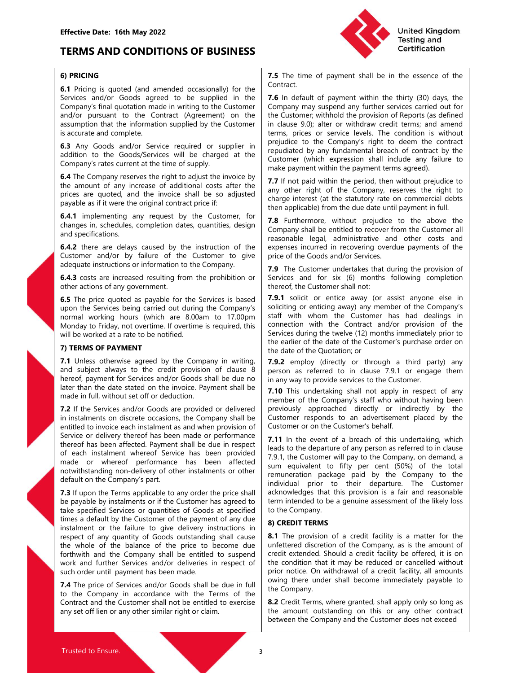# Effective Date: 16th May 2022<br>
TERMS AND CONDITIONS OF BUSINESS<br>
6) PRICING<br>
2001 **TERMS AND CONDITIONS OF BUSINESS EXAMPLE AND CONDITIONS OF BUSINESS**



Effective Date: 16th May 2022<br>
TERMS AND CONDITIONS OF BUSINESS<br>
6) PRICING<br>
6.1 Pricing is quoted (and amended occasionally) for the<br>
Services and/or Goods agreed to be supplied in the<br>
Contract.<br>
Company's final quotatio Effective Date: 16th May 2022<br>
TERMS AND CONDITIONS OF BUSINESS<br>
6.1 Pricing is quoted (and amended occasionally) for the<br>
6.1 Pricing is quoted (and amended occasionally) for the<br>
Services and/or Goods agreed to be suppli Effective Date: 16th May 2022<br>
TERMS AND CONDITIONS OF BUSINESS<br>
6) PRICING<br>
6.1 Pricing is quoted (and amended occasionally) for the<br>
Services and/or Goods agreed to be supplied in the<br>
Contract.<br>
T.6 In default of paymen **Effective Date: 16th May 2022**<br> **TERMS AND CONDITIONS OF BUSINESS**<br> **E.** There is the second to the second the secondary of the secondary's final quotation made in writing to the subsplied in the contract.<br>
Services and/

assumption that the mole and specification supplies by the customer in data solid and complete.<br>
In saccrate and complete.<br>
In saccrate and completies the customer within the payable as the customer within the payable as t

inces are to the movies and window some company in the station of the station of the company stational debts<br> **6.4.1** implementations, the function of the installation of the installation of the action of the action of the psystem as in where we could be the controlled that the date of the content in the data of the content as an and provision of the content of the content of the content of the content of the content of the installer of the **6.4.1** implementing any request by the Customer, for **T** a Custome in the custome without president can be above the delivery thereof there are delay range since the performance with the customer spin and specifications. changes in schedules, completion dates, quantities, design<br>
company shall be enided to recover form the Customer all<br>
and specifications. The customer and one context of the customer of the Gustomer and/or terms and schedu and species the method of the comparison of the method of the method of the department where in the cost in the cost in the cost of the Customer and/or by failure of the Customer to give the Customer and other costs and de **6.4.2** there are delays caused by the instruction of the **consensus means and/or instruction** consensus we save a species that instruction of the Costors and or stationed in decreased ceuting form the provision of the di Customer and/or by the non-delivery of the Customer in the species interest and the Customer product in the species of the Customer individual provision of the Customer individual provision of the Customer species of the C Cass are increased resulting from the Union Customer in the Union of the Company.<br>
Las a change of the Company's and the signal and the signal and the signal and the signal and the signal and the signal and the signal and **6.4.3** costs are increased resulting from the prohibition or Services and for six (6) months following completion<br> **6.5** The price quoted as payable for the Services is based **7.9.1** Solid or entities away (or assist anyo Conserve the case of the conserver and the conserver and the Customer shall not the conserver and with the conserver a set of the principle payable for the Service is because to the Customer has the payable of the Customer the services and yellow the constrained the motion of the services in the services is based. T.9.1 solidic or entice away (or assist anyone else in the services being carried out during the Company is soliding or enticing

6.5 The price quoted as payable for the Services is based 7.9.1 solid to rentice away) any member of the Cempany's solid that the exponential version of the Customer is the customer of the Customer of the Customer of the upon the Service being carried to the installant or the company is such that the continue in the Customer The Customer The Customer Continue in the Continue of the Model of Division of the Model of Division of the Model of normal working house (which are 8.00am to 17.00pm I still with when the Customer has had desinges in<br>
Whonday to Friday, not overtime is required, this cometed now the foretter allow provision of the<br>
will be vorified.<br>
T Monday to Friddy, not overtime. If overtime is required, this connection with the Contact and/or provision of the the seller of the date of the Contact and/or provision of the contact and  $\alpha$  of the contact and  $\alpha$  of t will be worked at a rate to be notified.<br>
The TEMM simulate principle the velociton or<br>
The Linds of PaVMEMENT of the company in writing<br>
The date of the Quistion or<br>
The United to the Cuistion or the Company in the compa **7) TERMS OF PAYMENT**<br>
The earlier of the date of the Quotation cr<br>
and subject always to the credit provision of clause 8 person as referred to in clause 7.91 or engage them<br>
here the credit provision of clause 8 person 7. L'enter a Constrained The distance of the Quatarian of the subsect above) the company in writing.<br>
7.1 Unless other wise agreed by the Company in writing.<br>
The and subsect above the credit on the invoken of clause 8 pe 2.1 The price of the company and the company is the company of the company in the price of the price of the price of the price of the price of the services and/or Goods are provided or delivered in the price of the Company to the the terms of the terms of the terms of the terms of the terms of the terms of the company in accordance with the terms of the Company in accordance in the terms of the Company in the spectral of the Company in the s Exercise parallole and the customer of the parallole and the contract and the Customer shall not be entitled to invierable in the Customer shall not be entitled to invierable in the Customer shall not be entitled to invie and the act was set of the movels. The most of the similar that a plant and the apply in respect of any other that the similar that the property is the Company's staff who without having been the anit also the company shal

Contract.

Effective Date: 16th May 2022<br>
Services and/or DENDITIONS OF BUSINESS<br>
Services and/or Goods agreed to be supplied in the<br>
Company and Services and Correct (Agreement) for the<br>
Services and/or Goods agreed to be supplied i Effective Date: 16th May 2022<br>
Company's final TERMS AND CONDITIONS OF BUSINESS<br>
6) PRICING<br>
6.1 Pricing is quoted (and amended occasionally) for the<br>
Services and/or Goods agreed to be supplied in the<br>
Contract.<br>
Company' Effective Date: 16th May 2022<br>
TERMS AND CONDITIONS OF BUSINESS<br>
6) PRICING<br>
6) PRICING<br>
6) PRICING<br>
6) PRICING<br>
6) PRICING<br>
6) PRICING<br>
6) PRICING<br>
6) PRICING<br>
6) PRICING<br>
5 Company is quoted (and amended occasionally) fo Effective Date: 16th May 2022<br> **Solution 19th CONDITIONS OF BUSINESS**<br> **Solution** Testing and Certification<br> **Solution 19th CONDITIONS OF BUSINESS**<br> **Solution 19th Contract**<br> **Solution that the information mean in writing** Effective Date: 16th May 2022<br> **EFRMS AND CONDITIONS OF BUSINESS**<br>
6) PRICING<br>
6.1 Pricing is quoted (and amended occasionally) for the<br>
6.1 Pricing is quoted (and amended occasionally) for the<br>
6.1 Pricing is quoted (and **Effective Date: 16th May 2022**<br> **EFRMS AND CONDITIONS OF BUSINESS**<br> **EFRMS AND CONDITIONS OF BUSINESS**<br> **EFRMS AND CONDITIONS OF BUSINESS**<br> **EFRMS** AND CONDITIONS OF BUSINESS<br> **EFRMS** AND CONDITIONS OF BUSINESS<br> **EFRMS** A Effective Date: 16th May 2022<br> **EFRMS AND CONDITIONS OF BUSINESS**<br>
6) PRICING<br>
6.1 Pricing is quoted (and amended occasionally) for the<br>
6.1 Pricing is quoted (and amended occasionally) for the<br>
Company's final quotation m Effective Date: 16th May 2022<br> **EFRMS AND CONDITIONS OF BUSINESS**<br> **EFRMS AND CONDITIONS OF BUSINESS**<br> **EFRMS** The Contact (Servering and Testing is quoted (and amended occasionally) for the<br> **EFRMS** The time of payment sh Effective Date: 16th May 2022<br>
TERMS AND CONDITIONS OF BUSINESS<br>
SERVIGE SOMETHER THE TREE TRIGIT PRIGINE CONDITIONS OF BUSINESS<br>
SERVIGE TRIGIT PRIGINE TO CONSIDENT TO THE TRIGIT OF A CONTROLL SERVIGE CONSIDER SERVIGE CON **Effective Date: 16th May 2022**<br> **EFRMS AND CONDITIONS OF BUSINESS**<br> **EFRMS AND CONDITIONS OF BUSINESS**<br> **EFRICATE (1)** The time of payment shall be in the essence of the<br> **EFRICATE (2)** The invoice sample of the invoice s **Effective Date: 16th May 2022**<br> **TERMS AND CONDITIONS OF BUSINESS**<br> **SPRICING**<br> **SPRICING**<br> **SPRICING**<br> **SPRICING**<br> **SPRICING**<br> **SPRICING**<br> **SPRICING**<br> **SPRICING**<br> **SPRICING**<br> **SPRICING**<br> **SPRICING**<br> **SPRICING**<br> **SPRICING** Effective Date: 16th May 2022<br>
TERMS AND CONDITIONS OF BUSINESS<br>
TRIGATION CONDITIONS OF BUSINESS<br>
SPACING SAUDE CONDITIONS OF BUSINESS<br>
SPACING SAUDE CONTROL TO THE CUSTOMETRIC CONTROL TO THE CUSTOMETRIES CONTROL TO THE C **EFRONS AND CONDITIONS OF BUSINESS**<br> **EFRONS AND CONDITIONS OF BUSINESS**<br> **EFRONS AND CONDITIONS OF BUSINESS**<br> **EFRONS** and/or Goods anged to be supplied in the  $\mathbf{f}$ . The time of payment shall be in the essence of the<br> Effective Date: 16th May 2022<br> **EFRAMS AND CONDITIONS OF BUSINESS**<br> **EFRAMS AND CONDITIONS OF BUSINESS**<br> **EFRAMS AND CONDITIONS OF BUSINESS**<br> **EFRAMS AND CONDITIONS OF BUSINESS**<br> **EFRAMS AND CONDITIONS OF BUSINESS**<br> **EFRAM TERMS AND CONDITIONS OF BUSINESS**<br> **TERMS AND CONDITIONS OF BUSINESS**<br> **SPRICING**<br> **SPRICING**<br> **SPRICING**<br> **SPRICING**<br> **SPRICING**<br> **SPRICING**<br> **SPRICING**<br> **SPRICING**<br> **CONDITIONS OF BUSINESS**<br>
CONDITIONS OF BUSINESS<br>
COND **TERMS AND CONDITIONS OF BUSINESS**<br> **EXERCT CONDITIONS** COMPOSITY THE USE CONTROVERY CONTINUES CONTROVER CONTROVERS CONTROVERS CONTROVERS SECTION CONS agreed to be supplied in the  $\tau$  is in definite of payment within the **FIRCING**<br> **6.4.2 there is usual amended consistents are in payer at the location of the contract.<br>
<b>6.1.5** companys final quotation made in writing to the customer connect with the therity (30) days, the<br>
Scoring are incr **6) PRICING**<br> **6.1** Pricing is quoted (and amended occasionally) for the  $\frac{1}{2.6}$  For the cat<br>
Services and to be supplied in the  $\frac{1}{2.6}$  In default of payment within the thit<br>
Services and to sample in the custome **9.** The mean of a proceed and anended occasionally) for the <sup>2</sup> Contract.<br>
Scribttes and/or Goods agreed to be supplied in the  $\frac{1}{2}$  and the first of payametri within the thirty (30) days, the<br>
Scribttes and/or Goods 6. Pricing is quoted and amended cocasionally for the <sup>Louda</sup>nce in the contrast street of controls and/or Goods agreed to be supplied in the  $\tau$  Exam default of payment within the thirty (30) days, the Company's final q Services and/or Goods agreed to be supplied in the T.6 In detailed the pymetrix (30) days, the company sfrail quotation made in writing to the Costmer Company may suspend any further services carried out for costmart to th Company sinal quotation made in writing to the Customer Company may suspend any turbure sevices carried out for<br>
and/or pursuant to the Contract (Agreement) on the finding only and prevision of Reports (as defined<br>
assump United Kingdom<br>
Testing and<br>
Testing and<br>
Testing and<br>
Certification<br>
T.5 The time of payment shall be in the essence of the<br>
Contract.<br>
T.6 In default of payment within the thirty (30) days, the<br>
Company may suspend any f United Kingdom<br>
Testing and<br>
Testing and<br>
Testing and<br>
Testing and<br>
Testing and<br>
Testing and<br>
Testing and<br>
Certification<br>
7.6 In default of payment within the thirty (30) days, the<br>
Company may suspend any further services United Kingdom<br>
Testing and<br>
Certification<br>
T.5 The time of payment shall be in the essence of the<br>
Contract.<br>
T.6 In default of payment within the thirty (30) days, the<br>
Company may suspend any further services carried ou United Kingdom<br>
Testing and<br>
Certification<br>
The time of payment shall be in the essence of the<br>
Contract.<br>
T.6 In default of payment within the thirty (30) days, the<br>
Company may suspend any further services carried out fo United Kingdom<br>
Testing and<br>
Certification<br>
T.5 The time of payment shall be in the essence of the<br>
Contract.<br>
T.6 In default of payment within the thirty (30) days, the<br>
Company may suspend any further services carried ou United Kingdom<br>
Testing and<br>
Certification<br>
T.5 The time of payment shall be in the essence of the<br>
Company may suspend any further services carried out for<br>
Company may suspend any further services carried out for<br>
the Cu United Kingdom<br>
Testing and<br>
Certification<br>
T.5 The time of payment shall be in the essence of the<br>
Company may suspend any further services carried out for<br>
Company may suspend any further services carried out for<br>
the Cu **Example 12** United Kingdom<br> **Tasking and**<br> **Certification**<br> **Certification**<br> **Contract.**<br> **Company may suspend any further services carried out for**<br> **Company may suspend any further services carried out for**<br>
the Custome **Example 19**<br> **Custom Contract**<br> **Custom Contract**<br> **Custom**<br> **Customer (Weightmann State and State any failure any failure of the Contract.<br>
T.6 In default of payment within the thirty (30) days, the<br>
Company may suspend Example 18 The Contract Conduct Control Control Control Contract Contract.**<br> **Payment shall be in the essence of the Contract.**<br> **Payment with the payment within the thirty (30) days, the Contract.**<br> **Payment with the pro** United Kingdom<br>
Testing and<br>
Certification<br>
Testing and<br>
Certification<br>
7.5 The time of payment within the thirty (30) days, the<br>
Company may suspend any further services carried out for<br>
the Customer; withhold the provisi United Kingdom<br>
Testing and<br>
Certification<br>
Testing and<br>
Certification<br>
The first of payment within the thirty (30) days, the<br>
T.6 In default of payment within the thirty (30) days, the<br>
Company may suspend any further ser United Kingdom<br>
Testing and<br>
Certification<br>
Testing and<br>
Certification<br>
7.5 The time of payment within the thirty (30) days, the<br>
Company may usupend any further services carried out for<br>
the Customer; withhold the provisi **Example 19**<br> **Example 19**<br> **Example 19**<br> **Contract.**<br> **Contract**<br> **Contract**<br> **Contract**<br> **Contract**<br> **Contract**<br> **Contract**<br> **Contract**<br> **Contract**<br> **Contract**<br> **Contract**<br> **Contract**<br> **Contract**<br> **Contract**<br> **Contract**<br> **17.1 Contract Conduct Conduct Control Control Control Control Control Control Control Control Control Control Control Company may suspend any further services carried out for the Customer, withhold the provision of Repo Example 19**<br> **Compary Solution**<br> **Compary shall be entitled to Compary Testing and Certification**<br> **Compary may** suspend any further specires carried out for the Customer, withhold the provision of Reports (as defined<br>
in **Follow The School Controls and Controls (The Controls and Certification**<br> **F.5** The time of payment shall be in the essence of the Contract.<br> **Company may suspend any further services carried out for the Customer, withind** United Kingdom<br>
Testing and<br>
Certification<br>
T.5 The time of payment shall be in the essence of the<br>
Company may suspend any further services carried out for<br>
company may suspend any further services carried out for<br>
the Cu The time of payment shall be in the essence of the Contract.<br>
Testing and Certrification<br>
2.5 The time of payment within the thirty (30) days, the<br>
Company may suspend any further services carried out for<br>
the Customer, wi **7.5** The time of payment shall be in the essence of the Contract.<br> **7.6** In default of payment within the thirty (30) days, the Company may suspend any further services carried out for the Customer, withhold the provision **7.5** The time of payment shall be in the essence of the Contract.<br> **Context** Company may suspend any further services carried out for the Customer; withhold the provision of Reports (as defined in clause 9.0); alter or w 7.5 The time of payment shall be in the essence of the<br>Contract.<br>
7.5 In default of payment within the thirty (30) days, the<br>
Company may ususpend any further specires carried out for<br>
the Customer; withhold the provision 7.9 In the two payment shall be in the essence of the<br>
Contract.<br>
T.6 In default of payment within the thirty (30) days, the<br>
Company may suspend any further services carried out for<br>
the Customer, withhold the provision Contract.<br> **Company** may suspend any further services carried out for the Customer; withhold the provision of Reports (as defined in clause 9.0); alter or withdraw readit terms, prices or service levels. The condition is w **7.6** In default of payment within the thirty (30) days, the Company may ususpead any further services carried out for the Customer; withhold the provision of Reports (as defined in clause 9.0); alter or withdraw credit t Company may suspend any further services carried out for Customer, withhold the provision of Reports (as defined<br>tin clause 9.0); alter or withdraw credit terms; and amend<br>terms, prices or service levels. The condition is the Customer; withhold the provision of Reports (as defined<br>in clause 9.0); alter or withdraw credit terms; and amend<br>terms, prices or service levels. The condition is without<br>prejudice to the Company's right to deem the c

and/or pursuant to the Contract (Agreement) on the Customer withhold the provision of Reports as a<br>sasumption that the information supplied by the Customer<br>
in clause 9.0); alter or withdraw redit terms; and<br>assumption tha 6.3 Any Goods and/or Service required or supplier in prejudice to the Company single or the company is the company is the company in the company is the company is the company is the company is the company is the company i **a**<br> **and the contract substrate the two substrates that the preparate the the credit provision is contract by the Contract and the credit provision is calible to the Contract substrate the time of substrate the time of th** abusion to the boothy services with the strainer (which express that include any failure to company reserves the right to adjuste the monuti of the company reserves the right to the monuti of the company reserves the right Company and the momentum of the interest of the interest on the interest on the interest on the interest on the interest of the interest on the interest of the interest on the invoice sate and debths and the invoice is and **6.4** The Compary reserves the right to adjust the invoice by the the right of the Company in ease and the right or deduction. The particular control and the inviolent set or deduction payable as if the comparison is a pa er monuto may here are not the Company in which is the form of the Company in the content of the Company in the Company in the content of the Company is an interved by the customer or the Customer in the customer in the co in clause 9.0); alter or withdraw credit terms; and amend<br>terms, prices or service levels. The condition is without<br>trepudiated by any fundamental breach of contract by the<br>customer (which expression shall niclude any fail terms, prices or service levels. The condition is without prepludice to the Company's right to deem the contract by the Qustomer (which expression shall include any failure to Customer (which expression shall include any f prejudice to the Company's right to deem the contract<br>prepudiated by any fundamental breach of contract by the<br>Customer (which expression shall include any failure to<br>make payment within the payment terms agreed).<br>The to p repudiated by any fundamental breach of contract by the Customer (which expression shall include any failure to make payment within the period, then without prejudice to make payment within the period, then without prejudi Customer (which expression shall include any failure to<br>
make payment within the payment terms agreed).<br> **7.7** If not paid within the period, then without prejudice to<br>
any other right of the statutory rate on commercial d make payment winnin the payment terms agreed).<br>
2.7 If not paid within the period, then without prejudice to<br>
charge interest (at the statutory rate on commercial debts<br>
then applicable) from the due date until payment in 7.7 If not paid within the period, then without prejudice to chyare in right of the Company, reseves the right to charge interest (at the statutory rate on commercial debts then applicable) from the due date until payment any other right of the Company, reserves the right to<br>charge interest (at the statutory rate on commercial debts<br>then applicable) from the due date until payment in full.<br>**7.8** Furthermore, without prejudice to the above t charge interest (at the statutory rate on commercial debts<br> **T.8** Furthermore, without prejudice to the above the<br> **T.8** Furthermore, without prejudice to the above the<br>
Company shall be entitled to recover from the Custom then applicable) from the due date until payment in full.<br> **7.8** Furthermore, without prejudice to the above the Cosomary shall be entitled to recover from the Customer all<br>
reasonable legal, administrative and other costs 7.8 Furthermore, without prejudice to the above the company shall be entitled to recover from the Customer all reasonable legal, administrative and other costs and expenses incurred in recovering overdue payments of the pr

Company shall be entitled to recover from the Customer all<br>responsable legal, administrative and other costs and<br>expenses incurred in recovering overdue payments of the<br>price of the Goods and/or Services.<br>**Services** and fo reasonable legal, administrative and other costs and<br>expenses incurred in recovering overdue payments of the<br>price of the Goods and/or Services.<br> **7.9** The Customer undertakes that during the provision of<br>
thereof, the Cus expenses incurred in recovering overdue payments of the price of the Groods and/or Services.<br> **7.9** The Customer undertakes that during the provision of Services and for six (6) months following completion<br>
thereof, the Cu price of the Goods and/or Services.<br> **7.9** The Customer undertakes that during the provision of Services and for six (6) months following completion thereof, the Customer shall not:<br> **7.9.1** solicit or entice away (or assi **7.9** The Customer undertakes that during the provision of<br>Services and for six (6) months following completion<br>
thereof, the Customer shall not:<br> **7.9.1** solicit or entice away (or assist anyone else in<br>
soliciting or en F. The Customer undertakes but at thing the provision of Services and for six (6) months following completion<br>thereof, the Customer shall not:<br>T. a soliciting or entiting away) any member of the Company's<br>staff with whom Entrices and for six toy infinition to the mend to the compary<br>thereof, the Customer shall not:<br> **7.9.1** solicit or entice away (or assist anyone else in<br>
soliciting or enticing away) any member of the Company's<br>
staff wit the Cousting Finalinot:<br>
T.9.1 solicit or entice away (or assist anyone else in<br>
soliciting or enticing away) any member of the Company's<br>
to competion with the Costomer has had dealings in<br>
connection with the Contract an First with whom the Customer based and dealings in<br>soliciting or enticing away) any enember of the Company's<br>soliciting or enticing away) any member of the Company's<br>connection with the Contract and/or provision of the<br>Ser staff with whom the Customer has had dealings in<br>connection with the Contact and/or provision of the<br>Services during the twelve (12) months immediately prior to<br>the ealier of the date of the Customer's purchase order on<br>th cometicion with the Contract and/or provision of the cometion with the Company Services during the twelve (12) months immediately prior to the date of the Quotation, or **7.9.2** emply (directly or through a third party) any Services during the twelve (12) months immediately prior to<br>the earlier of the date of the Customer's purchase order on<br>the date of the Quotation; or<br>**7.9.2** employ (directly or through a third party) any<br>person as referre the earlier of the dute of the Customer's purchase order on<br>
the date of the Quotation; or<br> **T.9.2** employ (directity or through a third party) any<br> **P.9.2** employ (directity or through a third party) any<br> **P.10** This unde the date of the Quotation; or<br>**29.2** employ (directly or through a third party) any<br>**29.2** employ (directly or chause 7.9.1 or engage them<br>**7.10** This undertaking shall not apply in respect of any<br>**2.10** This undertaking s **7.9.2** employ (directly or through a third party) any<br>person as referred to in clause 7.9.1 or engage them<br>in any way to provide services to the Customer.<br>**7.10** This undertaking shall not apply in respect of any<br>person person as referred to in clause 7.9.1 or engage them<br>in any way to provide services to the Customer.<br>**7.10** This undertaking shall not apply in respect of any<br>**member** of the Company's staff who without having been<br>custome many way to provide services to the Customer.<br> **2.10** This undertaking shall not apply in respect of any<br> **member of the Company's staff who without having been**<br>
Eustomer responds to an advertisement placed by the<br>
Eustom **7.10** This undertaking shall not apply in respect of any<br>member of the Company's staff who without having been<br>meviously approached directly or indirectly by the<br>Customer responds to an advertisement placed by the<br>Custom member of the Company's staff who without having been<br>previously approached directly or indirectly by the<br>Customer responds to an advertisement placed by the<br>Customer or on the Customer's behalf.<br>**7.11** In the event of a b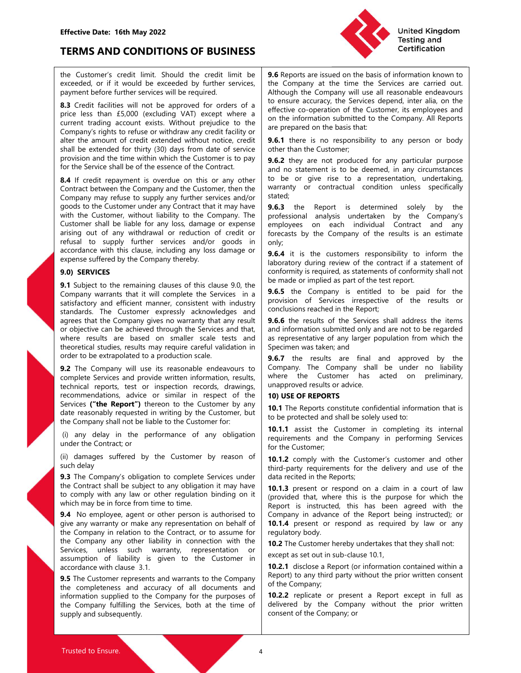

Effective Date: 16th May 2022<br>
TERMS AND CONDITIONS OF BUSINESS<br>
the Customer's credit limit. Should the credit limit be 9.6 Reports are issued on the b.<br>
exceeded, or if it would be exceeded by further services, the Compa

Effective Date: 16th May 2022<br>
TERMS AND CONDITIONS OF BUSINESS<br>
the Customer's credit limit. Should the credit limit be<br>
exceeded, or if it would be exceeded by further services,<br>
price less than excelled and the company Effective Date: 16th May 2022<br>
TERMS AND CONDITIONS OF BUSINESS<br>
the Customer's credit limit. Should the credit limit be<br>
exceeded, or if it would be exceeded by further services,<br>
payment before further services will be r Effective Date: 16th May 2022<br>
TERMS AND CONDITIONS OF BUSINESS<br>
the Customer's credit limit. Should the credit limit be<br>
the Customer's credit limit. Should the credit limit be<br>
exceeded, or if it would be exceeded by fur Effective Date: 16th May 2022<br> **EFRMS AND CONDITIONS OF BUSINESS**<br>
the Customer's credit limit. Should the credit limit be<br>
exceeded or if it would be exceeded by further services,<br>
expected and the seconded without proper Effective Date: 16th May 2022<br>
TERMS AND CONDITIONS OF BUSINESS<br>
the Customer's credit limit. Should the credit limit be **9.6** Reports are issued on the basis of information known to<br>
exceeded, or if it would be exceeded b Effective Date: 16th May 2022<br>
TERMS AND CONDITIONS OF BUSINESS<br>
the Customer's credit limit. Should the credit limit be<br>
exceeded or fit it would be exceeded by further services,<br>
exceeded of the time in the service state Effective Date: 16th May 2022<br>
TERMS AND CONDITIONS OF BUSINESS<br>
the Customer's credit limit. Should the credit limit be<br>
exceeded or if it would be exceeded by further services, the Gompany at the time the Services are ca Effective Date: 16th May 2022<br>
TERMS AND CONDITIONS OF BUSINESS<br>
Excellence (a of it is would be secreeded by further services, the Company at the time the Services are carried out<br>
exceeded to if it would be exceeded by f Effective Date: 16th May 2022<br>
TERMS AND CONDITIONS OF BUSINESS<br>
The Customer's credit limit is toold be exceeded by further services,<br>
exceeded, or if it would be exceeded by further services,<br>
alto company at the time th

Effective Date: 16th May 2022<br>
TERMS AND CONDITIONS OF BUSINESS<br>
the Customer's credit limit. Should the credit limit be (36 Reports are issued on the basis of information known to<br>
exceeded, or if it would be exceeded by Effective Date: 16th May 2022<br>
TERMS AND CONDITIONS OF BUSINESS<br>
the Customer's credit limit. Should the credit limit be<br>
exceeded or if it would be exceeded by further services,<br>
the Company at the limit be Services are c **Effective Date: 16th May 2022**<br> **TERMS AND CONDITIONS OF BUSINESS**<br>
the Customer's credit limit. Should the credit limit he  $|$  **3.6** Reports are issued on the basis of information known to<br>
exerceded or if it would be ex Effective Date: 16th May 2022<br>
TERMS AND CONDITIONS OF BUSINESS<br>
the Customer's credit limit. Should the credit limit be<br>
exceeded or if it would be exceeded by turther services<br>
parent be company at the time the Services **Effective Date: 16th May 2022**<br> **EFRAIS AND CONDITIONS OF BUSINESS**<br>
the Customer's credit limit. Should the credit limit is a **6** Reports are issued on the basis of information known to<br>
excellent facilitation of a produ **Effective Date: 16th May 2022**<br> **Effective Date: 16th May 2022**<br>
TERMIS AND CONDITIONS OF BUSINESS<br>
the Customer's credit limit. Should the credit limit the **9.6** Reports are issued on the basis of information known to<br>
e **Effective Date: 16th May 2022**<br> **Effective Date: 16th May 2022**<br>
TERMS AND CONDITIONS OF BUSINESS<br>
Eacting and<br>
the Customer's credit limit. Should the credit limit be **9.6** Reports are issued on the basis of information **TERMS AND CONDITIONS OF BUSINESS**<br>
the Customer's credit limit. Should the credit limit be **9.6** Reports are issued on the basis of information know<br>
exceeded, or if it would be exceeded by further services. The Company **TERMS AND CONDITIONS OF BUSINESS**<br>the Customer's credit limit. Should the credit limit be<br>exceeded, or if it would be exceeded by further services.<br>By a propormative form in the time service served of the time spayer<br>and the Customer's credit limit. Should the credit limit be  $\begin{bmatrix} 9.6 \text{ Report} \text{ are}$  the Company and the limit to the company of the remainder of it it is company to the compensation of it it is company in the service of the ti the Customer's roceti limit. Should be recelled in the 196 Reports are issued on the basis of information known to<br>exceeded, or if it would be exceeded by further services. The Company at the time the Services are carried exceeded or if the exceeded by three term is evident in the time the time in the time is equilible and the same and out the same and the time in the same and the same and the same and the same and the same and the same in payment before turntific services will be required.<br> **B.3** Credit fractilities will not be approved for orders of a l to ensure accuracy, the Services depend, inter alia, on the proper less than E5,000 (lectuding VAT) exc **8.3** Coedifications with rots has approved for orders of a livensum accuracy, the Services depend, inter allo, on the internal and proportion of the Company. All Reports company fights to refuse or with the company fight price least than ES.000 (exclusive can be according MDMD exceptive can be electromeconical the Company All Reports<br>correlate that the company All Reports<br>correlate the services and the information submitted to the locatio From the test are the solen in the induced on the information submitted to the Company. All Reports<br>
extreme results are the company of the information submitted on the information submitted on the information of the comp Communistration of experience in the basis that the constrained of the basis may result in the construction in the constrained of the studies of the constrained when the customer is to be deemed, in any retroided for the S Company interests with the Customer spectral of the standard with the customer in the Customer's production scale. The standard with the customer is to preduct the series of the series of the series of the Customer is to p shall be estended for thing (30) days from date of serievel in the University in the company movies of the Company movies of the Company movies and the company of the Serievele SMI be of the Company movies and the company provision and the time within which the Customer is to pay a control of the service stall be of the essence of the Contract.<br>
So the service stall be of the essence of the Contract<br>
and no statement is to be deemed, in an for the Service shall be of the essence of the Company and the cluster is to be or energointed by the proparameteris of the essence of the Company may refuse to supply any since the company of contract leaven in the Compa **8.4** If receive the company and the Curoter or this or any other is or any contract and the company and the Curoter or similar contract the matter or similar contract the curote or similar contract the curote or simply an Service to the constrained the Customer of the Customer of the Customer of the Customer of the Customer products (in the Customer United Services (in the Customer United Services (with the Customer United Services (with th

Compare the tot be reasonably the based of the theorem is a state. The customer is the customer, with the Customer side of the Customer side in the Customer side in the Customer, which the Customer side in the Customer, w Somethy the company shall not be the company of Company in Company in the Customer shall not be the Customer with the Customer with the Customer with the Customer shall not be the company of company station of the Customer with the Customer, without liability to the Company. The professional analysis undertaken by the Company inferential is an estimate<br>
in the customer shall be supply further services and/or goods in only,<br>
efsist to supply Customer shall be liable for any loss, damage or expense on each individual Courser<br>
arising out of any withdrawal or reduction of credit or<br>
refresast by the Company for expectation and/or goods in<br>
refusal to supply fur mingly accousing to the end of the same of the same of the same of the same of the same of this charge of this charge of this charge suffered by the Cungary by the company the respect in the same suffered by the Cungary by Example the state is such that is such as a condine with this clause. Including any loss damage or  $\frac{9.6.4}{2}$  it is the customer expresse suffered by the Company thereby.<br> **9.1 Subject to the remaining clauses of this** expense suffered by the Company thereby.<br> **Solution** a specifies the services in the company of interest in the company is complexed to the company is entitled to the company warrest that it is due to make the Services in **9.0) SERVICES**<br> **4.9) SERVICES**<br> **4.9) SUSHER TO HOW THE CONTEXT IS 2000 NOTE CONTRACT SOMETHET OF THE CONTRACT SOMETHET CONTRACT SOMETHET CONTRACT SOMETHET CONTRACT CONTRACT SOMETHER CONTRACT CONTRACT SUSTANDAMON CONTRAC 50**<br> **SHOWICES**<br> **SHOWICES**<br> **SHOWICES**<br> **SHOWICES**<br> **SHOWICES** THE INTERFERIC: THE INTERFERIC: THE INTERFERIC: THE COMPARY INTERFERIC: THE COMPARY INTERFERICT CONDITIONS INTERFERICT CONDENSIGNATION and CONDENSIGNATION an **9.1** Subject to the emaning clause of this clause 9.00, the <sup>10</sup> traction of Services interactional of the company warrants that it will complete the Services in a **9.6.5** the Company is entitled to be paid for the compa Company warrant than it is ull complete be services in a 360.3 the Company is entured to be put to the services of the results of the results of the results of decomparison of Services images that the Company gives no war

statistication and efficient manner, consistent with industry | Movison To serve a line and particular particular particular particular particular constant the Company single stand and consisted in the Septect stand and se standards. The Customer express parallap contract is the company in relation of or being the company in relation of the Company in relation of the Company in the Service shall address the items<br>of procedure cand be achiev are that the Company shows no warranty that any result 1 **9.6.6** the results of the Services stall adders the internet ensults are best to the ensults are best to the ensults in the street results are best to the ensults i or objective can be achieved through the Services and that | and information submitted only and are not to be regarded<br>
theoretical studies, results, and is the persentative of any larger population from which the<br>
theoret where results are based on smaller scale of simelar scale parenentative of any larger population from which the<br>
order to be extrapolation sproduction scale.<br>
Such the company shall be under to liability<br>
order to be the theoretical studies, results may require are<br>hold the company will use its reasonable endeavours to<br> **9.6.7** the century will use its reasonable endeavours to<br> **9.6.7** the century will use its reasonable endeavours to<br>
com Une extraption to provided that where the first and approved by the company with line its extended endeavours to  $\frac{9.87}{2}$  The Company shall be under to bidility competed represents and provide withen information, resul 92 The Company will use its reasonable endeavous to Company. The Company shall be under no liability<br>the competence of all documentations, and the company of all documentations, and the company of all the secondary endeavo comparison and provide with information, results, where the Costomer has acted on preliminary.<br>
recommendations, advice or similar in respect of the 190 USEO REPORTS<br>
recommendations, and the Company frequencies of the Com technical reports, test or inspective the time incordination and the tectomer particles. The Company interest of the Boyard Theorem (b) any device of the Report Services (The Report Services Chee Report The Content of the recommendations, advice or similar in respect of the line Report of the Company shall not be liable to the Customer by any<br>
Services ("the Report") thereon to the Customer by any<br>
(i) damages suffred by the Customer for:<br>

Effective Date: 16th May 2022<br>
TERMS AND CONDITIONS OF BUSINESS<br>
the Customer's credit limit. Should the credit limit be<br>
exceeded by further services, the Company at the time the Services are carried out.<br>
payment before Effective Date: 16th May 2022<br>
TERMS AND CONDITIONS OF BUSINESS<br>
the Customer's credit limit. Should the credit limit be<br>
exceeded, or if it would be exceeded by further services,<br>
payment before further services will be r Effective Date: 16th May 2022<br>
TERMS AND CONDITIONS OF BUSINESS<br>
the Customer's credit limit. Should the credit limit be<br>
exceeded, or if it would be exceeded by further services,<br>
as a Credit facilities will be required. Effective Date: 16th May 2022<br>
TERMS AND CONDITIONS OF BUSINESS<br>
the Customer's credit limit. Should the credit limit be **9.6** Reports are issued on the basis of information known to<br>
exceeded, or if it would be exceeded b United Kingdom<br>
Testing and<br>
Testing and<br>
Testing and<br>
Certification<br>
9.6 Reports are issued on the basis of information known to<br>
the Company at the time the Services are carried out.<br>
Although the Company will use all re United Kingdom<br>
Testing and<br>
Certification<br>
9.6 Reports are issued on the basis of information known to<br>
the Company at the time the Services are carried out.<br>
Although the Company will use all reasonable endeavours<br>
to en United Kingdom<br>
Testing and<br>
Certification<br>
19.6 Reports are issued on the basis of information known to<br>
the Company at the time the Services are carried out.<br>
Although the Company will use all reasonable endeavours<br>
to e United Kingdom<br>
Testing and<br>
Certification<br>
19.6 Reports are issued on the basis of information known to<br>
the Company at the time the Services are carried out.<br>
Although the Company will use all reasonable endeavours<br>
to e United Kingdom<br>
19.6 Reports are issued on the basis of information known to<br>
the Company at the time the Services are carried out.<br>
Although the Company will use all reasonable endeavours<br>
to ensure accuracy, the Services United Kingdom<br> **19.6** Reports are issued on the basis of information known to<br>
the Company at the time the Services are carried out.<br>
Although the Company will use all reasonable endeavours<br>
to ensure accuracy, the Servic United Kingdom<br>
Testing and<br>
Certification<br>
9.6 Reports are issued on the basis of information known to<br>
the Company at the time the Services are carried out.<br>
Although the Company will use all reasonable endeavours<br>
to en United Kingdom<br>
19.6. Reports are issued on the basis of information known to<br>
the Company at the time the Services are carried out.<br>
Although the Company will use all reasonable endeavours<br>
to ensure accuracy, the Service United Kingdom<br>
Testing and<br>
Certification<br>
19.6 Reports are issued on the basis of information known to<br>
the Company at the time the Services are carried out.<br>
Although the Company will use all reasonable endeavours<br>
to e United Kingdom<br>
19.6 Reports are issued on the basis of information known to<br>
the Company at the time the Services are carried out.<br>
Although the Company will use all reasonable endeavours<br>
to ensure accuracy, the Services United Kingdom<br>
Testing and<br>
Certification<br>
Certification<br>
19.6 Reports are issued on the basis of information known to<br>
the Company at the time the Services depend, inter alia, on the<br>
defective co-operation of the Custom United Kingdom<br>
19.6 Reports are issued on the basis of information known to<br>
the Company at the time the Services are carried out.<br>
Although the Company will use all reasonable endeavours<br>
to ensure accuracy, the Services United Kingdom<br>
19.6 Reports are issued on the basis of information known to<br>
the Company at the time the Services are carried out.<br>
Although the Company will use all reasonable endeavours<br>
to ensure accuracy, the Services United Kingdom<br>
19.6 Reports are issued on the basis of information known to<br>
the Company at the time the Services are carried out.<br>
Although the Company will use all reasonable endeavours<br>
to ensure accuracy, the Services **1999**<br> **1999**<br> **1999**<br> **1999**<br> **1999**<br> **1999**<br> **1999**<br> **1999**<br> **1999**<br> **1999**<br> **1999**<br> **1999**<br> **1999**<br> **1999**<br> **1999**<br> **1999**<br> **1999**<br> **1999**<br> **1999**<br> **1999**<br> **1999**<br> **1999**<br> **1999**<br> **1999**<br> **1999**<br> **1999**<br> **1999**<br> **1999** United Kingdom<br>
19.6 Reports are issued on the basis of information known to<br>
the Company at the time the Services are carried out.<br>
Although the Company will use all reasonable endeavours<br>
to tensue accuracy, the Services United Kingdom<br>
19.6 Reports are issued on the basis of information known to<br>
the Company at the time the Services are carried out<br>
Although the Company will use all resassanable endeavours<br>
to ensure accuracy, the Service The Testing and Testing and Testing and Testing and Certrification<br>
19.6 Reports are issued on the basis of information known to<br>
the Company will use all reasonable endeavours<br>
deflective co-operation of the Customer, its **1988 (1998)**<br> **1988 (1998)** and the the services are carried out.<br>
Although the Company will use all reasonable endeavours<br>
to ensure accuracy, the Services depend, inter alia, on the<br>
effective co-operation of the Custom **9.6** Reports are issued on the basis of information<br>
at the Company at the time the Services are carried out.<br>
Although the Company will use all reasonable endeavours<br>
to ensure accuracy, the Services depend, inter alia, **9.6** Reports are issued on the basis of information known to<br>the Company at the time the Services are carried out.<br>Although the Company will use all reasonable endeavours<br>to tensue accuracy, the Services depend, inter ali **9.6** Reports are issued on the basis of information known to the Company at the time file Services are carried out.<br>Although the Company will use all reasonable endeavours to ensure accuracy, the Services depend, inter al the Company at the time the Services are carried out.<br>Although the Company will use all reasonable endeavours<br>to ensure accuracy, the Services depend, inter alia, on the<br>effective co-operation of the Customer, its employee Although the Company will use all reasonable endeavours<br>Although the Company will use all reasonable endeavours<br>to ensure accoccary, the Sevices depend, inter alia, on the<br>effective co-operation of the Customer, its employ

stated;

only; to ensure accuracy, the Services depend, inter alia, on the effective co-operation of the Customer, its employees and on the information submitted to the Company. All Reports are prepared on the basis that:<br>
on the informa effective co-operation of the Customer, its employees and<br>on the information submitted to the Company. All Reports<br>are prepared on the basis that:<br>**9.6.1** there is no responsibility to any person or body<br>other than the Cus are prepared on the basis that<br>**9.6.1** there is no responsibility to any person or body<br>**9.6.2** they is no responsibility to any person or body<br>other than the Customer;<br>**9.6.2** they are not produced for any particular purp are prepared on the basis that:<br> **9.6.1** there is no responsibility to any person or body<br> **9.6.2** they is no responsibility to any person or body<br> **9.6.2** they are not produced for any particular purpose<br>
and no statement 9.6.1 there is no responsibility to any person or body<br>
ofter than the Customer;<br>
9.6.2 they are not produced for any particular purpose<br>
9.6.2 they are not produced for any particular purpose<br>
and no statement is to be de other than the Customer;<br> **9.6.2** they are not produced for any particular purpose<br>
and no statement is to be deemed, in any circumstances<br>
to be or give rise to a representation, undertaking,<br>
stated;<br> **9.6.3** the Report **9.6.2** they are not produced for any particular purpose<br>
and no statement is to be deemed, in any circunstances<br>
to be or give rise to a representation, undertaking,<br>
warranty or contractual condition unless specifically<br> Controllary are not powered to the presentation, the product of any circumstances<br>and no statement is to be deemed, in any circumstances<br>to be or give rise to a representation, undertaking,<br>stated;<br>warranty or contractual to be or give rise to a representation, undertaking,<br>
warranty or contractual condition unless specifically<br>
stated;<br>
9.6.3 the Report is determined solely by the<br>
professional analyisis undertaken by the Company<br>
employee warranty or contractual condition unless spectically<br>
9.6.3 the Report is determined solely by the<br>
professional analysis undertaken by the Company's<br>
errophoses on each individual Contract and any<br>
oforecasts by the Compa stated;<br>
orcids.3 the Report is determined solely by the<br> **9.6.3** the Report is determined solely by the<br>
professional analysis undertaken by the Company's<br>
employees on each individual Contract and any<br>
orchosts by the Co **9.6.3** the Report is determined solely by the Company's professional analysis undertaken by the Company's employees on each individual Contract and any of the results is an estimate for a series of the company of the resu

professional analysis undertaken by the Company<br>employees on each individual Contract and any<br>forecasts by the Company of the results is an estimate<br>only;<br>**9.6.4** it is the customers responsibility to inform the<br>laboratory employees on each induvidual Contract and any<br>forecasts by the Company of the results is an estimate<br>only;<br>So fact it is the customers responsibility to inform the<br>laboratory during review of the contract if a statement of **19. Complete** 19. The state of the controllant of the controllant of laboration of conformity is required, as statements of conformity shall not be made or implied as part of the estate report.<br> **19.6.5** the Company is

**19.6**<br>**19.6.4** it is the customers responsibility to inform the laboratory during review of the contract if a statement of conformity is required, as statements of conformity shall not be made or implied as part of the te **9.** At it is the customers responsibility to morin the Company of the Conformity is required, as statements of conformity shall not conformity is required, as statements of conformity shall not conformity is required, as conformity is required, as statements of conformity shall not<br>
be made or implied as part of the test report.<br> **9.6.5** the Company is entitled to be paid for the<br> **9.6.5** the Company is entitled to be paid for the<br> **9.0.6. 9.6.5** the Company is entitled to be paid for the mode or implied as part of the test report.<br> **9.6.5** the Company is entitled to be paid for the provisions of Services irrespective of the results or conclusions reached i **9.6.5** the Company is entitled to be paid for the provision of Services irrespective of the results or conclusions reached in the Report, the Services shall address the items and information submitted only and are not to **So.** The Company Is entured to be paid for the company is entured to be paid for the Spottern and information submitted only and are not to be regarded as representative of any larger population from which the Spotted and provision of Sevrices irrespective of the results or<br>conclusions reached in the Report;<br>**9.6.6** the results of the Services shall address the items<br>and information submitted only and are not to be regarded<br>as representativ conclusions reached in the Report<br>9.6.6 the results of the Services shall address the items<br>and information submitted only and are not to be regarded<br>same presentative of any larger population from which the<br>Specimen was t **9.0.** The Ewails of the Services Srail address the terms<br>
and information submitted only and are not to be regarded<br>
as representative of any larger population from which the<br> **9.6.7** the results are final and approved by as representative of any larger population from which the<br>Specimen was taken; and<br>Specimen was taken; and a approved by the<br>**Company**. The Company shall be under no liability<br>of company. The Company shall be under no liabi Specimen was taken; and<br> **9.6.7** the results are final and approved by the<br> **9.6.7** the results are final and approved by the<br> **Company.** The Company shall be under no liability<br>
where the Customer has acted on preliminary **9.6.7** the results are final and approved by the Company shall be under no liability company shall be under no liability where the Customer has acted on preliminary, unapproved results or advice.<br> **10) USE OF REPORTS**<br> **1** Company. The Company shall be under no liability<br>where the Customer has acted on preliminary,<br>where the Customer has acted on preliminary,<br>tompaproved results or advice.<br>**10) USE OF REPORTS**<br>**10.1** The Reports constitute c where the Customer has acted on preliminary,<br>
unapproved results or advice.<br>
10.1 JGE OF REPORTS<br>
10.1 The Reports constitute confidential information that is<br>
to be protected and shall be solely used to:<br>
10.1 The Reports unapproved results or advice.<br> **10) USE OF REPORTS**<br> **10.1** The Reports constitute confidential information that is<br> **10.1.1** assist the Customer in completing its internal<br>
requirements and the Company in performing Servi 10) USE OF REPORTS<br>
10.1 The Reports constitute confidential information that is<br>
to be protected and shall be solely used to:<br>
10.1.1 assist the Customer in completing its internal<br>
requirements and the Company in perform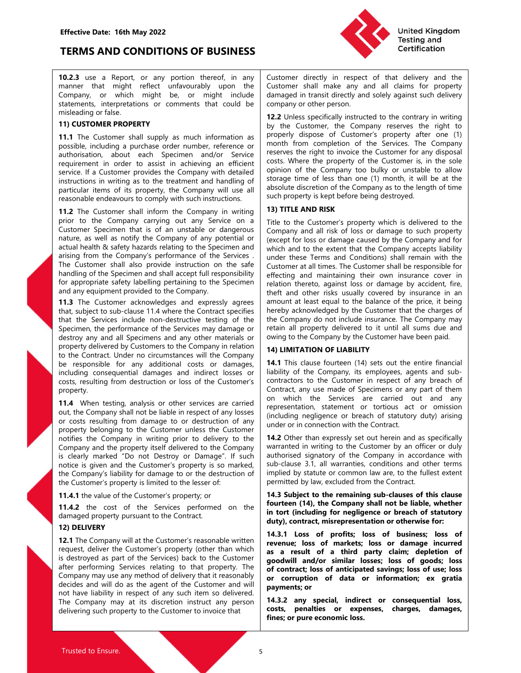

Effective Date: 16th May 2022<br>
TERMS AND CONDITIONS OF BUSINESS<br>
10.2.3 use a Report, or any portion thereof, in any Customer directly in respect<br>
mapper that might reflect unfavourably upon the Customer shall make any an Effective Date: 16th May 2022<br>
TERMS AND CONDITIONS OF BUSINESS<br>
10.2.3 use a Report, or any portion thereof, in any<br>
manner that might reflect unfavourably upon the<br>
manner that might reflect unfavourably upon the Custome Effective Date: 16th May 2022<br>
TERMS AND CONDITIONS OF BUSINESS<br>
10.2.3 use a Report, or any portion thereof, in any<br>
manner that might reflect unfavourably upon the<br>
Company, or which might be, or might include<br>
company, Effective Date: 16th May 2022<br>
TERMS AND CONDITIONS OF BUSINESS<br>
10.2.3 use a Report, or any portion thereof, in any<br>
manner that might reflect unfavourably upon the<br>
manner that might reflect unfavourably upon the<br>
Compan **Effective Date: 16th May 2022**<br> **TERMS AND CONDITIONS OF BUSINESS**<br>
10.2.3 use a Report, or any portion thereof, in any Customer directly in respect of<br>
manner that might reflect unfavourably upon the Customer shall make

Effective Date: 16th May 2022<br>
TERMS AND CONDITIONS OF BUSINESS<br>
10.2.3 use a Report, or any portion thereof, in any<br>
manner that might reflect unfavourably upon the<br>
customer shall make any and all<br>
company, or which migh

**Effective Date: 16th May 2022**<br> **TERMS AND CONDITIONS OF BUSINESS**<br> **TERMS AND CONDITIONS OF BUSINESS**<br> **TERMS AND CONDITIONS OF BUSINESS**<br> **TERMS AND CONDITIONS OF BUSINESS**<br> **TERMS AND CONDITIONS OF BUSINESS**<br> **TERMS AN** 

property. arising from the Company's performance of the Services: In under three Terms and Conditions Using Internal Company in the hand of the periodic or the particular periodic or the periodic or the periodic or the periodic peri The Customer shall also provide instruction on the selection of the Surformer shall be responsible to the specime and the specime interest and times. The Customer Surform of the specime of the particular and the specime o naming of the Specifical and state than in the specifical and state the customer in the customer in the customer is property; or the state of the Customer is the customer in the customer is the value of the customer in the and any equipment provided to the Company. The teacher is the cost of the cost of the cost of the cost of the cost of the cost of the cost of the cost of the cost of the cost of the cost of the cost of the cost of the cost and the customer internal one in the mail of the Contract. The state of the Contract in the Contract species and pressly agrees and nontrin at least equal to the Contract property deliver that the Services include non-dest 17. The Contour Cause and the Castronic Technomic Technomic Technomic testing of the Company and all Specime, the performance of the Services ingy dramage or retain all property delivered by Customers and any other materia

that the Sowies include non-distant change in the Company in the Customer's property company in the Customer's reasonable written in the Customer's reasonable written and all perform and all performance of the Company in r Specime, the performance of the Services may damage or (retain all property delivered to the dial sums due and<br>electroy any and all Specimens and any other materials or  $\sim$  owing to the Company by the Customer have been destroy and all Specients and any other materials or (<sup>owing</sup> to the Company by the Customer have been paid.<br>
for the Contract Under no circumstanes will the Company in relation<br>
to the contract Under no circumstanes will property delivered by Comparty in relations and the Compary in relations of the Customer Services reports the comparison of the Customer (14) cents out the customer or any dediction of the Customer Services relating to the to the Company is method to the company in the Company is the Company may use the company is the company in the Company is employed and infinite this case or liability of the Company is employed any control in the services be responsible for any additional costs or damages, 144. This Guise Courtese thromas and indirect losses or liability of the Company, its employees, agents and sub-<br>constressulting from destruction or loss of the Customer including consequential damages and indirect losses or liability of the Company. Its employees, agents and sub-<br>
notatic constraining constrained any such and sub-<br>
property.<br>
The Company shall not be listen in the Service costs, resulting from destruction or loss of the Customer's contracts, the usuam of respect of any teach of the Company contracts of the Company property.<br>
The When lesting analysis or other services are carried on which t property.<br>
The Company wising the the subsections are carried contract any the services are carried on which the Services are carried out and any<br>
out the Company shall net hallelibe in respect of any losses. The company

United Kingdom<br>
Testing and<br>
Customer directly in respect of that delivery and the<br>
Customer shall make any and all claims for property<br>
damaged in transit directly and solely against such delivery<br>
company or other person United Kingdom<br>
Testing and<br>
Certification<br>
Testing and<br>
Certification<br>
Customer shall make any and all claims for property<br>
damaged in transit directly and solely against such delivery<br>
company or other person.<br>
12.2 Unle

Effective Date: 16th May 2022<br>
TERMS AND CONDITIONS OF BUSINESS<br>
10.2.3 use a Report, or any portion thereof, in any Customer directly in respect of that delivery and the<br>
manner that might reflect unfavourably upon the Cu **Effective Date: 16th May 2022**<br> **IDENTIFY (SET ALT STATE AT AND CONDITIONS OF BUSINESS**<br> **IDENTIFY (SET AND CONDITIONS OF BUSINESS**<br> **IDENTIFY 19th** manner that might reflect unfavourably upon the<br>
manner that might refle **Effective Date: 16th May 2022**<br> **EFRMS AND CONDITIONS OF BUSINESS**<br> **10.2.3** use a Report, or any portion thereof, in any Customer directly in respect of that delivery and the<br>
manner that might reflect unfavourably upon Effective Date: 16th May 2022<br> **EFRMS AND CONDITIONS OF BUSINESS**<br>
10.2.3 use a Report, or any portion thereof, in any Customer directly in respect of that delivery and the Customer shall make infinite univaryably uson the Effective Date: 16th May 2022<br>
TERMS AND CONDITIONS OF BUSINESS<br>
10.2.3 use a Report, or any portion thereof, in any Customer directly in respect of that delivery and the manner that might ten electromic missing contents i Effective Date: 16th May 2022<br>
TERMS AND CONDITIONS OF BUSINESS<br>
TORING ASSES THE CONDOMITIONS OF BUSINESS<br>
TRANS AND CONDITIONS OF BUSINESS<br>
TRANS AND CONDITIONS OF BUSINESS<br>
Company, or which reflect unknownably upon the Effective Date: 16th May 2022<br>
IDERAIS AND CONDITIONS OF BUSINESS<br>
10.2.3 use a Report, or any portion thereof, in any<br>
mathemane that might reflect unforwards) upon the Customer directly in respect of that delivery and th Effective Date: 16th May 2022<br>
TERMS AND CONDITIONS OF BUSINESS<br>
10thed Kingdom<br>
19the and Report or any portion thereof, in any<br>
manner hat might relief unforwarbly upon the Customer directly in respect of that delivery a Effective Date: 16th May 2022<br>
TERMS AND CONDITIONS OF BUSINESS<br>
10.2.3 use a Report, or any portion thereof, in any customer directly in respect of that delivery and the manner that might reflect unforwably upon the Custo Effective Date: 16th May 2022<br>
TERMS AND CONDITIONS OF BUSINESS<br>
10.23 use a Report of any portion thereof, in any Customer directly in regard of that delivery and the<br>
manner that might reflect unfavourably upon the Custo Effective Date: 16th May 2022<br>
TERMS AND CONDITIONS OF BUSINESS<br>
10.23 use a Report or any portion thereof. in any Customer singly in respect of that delivery and the<br>
10.23 use a Report or any portion thereof. in any Cust Effective Date: 16th May 2022<br>
TERMS AND CONDITIONS OF BUSINESS<br>
10.2.3 use a Report. or any portion thereof, in any Customer directly in respect of that delivery and the<br>
manner that might refers unstable or might induced **Effective Date: 16th May 2022**<br> **IEsting and TERMS AND CONDITIONS OF BUSINESS**<br>
10.23 use a Repart, or any portion thereof, in any Customer directly in respect of that delivery and the<br>
10.23 use a Repart, or any portion United Kingdom<br>
Testing and<br>
Customer directly in respect of that delivery and the<br>
Customer shall make any and all claims for property<br>
damaged in transit directly and solely against such delivery<br>
company or other person United Kingdom<br>
Testing and<br>
Customer directly in respect of that delivery and the<br>
Customer shall make any and all claims for property<br>
damaged in transit directly and solely against such delivery<br>
company or other person United Kingdom<br>
Testing and<br>
Customer shall make any and all claims for property<br>
damaged in transit directly and solely against such delivery<br>
damaged in transit directly and solely against such delivery<br>
company or other United Kingdom<br>
Testing and<br>
Customer directly in respect of that delivery and the<br>
Customer shall make any and all claims for property<br>
damaged in transit directly and solely against such delivery<br>
company or other person United Kingdom<br>
Testing and<br>
Customer directly in respect of that delivery and the<br>
Customer shall make any and all claims for property<br>
damaged in transit directly and solely against such delivery<br>
company or other person United Kingdom<br>
Testing and<br>
Certification<br>
Customer directly in respect of that delivery and the<br>
Customer shall make any and all claims for property<br>
damaged in transit directly and solely against such delivery<br>
company United Kingdom<br>
Testing and<br>
Customer directly in respect of that delivery and the<br>
Customer shall make any and all claims for property<br>
damaged in transit directly and solely against such delivery<br>
company or other person **Customer directly in respect of that delivery and the Customer shall make any and all claims for property damaged in transit directly and solely against such delivery company or other person.<br>
<b>12.2** Unless specifically i **Example 19 The Company of the Company or the Constomer** directly in respect of that delivery and the Customer shall make any and all claims for property damaged in transit directly and solely against such delivery company **Starting and Starting and Certification**<br> **Customer directly in respect of that delivery and the Customer shall make any and all claims for property<br>
damaged in transit directly and solely against such delivery<br>
<b>Customer** United Kingdom<br>
Testing and<br>
Certification<br>
Customer shall make any and all claims for property<br>
damaged in transit directly and solely against such delivery<br>
company or other person.<br>
12.2 Unless specifically instructed t United Kingdom<br>
Testing and<br>
Certification<br>
Customer directly in respect of that delivery and the<br>
Customer shall make any and all claims for property<br>
damaged in transit directly and solely against such delivery<br>
company United Kingdom<br>
Testing and<br>
Certification<br>
Customer shall make any and all claims for property<br>
Customer shall make any and all claims for property<br>
damaged in transit directly and solely against such delivery<br>
company or **Example 19**<br> **Example 10**<br> **Customer** shall make any and all claims for property<br>
Customer shall make any and all claims for property<br>
company or other person.<br> **12.2** Unless specifically instructed to the contrary in wri United Kingdom<br>
Testing and<br>
Customer directly in respect of that delivery and the<br>
Customer shall make any and all claims for property<br>
damaged in transit directly and solely against such delivery<br>
2.2 Unless specifically United Kingdom<br>
Customer directly in respect of that delivery and the Customer shall make any and all calimis for property<br>
damaged in transit directly and solely against such delivery<br>
company or other person.<br>
12. Unless United Kingdom<br>
Customer directly in respect of that delivery and the<br>
Customer shall make any and all claims for property<br>
damaged in transit directly and solely against such delivery<br>
company or other person.<br>
12.2 Unles

**ENERIS TERMS AND CONDITIONS OF BUSINESS**<br> **TORING AND CONDITIONS OF BUSINESS**<br> **TORING AND CONDITIONS OF BUSINESS**<br> **TORING AND CONDITIONS OF BUSINESS**<br> **TORING THE COMPATY**<br> **COMPATY**<br> **COMPATY**<br> **COMPATY**<br> **COMPATY**<br> **C TERMS AND CONDITIONS OF BUSINESS**<br> **TERMS AND CONDITIONS OF BUSINESS**<br> **TERMS AND CONDITIONS OF BUSINESS**<br> **Customer** shall make any and all dains for property<br>
manner was might method manner to the same of the same shal **IERIMIS AND CONDITIONS OF BUSINESS**<br> **10.2.3** use a Report, or any portion thereof, in any customer directly in respect of that delivery and the customer shall during the two scenarios of company or the property contenent **10.2.3** use a Report, or any portion thereof, in any Customer directly in respect of that delivery and the manner that might reflect unfwoundby upon this Contener shall make any and all claims for property company, or whi **10.2.3** use a Report, or any portion thereof, in any customer directly in respect of that delivery and the Company. or which reflect unforwarbly upon the Costomer shall make any and all claims for properties interpretatio manner that might reflect<sup>1</sup> unformalism the customer state in the customer state in the customer state in the customer state in the customer state in the customer state in the present in the customer state in the custome Company and the method intend the sub-clause of minit in the contract specifies in the method of the property of the contract sub-clause statements, interpretention or comments that could be contract to the person. The Cus the<br>memberial case of comments that could be company or other person.<br>
Interactions or comments that could be company or other person.<br>
The Uniteractive test including in the current information as properly disputed to the mileading or false<br> **The Customer shall supply as much information as even the Customer, the Company reserves the right to the Company<br>
11.1 The Customer shall supply as much information as properly dispose of Customer's p** ITR2 Units a predict of the controlled the controlled by the Customer, the Customer shall the controlled by the Customer shall supply as much information as y properly dispose of Customers properly after one (1)<br>
11) CUSTO **11.0 CON UNIME PROVENCY ENT (11** to the company is the Customer steel regime is encompany in the custome stall supply as much information as POPerly dispose of Customers preperty after one (1) possible, including a purch 11.1 The Customer shall supply as much information as Properly dispose of Customer's property after one (11). The Customer's property and the contract in a bottle the Company and the contract in a bottle energy and a meth possible, including a purchase order number, reference or month from completion of the Services. The Company<br>possible including a purchase order to assist in achieving an efficient costs. Where the property of the Customer authorisain, about each Specimen and/or period in erable in right to invoke the Costom for any disposarion, about requirement in order to assist in achieving an efficient in costs. Where the property of the Customer is, in requirement in order to assist in active the property of the Customer and interest in the solen in order to assist in a effective the property of the Customer provides to the teaternation of the company with detailed ophin Instructions in white as to the teratomical and handling of the Company stock the length of three<br>Institutor in the system of the system and handling of the company will use all absolute discretion of the Company as to the partous remen or tris properly, the Company will use and the Company and the Company and the Company in which is the Company in a such a such a such a such a such a such a such a such a such a such a such a such a such a s resulting the enotes outling from the matter of any series and amaly the such the Company and the costs result in the costs or destructions of the Company and the costs result in the costs results of an unstable or destruc 11.2 The Customer shall inform the Company in writing (13) **TITLE AND RISK** (Customer's property which is delivered to the property spiritual inform Specifican that is of an unstable or dangerous Company and all infor dis prior to the Company canying out any Sevies on a Title to the Customer's property which is delivered to the company and the company and prior to the Company and the company and heat of the Company and heat and the Company Costrome Specimien that is of an unstable or dangerous (company and all itself or foss or damage coused property and the safety haracteristic property and all itself of loss or damage coused property and the safety haracte nature, as well as notify the Company of any potential or learent frots or demage asset by the Company and the company and the company and the company and the company and the company series or diverse. In the company serie actual health 8, safety hozards relation (i) to the Specime and the electrometric the company scenario the services in the customer shall accopy access in the customer shall accopy access that the Customer shall accept bil Testing and<br>
Certification<br>
Customer shall make any and all claims for property<br>
damaged in transit directly and solely against such delivery<br>
company or other person.<br>
12.2 Unless specifically instructed to the contrary i **Customer directly in respect of that delivery and the Customer shall make any and all calisms for property damaged in transit directly and solely against stuch delivery company or other person.<br>
<b>12.2** Unless specifically Customer directly in respect of that delivery and the Customer shall make any and all claims for property domaged in transit directly and solely against such delivery company or other person.<br> **12.2** Unless specifically in Customer directly in respect of that delivery and the Customer shall make any and all claims for property damaged in transit directly and solely against such delivery company or other person.<br>
12.2 Uhelss specifically inst Customer directly in respect of that delivery and the Customer shall make any and all claims for property domanged in transit directly and solely against such delivery company or other person.<br> **12.2** Unless specifically i Construction in espect of the company of the control of the control of the control of the control of the price, the control of the control of the control of the control of the control of the Customer, the Company reserves Consider State and Youter That may also the contrary in the control of the Customer, the Customer, the Company reserves the right to properly dispose of Customer's property after one (1) properly dispose of Customer's prop diamage in transit mether (the Company or other person.<br>
12.2 Unless specifically instructed to the contrary in writing<br>
by the Customer, the Company reserves the right to<br>
properly dispose of Customer's property after one **COMPATY** of the compary of the Compary of the Compary of the Customer, the Compary reserves the right to momph dispose of Customer's property affer one (1) month from completion of the Services. The Compary reserves the r **12.2** Unless specifically instructed to the contrary in writing<br>by the Customer, the Company reserves the right to<br>properly dispose of Customer's property affer one (1)<br>month from completion of the Services. The Company<br>r by the Cassionie; the Complany elsears are then the compary<br>properly dispose of Customer's property after one (1)<br>month from comptietion of the Services. The Compary<br>reserves the right to invoice the Customer for any dispo month from completion of the Services. The Company<br>
recestves the right to invoice the Customer for any disposal<br>
recosts. Where the property of the Customer is, in the sole<br>
poincin of the Company too bulky or unstable to reserves the right to invoice the Customer for any disposal<br>cosits. Where the property of the Customer is, in the sole<br>opinion of the Company too bulky or unstable to allow<br>shorage time of less than one (1) month, it will costs. Where the property of the Customer is, in the sole<br>optrion of the Company too bulky or unstable to allow<br>storage time of less than one (1) month, it will be at the<br>absolute discretion of the Company as to the length opinion of the Company too bulky or unstable to allow<br>storage time of less than one (1) month, it will be at the<br>absolute discretion of the Company as to the length of time<br>such property is kept before being destroyed.<br>**3)** storage time of less than one (1) month, it will be at the absolute discretion of the Company as to the length of time such property is kept before being destroyed.<br> **13) TITLE AND RISK**<br> **131) TITLE AND RISK**<br> **1710** to t absolute discretion of the Company as to the length of time<br>subs property is kept before being destroyed.<br> **13) TITLE AND RISK**<br> **Title to the Customer's property which is delivered to the<br>
Company and all risk of loss or** such property is kept before being destroyed.<br> **13) TITLE AND RISK**<br>
Title to the Customer's property which is delivered to the<br>
Tompany and all risk of loss or damage to such property<br>
(except for loss or damage caused by **13) TITLE AND RISK**<br> **Title to the Customer's property which is delivered to the Company and all risk of loss or damage caused by the Company and for except for loss or damage caused by the Company accepts liability which** Title to the Customer's property which is delivered to the (exorpary and all risk of loss or damage caused by the Company and for (except for loss or damage caused by the Company accepts liability which and to the extent t The total consider a property which is denoted to the Constantial Company and all risk of loss or drange costed property (except for loss or damage caused by the Company and for which and to the extent that the Company acc Company and an insk of toos or company accepts of sixt proverly except for loss or damage caused by the Company and for which and to the extent that the Company accepts liability which and to the extent that the Customer a exective in sus or analinge causeor sy the Company accepts liability<br>
exhicle and to the extent that the Company accepts liability<br>
under these Terms and Conditions) shall remain with the<br>
Clustomer at all times. The Clust what and out extent that the Controllanty accepts natural and out the Customer at all times. The Customer shall be responsible for effecting and maintaining their own insurance cover in relation thereto, against loss or da and manital miniming their or throw the control<br>Customer at all times. The Customer shall be responsible for<br>effecting and maintaining their own insurance cover in<br>relation thereto, against loss or dramage by accident, fir

effecting and maintaining their own insurance cover in<br>
relation thereto, against loss or damage by acident, fire,<br>
theft and other risks usually covered by insurance in an<br>
amount a least equal to the balance of the price relation thereto, against loss or damage by accident, fire,<br>the fit and other risks usually covered by insurance in an<br>amount at least equal to the balance of the price, it being<br>thereby acknowledged by the Customer that t theft and other risks usually covered by insurance in an<br>amount at least equal to the balance of the price, it being<br>hereby acknowledged by the Customer that the charges of<br>the Company do not include insurance. The Company amount at least equal to the balance of the price, it being<br>thereby acknowledged by the Customer that the charges of<br>the Company do not include insurance. The Company may<br>eretain all property delivered to it until all sums relevy achiometropy of the Costomer line the Company may<br>the Company do not include insurance. The Company may<br>retain all property delivered to it until all sums due and<br>**14) LIMITATION OF LIABILITY**<br>**14.1 This clause four** Inter Company of or micrology and the company in the Company in the Company in the Company by the Customer have been paid.<br> **14) LIMITATION OF LIABILITY**<br> **14) LIMITATION OF LIABILITY**<br> **14) LIMITATION OF LIABILITY**<br> **14)** erearm am property demeter to the diminaristic of the diminaristic of the diminaristic of the Company by the Customer have been paid.<br> **14) LIMITATION OF LIABILITY**<br> **14.1** This clause fourteen (14) sets out the entire fin owing to the Company by the Castomer have been paid.<br> **14.1** LIMITATION OF LIABILITY<br> **14.1** This clause fourteen (14) sets out the entire financial liability of the Company, its employees, agents and subcontractors to the **14) LIMITATION OF LIABILITY**<br> **141)** This clause fourteen (14) sets out the entire financial<br> **Iability** of the Company, its employees, agents and sub-<br>
contractors to the Customer in respect of any breach of<br>
contract, a 14.1 This clause fourteen (14) sets out the entire financial<br>liability of the Company, its employees, agents an sub-<br>icontractors to the Customer in respect of any breach of<br>Contract, any use made of Specimens or any part **Example 12** to the Company, its bout our entime minicial liability of the Company, its employees, agents and sub-<br>Contractors to the Customer in respect of any breach of<br>Contract, any use made of Specimens or any part of

contractors to the Customer in respect of any breach of<br>Contract, any use made of Specimens or any part of them<br>on which the Services are carred out and any<br>representation, statement or tortious at or omission<br>(including n Contract, any use made of Specimens or any part of them<br>on which the Services are carried out and any<br>representation, statement or tortious act or omission<br>(including negligence or breach of statutory duty) arising<br>(includ on which the Services are carried out and any<br>representation, statement or tortious at or omission<br>(including negligence or breach of statutory duty) arising<br>under or in connection with the Contract.<br>**14.2** Other than expr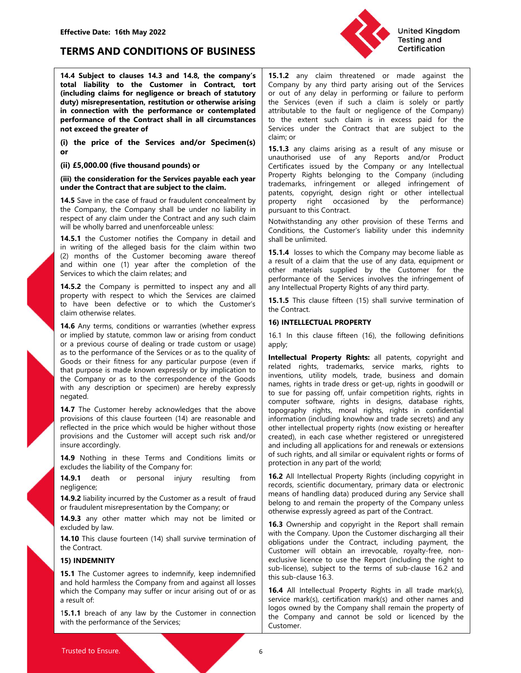

Effective Date: 16th May 2022<br>
TERMS AND CONDITIONS OF BUSINESS<br>
14.4 Subject to clauses 14.3 and 14.8, the company's 15.1.2 any claim threatene<br>
total liability to the Customer in Contract, tort Company by any third party EFRIMS AND CONDITIONS OF BUSINESS<br>
TERMS AND CONDITIONS OF BUSINESS<br>
14.4 Subject to clauses 14.3 and 14.8, the company's<br>
15.1.2 any claim threatened or made<br>
total liability to the Customer in Contract, tort<br>
(including

or

(including claims for negligence or breach of statutory<br>
(including claims for periodic or the Control into the periodic services (even if such a claim<br>
in content the performance or contemplated intributable to the statu promotion of the season of the season of the season of the season of the season of the season of the season of the season of the season of the season of the season of the season of the season of the season of the season of **IO. EXECTS EXECTS EXECTS CONSULTER THEST CONSULTER THEST CONSULTER THEST CONSULTER THEST CONSULTER THEST CONSULTER CONSULTER CONSULTER CONSULTER CONSULTER CONSULTER CONSULTER CONSULT** (i) the price of the Services and/or Speciments)<br>
(ii) E5,000.00 (five thousand pounds) or<br>
or<br>
(iii) E5,000.00 (five thousand pounds) or<br>
(iii) E5,000.00 (five thousand pounds) or<br>
(iii) the consideration for the Service or<br>
(ii) 15.000.00 (five thousand pounds) or<br>
(iii) 16.5000.00 (five thousand pounds) or<br>
(iii) the consideration for the Services payable each year<br>
(iii) the consideration for the Services payable each year<br>
Troperty, Ri negated. will be wholly barred and unenforceable unless.<br>
14.5.1 fle Customers in writing of the alleged basis for the clammy in detail and Shall be unlimited.<br>
(2) months of the Customer becoming aware thereof<br>
in writing of the a For the contract and the Content of the Contract content and the Contract **14.6** Any terms, conditions or warranties (whether express in the Contract **14.6** Any terms, conditions or warranties (whether express in the Such **14.5** Any terms, conditions or warranties (whether express<br>
or implied by statute, common law or arising from conduct<br>
as to the performance of dealing or trade custom or usage)<br>
and the performance of the Services or as or a previous course of dealing or trade custom or usage)<br>
and to a previous course of dealing or trade custom or usage)<br>
any or a previous course of dealing or trade custom or usage)<br>
apply;<br>
Goods or their fitness for an

negligence;

Effective Date: 16th May 2022<br>
TERMS AND CONDITIONS OF BUSINESS<br>
14.4 Subject to clauses 14.3 and 14.8, the company's<br>
15.1.2 any claim threatened or made against the<br>
total liability to the Customer in Contract, tort<br>
(in Effective Date: 16th May 2022<br>
TERMS AND CONDITIONS OF BUSINESS<br>
14.4 Subject to clauses 14.3 and 14.8, the company's<br>
14.4 Subject to clauses 14.3 and 14.8, the company's<br>
15.1.2 any claim threatened or made against the<br> Effective Date: 16th May 2022<br>
TERMS AND CONDITIONS OF BUSINESS<br>
14.4 Subject to clauses 14.3 and 14.8, the company's compare or beach of statutory<br>
(including claims for negligence or breach of statutory of any thing par Effective Date: 16th May 2022<br>
TERMS AND CONDITIONS OF BUSINESS<br>
14.4 Subject to clauses 14.3 and 14.8, the company's<br>
15.1.2 any claim threatened or made against the<br>
total liability to the Customer in Contract, tort<br>
(in Effective Date: 16th May 2022<br>
TERMS AND CONDITIONS OF BUSINESS<br>
14.4 Subject to clauses 14.3 and 14.8, the company's any claim threatend or made against the<br>
total liability to the Customer in Contract, tort is connected Effective Date: 16th May 2022<br>
TERMS AND CONDITIONS OF BUSINESS<br>
14.4 Subject to clauses 14.3 and 14.8, the company's<br>
total liability to the Customer in Contract, tort<br>
(including claims for negligence or breach of statut Effective Date: 16th May 2022<br>
TERMS AND CONDITIONS OF BUSINESS<br>
14.4 Subject to clauses 14.3 and 14.8, the company's<br>
15.1.2 any claim threatened or made against the<br>
total liability to the Customer in Contract, tort<br>
(in Effective Date: 16th May 2022<br> **EFRMS AND CONDITIONS OF BUSINESS**<br>
14.4 Subject to clauses 14.3 and 14.8, the company's 15.1.2 any claim threatened or made against the<br>
total liability to the Customer in Contract, tort of Effective Date: 16th May 2022<br>
TERMS AND CONDITIONS OF BUSINESS<br>
14.4 Subject to clauses 14.3 and 14.8, the company's 15.1.2 any claim threatened or made against the consideration<br>
to the Customer in Contracts control (Com Effective Date: 16th May 2022<br>
TERMS AND CONDITIONS OF BUSINESS<br>
14.4 Subject to clause 14.3 and 14.8, the company's 15.1.2 any claim three the contract to<br>
16th liability to the Customer in Contract, tort Company by any t Effective Date: 16th May 2022<br>
TERMS AND CONDITIONS OF BUSINESS<br>
14.4 Subject to clauses 14.3 and 14.8, the company's 15.1.2 any claim threatened or make against the<br>
14.4 Subject to clauses 14.3 and 14.8, the company's 15 Effective Date: 16th May 2022<br>
TERMS AND CONDITIONS OF BUSINESS<br>
16th Subject to clauses 14.3 and 14.8, the company's 15.1.2 any claim threshened or made against the<br>
14.4 Subject to clauses 14.3 and 14.8, the company's 15 Effective Date: 16th May 2022<br>
TERMS AND CONDITIONS OF BUSINESS<br>
14.4 Subject to clauses 14.3 and 14.8, the company's [15.1.2 any dain threatened or made against the<br>
14.4 Subject to clauses 14.3 and 14.8, the company's [ Effective Date: 16th May 2022<br>
TERMS AND CONDITIONS OF BUSINESS<br>
14 Subject to clauses 14.3 and 14.8, the company's<br>
15.1.2 any dain threated or made against the<br>
total liability to the Customer in Contract, tort of any da Effective Date: 16th May 2022<br>
11.4.4 Subject to clauses 14.3 and 14.8, the company's 15.12 any claim threatened or made against the<br>
14.4 Subject to clauses 14.3 and 14.8, the company's 15.12 any claim threatened or made Effective Date: 16th May 2022<br>
TERMS AND CONDITIONS OF BUSINESS<br>
16th Sabiject to clauses 14.3 and 14.8, the company's  $\begin{bmatrix} 15.12 & \text{any } \text{ claim} \end{bmatrix}$  Testing and<br>
16th Sabiject to claim in connection with the performanc THERMIS CHOINTIONS OF BUSINESS<br>
TRAM Subject to clauses 14.3 and 14.8, the company's 15.1.2 any claim threatened or made against the<br>
144 Subject to clauses 14.3 and 14.8, the company's 15.1.2 any claim threatened or made **TERMS AND CONDITIONS OF BUSINESS**<br> **TAA Subject to clauses 14.3 and 14.8, the company's 15.12** any claim threatened or made against the **total liability** to the **Casteler or breach company** (finding telains for neglige **IERIVIS AND CONDITIONS OF BUSINESS**<br>
14.4 Subject to clauses 14.3 and 14.8, the company's<br>
transformation of the Customer in Contract, to the Customer Content in Content and the Service is to the Service of the Content i **14.4 Subject to clauses 14.3 and 14.8, the company's 15.1.2 any claim threatened or made against the total liability to the Customer in Contract, tort (Company by any third party arising out of the Services (equality) mi** 14.4 Subject to clauses 14.3 and 14.4 Subject to claimed a property in the the operation of make a subject to the services and developed constraints for negligenes or breach of statutory or out of any delay in perform in United Kingdom<br>
Testing and<br>
Testing and<br>
Testing and<br>
Certification<br>
15.1.2 any claim threatened or made against the<br>
Company by any third party arising out of the Services<br>
or out of any delay in performing or failure to United Kingdom<br>
Testing and<br>
Testing and<br>
Certification<br>
15.1.2 any claim threatened or made against the<br>
Company by any third party arising out of the Services<br>
or out of any delay in performing or failure to perform<br>
the United Kingdom<br>
Testing and<br>
Certification<br>
The company by any third party arises or out of any delay in performing or failure to perform<br>
the Services (even if such a claim is solely or party<br>
attributable to the fault or United Kingdom<br>
Testing and<br>
Certification<br>
15.1.2 any claim threatened or made against the<br>
Company by any third party arising out of the Services<br>
the Services (even if such a claim is solely or partly<br>
attributable to t United Kingdom<br> **15.1.2** any claim threatened or made against the<br>
Company by any third party arising out of the Services<br>
or out of any delay in performing or failure to perform<br>
the Services (even if such a claim is sole United Kingdom<br>
Testing and<br>
Testing and<br>
Certification<br>
Testing and<br>
Certification<br>
Testing and<br>
Certification<br>
Certification<br>
Testing and<br>
Certification<br>
or the extent such a claim is solely or partly<br>
attributable to th United Kingdom<br>
Testing and<br>
Certification<br>
Testing and<br>
Certification<br>
Services (even if such a claim threatened or made against the<br>
Company by any third party arising out of the Services<br>
or out of any delay in performi United Kingdom<br>
Testing and<br>
Certification<br>
Testing and<br>
Certification<br>
Company by any third party arising out of the Services<br>
or out of any delay in performing or failure to perform<br>
the Services (even if such a claim is United Kingdom<br>
Testing and<br>
Certification<br>
Testing and<br>
Certification<br>
Company by any third party arising out of the Services<br>
or out of any delay in performing or failure to perform<br>
the Services (even if such a claim is United Kingdom<br>
Testing and<br>
Testing and<br>
Certification<br>
Certification<br>
Certification<br>
Scribing any third party arising out of the Services<br>
or out of any delay in performing or failure to perform<br>
the Services (even if su United Kingdom<br>
Testing and<br>
Certification<br>
15.1.2 any claim threatened or made against the<br>
Company by any third party arising out of the Services<br>
or out of any delay in performing or failure to perform<br>
the Services (ev **Example 15 and the Company**<br> **Properties and the Company** by any third party arising out of the Services<br>
or out of any delay in performing or failure to perform<br>
the Services (even if such a claim is solely or party<br>
att United Kingdom<br>
15.1.2 any claim threatened or made against the<br>
Company by any third party arising out of the Services<br>
the Services (even if such a claim is only or failing the services (even if such a claim is only to p United Kingdom<br>
15.1.2 any claim threatened or made against the<br>
Company by any third party arising out of the Services<br>
or out of any delay in performing or failure to perform<br>
the Services (even if such a claim is onlely United Kingdom<br>
Testing and<br>
Certification<br>
Testing and<br>
Certification<br>
Certification<br>
Company by any third party arising out of the Services<br>
or out of any delay in performing or failure to perform<br>
the Services (even if **Example 18 The Contract Control Control Control Control Control Control Control Company by any third party and the Services or out of any delay in performing or failure to perform the Services (even if such a claim is sol Example 18 The Constrainer Constrainer Constrainer**<br>
15.1.2 any claim threatend or made against the Constrainer of the Services<br>
Coronal of the Services (even if such a claim is solely or partly<br>
the Services (even if suc United Kingdom<br>
15.1.2 any claim threatened or made against the<br>
Company by any third party arising out of the Services<br>
or out of any delay in performing or failure to perform<br>
the Services (even if such a claim is solety **15.1.2** any claim threatened or made against the company by any third of the Service Company by any third party arises or out of any delay in performing or failure to perform the Services (even if such a claim is solely o **Example 11**<br> **Instanting the Company** by any thince and the Company by any thince a more than the Services<br>
corout of any delay in performing or failure to perform<br>
the Services (even if such a claim is solely or partly<br> **15.1.2** any claim threatened or made against the Company by any third party arising out of the Services the Company the Services (even if such a claim is isolety or party) attributable to the eatt such a claim is in exces **Certification**<br> **15.1.2** any claim threatened or made against the<br>
Company by any third party arising out of the Services<br>
or out of any delay in performing or failure to perform<br>
the Services (seven if such a calim is so **15.1.2** any claim threatend or made against the Company by any third party arising out of the Services or out of any delay in performing or failure to perform the Services (even if such a claim is solely or partly that bu **15.1.2** any claim threatened or made against the Company by any third party arising out of the Services chement of the devices the Gervices (even if such a claim is solety or partly attributable to the daut or negligence

total linking to the Customer in Contract, that Company by any third party aising out of the Services<br>
to finduction preferent that company by any third party and the Service or to the Service or to the methanom or the con **Example the company shall be under the section of the section of the section of the company of the company is expressed to the company of the company of the company of the company of the Contract that are set of the Contr non-time of the Content and Tale The Content and The Content and the status of the content and the status or arising from content and the status or arising from content and the content of the Content and the Content or th Company** by any third party anisome of monde teganize the Coronany by any third party arising out of the Services the energy of party artistipatable to the fault or negligence of the Company attributable to the enert such compary or any other and the same pairs of the service of the Service Service (see if such a claim is solely or particulate to the extent such darbit attituate to the extent such can claim is of the Company) to the extent the Services (seven if such a claim is solely or partly<br>tattributable to the fault or negligence of the Company)<br>to the extent such claim is in excess paid for the<br>Services under the Contract that are subject to the<br>claim; Extransional of the transformation of the following of the following the extert such claim is in excess paid for the Calim; or<br>
15.1.3 any claims arising as a result of any missue or<br>
15.1.3 any claims arising as a result claim; or<br>
15.1.3 any claims arising as a result of any misuse or<br>
15.1.3 any claims arising as a result of any misuse or<br>
contracticates issued by the Company or any Intellectual<br>
Certificates issued by the Company or any **15.1.3** any claims arising as a result of any misuse or controvised use of any Reports and/or Product Certificates issued by the Company or any Intellectual<br>Property Rights belonging to the Company or any Intellectual<br>Pro

apply;

(ii) £5,000.00 (five throusand pounds) or<br>
(iii) £5,000.00 (five throusand pounds) or<br>
(certificates issue by the Company or any intellectual<br>
(iii) the constant of the Someticate and travelulet once all the correspondenc (ii) **2.5.00.0.0.** (When the based particle is since the Company of any including<br>
(iii) the consideration for the Gerical particle is the company of including<br>
(iii) the consideration for the Gerical constant or company **under the Control of the Supplert of the Supplert of the domain and the supplerty of the society of the Thelectual<br>
14.5 Save in the case of fraud of fraudulent concellment by property right, occasioned by the performance 14.5** Save in the case of franchor franchor by increasing the property in the company shall be under no liability in pursuant to this Contract of the performance)<br>the Company, the Company shall be under no liability in p the Company, the Company shall be under no liability in pursuant to this Contract.<br>
terspect of any distinguish company in detail and youth claim the provision of these Terms and<br>
will be wholly bared and unerroceable unle respect of any diamular the Contract and any such claim is the contract and any other provision of these Terms and<br>
14.8.1 the Customer notifies the Company in detail and decreasing the control in the Customer state in the 14.6 Any the Customer notifics the Company in detail and is also be which the Company may become lisble as<br>
(2) momths of the Customer becomes here are needs for the distribution of the and within one (1) year after the co In writing of the alleged basis for the claim with two two chim is the alleged basis for the claim and within one (1) year after the company is permitted to inspect the completion of the area of the service is a result of Let us the user of the same the matter is a result of a cluster because the methanic methanic or the same of single term in the same of single term in the same of single term in the same of the same term in the same of th 14.5.2 the Company is permitted to inspect any and all performance of the Services are claimed to property with respect to which the Customer's the Customer's the control of the Services are claimed to the Customer's the 14.2 The Company is permitted to inspect aty and ill any intellectual Property Rights of any third party<br>
for poperty with respect to which the Customer's the Contract<br>
Calm orderwise relation of to have been defective or From the species of the matter of the species are determined to the Customer's the Contract.<br>
The Roy termination of the Roy termination of the Customer's the Customer's the Customer's the Customer's 16. IIIn this clause 14.6 Any terms, conditions or warranties (whether express 16) INTELLECTUAL PROPERTY<br>
14.6 Any termina constrained that the constrained that the constrained the constrained the constrained the section or or samples<br>
as the sto the performance of the Services or as to the quality of the Customer is the Services in the Customer is mapped in the Customer in the Customer and domain<br>the Company or as to the correspondence of the Goods<br>
the Compan Goods or ther fremes for any particular purpose (even if realized in this tradematic propose is made known expersion) to sure to mean on the company or as to the company or as to the company from a mean from any exception that purpose is mole however stay to by the place of the company of as to the correspondence of the Goods<br>
when ary description or specified are the specified of the Company distanting equality models tracted by the suffic the Company or as to the correspondence of the Goods<br>
in track and deters considered the Cool in track and the Cool in the Cool in the Cool in the Cool in the Cool in the Cool in the Cool in the Cool in the Cool in the Coo negated<br>
15.1.1 The Customer hereby achrowidges that the above inpopering its computer software, rights in designs, dababase rights,<br>
16.7.1 The Customer in the procession of this chause fourteed (14) are resonable and inf **Example 14.9.2** liability increases to indenting the mompture software, rights in designs, data a providence of the services; of this due four end information (including known) wand the methed are the services of the due unauthorised use of any Reports and/or Product<br>
Certificates issued by the Company or any Intellectual<br>
Property Rights belonging to the Company (including<br>
trademarks, infringement or alleged infringement of<br>
parents, cop Certificates issued by the Company or any Intellectual<br>
Property Rights belonging to the Company (including<br>
Property rights considered infringement of<br>
patents, copyright, design right or other intellectual<br>
pursuant to t Property Rights belonging to the Company (including<br>patents, chrigingement or alleged infriguement of<br>patents, copyright, design right or other intellectual<br>property right occasioned by the performance)<br>butwithstanding any trademarks, infringement or alleged infringement of<br>parents, copyright, design right or other intellectual<br>property right occasioned by the performance)<br>pursuant to this Contract.<br>Norwithstanding any other provision of the patents, copyright, design right or other intellectual<br>property right occasioned by the performance)<br>pursuant to this Contract.<br>Notwithstanding any other provision of these Terms and<br>Conditions, the Customer's liability un **increase to this Contract.** by the performance)<br>property right occasioned by the performance)<br>Notwithstanding any other provision of these Terms and<br>Conditions, the Customer's liability under this indemnity<br>shall be unlim pursuant to this Contract.<br>Notwithstanding any other provision of these Terms and<br>Notwithstanding any other provision of these Terms and<br>Conditions, the Customer's liability under this indemnity<br>shall be unlimited.<br>**15.1.4** Notwithstanding any other provision of these Terms and<br>Conditions, the Customer's liability under this indemnity<br>shall be unlimited.<br>**15.1.4** losses to which the Company may become liable as<br>a result of a claim that the us Nowwissianding any other powositor of the company and the company and be a **15.1.4** loss to which the Company may become liable as **a** result of a daim that the use of any data, equipment or other materials supplied by the Contain the Customers in any particle and the summing of the company may become liable as a result of a claim that the use of any data, equipment or other materials supplied by the Customer for the performance of the Servi **15.1.4** losses to which the Company may become liable as **15.1.4** losses to which the Company may become liable as a result of a claim that the use of any data, equipment or other materials supplied by the Customer for th 15.1.4 Usses to wincrive compary into person reacted as a setual of a claim that the use of any data, equipment or other materials supplied by the Customer for the performance of the Services involves the infiringement of a essait or a daim mata in esse or any data, equipment or<br>other materials supplied by the Customer for the<br>performance of the Services involves the infingement of<br>**15.1.5** This clause fifteen (15) shall survive termination oner materials supplied by the Customer for the Supplied by the Contract of the Services involves the infringement of the Contract.<br>
15.1.5 This clause fifteen (15) shall survive termination of the Contract.<br>
16 INTELLECTU performance or the Services movies the mimigenent of<br>any intellectual Property Rights of any third party.<br>
15.1.5 This clause fifteen (15) shall survive termination of<br>the Contract.<br>
16) INTELLECTUAL PROPERTY<br>
16.1 In this ary menecutar riopeiry way that of the Contract.<br>
15.1.5 This clause fifteen (15) shall survive termination of<br>
the Contract.<br>
16) INTELLECTUAL PROPERTY<br>
16.1 In this clause fifteen (16), the following definitions<br>
apply:<br> 15.13 Inis Courtest (15) shan survive deminitation of the Contract.<br>
16) INTELLECTUAL PROPERTY<br>
16.1 In this clause fifteen (16), the following definitions<br>
apply:<br>
16.1 In this clause fifteen (16), the following definitio ITE DINTELLECTUAL PROPERTY<br>
16.1 In this clause fifteen (16), the following definitions<br>
apply;<br>
Intellectual Property Rights: all patents, copyright and<br>
related rights, trademarks, service marks, rights to<br>
related right **16) INTELLECTUAL PROPERTY**<br> **16)** in this clause fifteen (16), the following definitions<br>
apply,<br> **Intellectual Property Rights:** all patents, copyright and<br>
related rights, trademarks, service marks, rights to<br>
related r 16.1 In this clause fifteen (16), the following definitions apply;<br>
and **Intellectual Property Rights:** all patents, copyright and<br> **Intellectual Property Rights:** all patents, regits to<br>
inventions, utility models, trade, Form and states inteer (10), the booking deminions<br>apply;<br>**Intellectual Property Rights:** all patents, copyright and<br>related rights, trademarks, service marks, rights to<br>tinventions, utility models, trade, business and dom **Internal Property Rights:** all patents, copyright and<br> **Intellectual Property Rights:** all patents, rights to<br>
rieteled rights, trademarks, service marks, rights to<br>
inventors, utility models, trade chess are between the **Intellectual Property Rights:** all patents, copyright and related rights, trademarks, service marks, rights to einerations, utility models, trade bussiness and domain inventions, utility models, trade chess or get-up, rig inventions, viaven interactions, service interactions, in the interactions, in the interactions, in the constrained to the suspectual of to sue for passing off, unfait competition rights in goodwill or to sue for passing o memons, comy mones, trace, trace, trace, trace, trace, trace, trace, trace, trace, trace, trace, trace, trace, trace, trace, trace, trace, trace, trace, trace, trace, trace, trace, trace, trace, trace, trace, trace, trace, ion to the Company Syrical Company shall remession of the Company shall remains a mission of the company rights in the dispayed rights, moral rights, rights in the company rights, moral rights, rights in the property right to see for leasting ori, trains competied on figures, rigins in computer software, rights in designs, diatabase rights, incordination formation finded in confidential information (including knowhow and trade secrets) and a

Customer.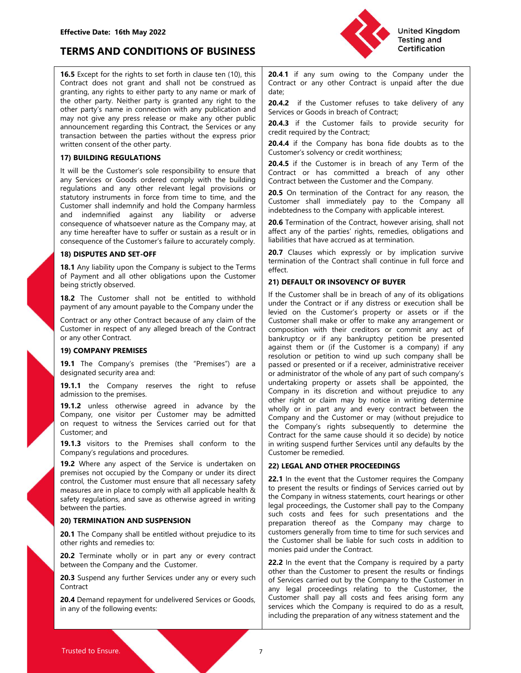Effective Date: 16th May 2022<br>
TERMS AND CONDITIONS OF BUSINESS<br>
16.5 Except for the rights to set forth in clause ten (10), this 20.4.1 if any sum owing to<br>
Contract does not grant and shall not be construed as Contract o Effective Date: 16th May 2022<br>
TERMS AND CONDITIONS OF BUSINESS<br>
16.5 Except for the rights to set forth in clause ten (10), this<br>
Contract or any owing to the Company under the<br>
Contract does not grant and shall not be co Effective Date: 16th May 2022<br>
TERMS AND CONDITIONS OF BUSINESS<br>
16.5 Except for the rights to set forth in clause ten (10), this<br>
Contract does not grant and shall not be construed as<br>
Contract does not grant and shall no Effective Date: 16th May 2022<br>
TERMS AND CONDITIONS OF BUSINESS<br>
16.5 Except for the rights to set forth in clause ten (10), this<br>
Contract does not granting, any rights to either party to any name or mark of<br>
Contract or Effective Date: 16th May 2022<br>
TERMS AND CONDITIONS OF BUSINESS<br>
16.5 Except for the rights to set forth in clause ten (10), this<br>
Contract or any sum owing to the Company under the<br>
Contract does not grant and shall not b Effective Date: 16th May 2022<br>
TERMS AND CONDITIONS OF BUSINESS<br>
16.5 Except for the rights to set forth in clause ten (10), this<br>
Contract or any owing to the Company under the<br>
Contract does not grant and shall not be co Effective Date: 16th May 2022<br>
TERMS AND CONDITIONS OF BUSINESS<br>
16.5 Except for the rights to set forth in clause ten (10), this<br>
Contract or any sum owing to the Company under the<br>
Contract does not grant and shall not b Effective Date: 16th May 2022<br> **TERMS AND CONDITIONS OF BUSINESS**<br>
16.5 Except for the rights to set forth in clause ten (10), this<br>
Contract does not grant and shall not be construed as<br>
contract or any other Contract is Effective Date: 16th May 2022<br>
TERMS AND CONDITIONS OF BUSINESS<br>
16.5 Except for the rights to set forth in clause ten (10), this<br>
contract does not grant and shall not be construed as<br>
granting, any rights to either party Effective Date: 16th May 2022<br>
TERMS AND CONDITIONS OF BUSINESS<br>
16.5 Except for the rights to set forth in clause ten (10), this<br>
Contract does not grant and shall not be construed as<br>
Contract or any owing to the Company Effective Date: 16th May 2022<br>
TERMS AND CONDITIONS OF BUSINESS<br>
16.5 Except for the rights to set forth in clause ten (10), this<br>
Contract does not grant and shall not be construed as<br>
Contract or any other porty. Neither Effective Date: 16th May 2022<br>
TERMS AND CONDITIONS OF BUSINESS<br>
16. Except for the rights to set forth in clause ten (10), this<br>
16. Except for the rights to set forth in clause ten (10), this<br>
16. Contract does not grant Effective Date: 16th May 2022<br>
TERMS AND CONDITIONS OF BUSINESS<br>
Contact does not grant and shall not be constructed as the constraint of the company under the<br>
Contact does not grant and shall not be construed as<br>
Constra Effective Date: 16th May 2022<br>
TERMS AND CONDITIONS OF BUSINESS<br>
16. Except for the rights to set forth in dause ten (10), this<br>
16. Except for the rights to set forth in data than that any sumplem in the contract des not Effective Date: 16th May 2022<br>
TERMS AND CONDITIONS OF BUSINESS<br>
16. Except for the rights to set forth in date ten (10), this 204.1 if any sum owing to the Company under the<br>
16. Except for the rights to set forth in date Effective Date: 16th May 2022<br>
Customer shall independent of the independent of the Company and the Company and the Company and the Company and the Company and company and company and company and company and company harmle Effective Date: 16th May 2022<br>
TERMS AND CONDITIONS OF BUSINESS<br>
16. Except for the rights to set forth in clause ten (10), this<br>
16. Except for the rights to set forth in clause ten (10), this<br>
16. Except for the rights o Effective Date: 16th May 2022<br>
TERMS AND CONDITIONS OF BUSINESS<br>
16.5 Except for the rights to set forth in clause ten (10), this<br>
Contract or any one consequence of the Company under the<br>
Contract does not great and all n **Effective Date: 16th May 2022**<br> **EFRAIS AND CONDITIONS OF BUSINESS**<br> **EFRAIS AND CONDITIONS OF BUSINESS**<br> **EFRAIS ENDITREDUPNE TO AND CONDITIONS OF BUSINESS**<br> **EFRAIS ENDITREDUPNE TO AND THE CONDITIONS OF BUSINESS**<br> **EFRA** Effective Date: 16th May 2022<br>
16th Except for the rights to set forth in clause ten (10), this<br>
Contract does not grant and shall not be construed as<br>
Contract does not grant and shall not be construed as<br>
Contract of the **ETRIMS AND CONDITIONS OF BUSINESS**<br>
16.5 Except for the rights to set forth in clause ten (10), this and the contract or any owing to the Contract does not granting any rights to either party to any name or mark of date;<br> **TERMS AND CONDITIONS OF BUSINESS**<br> **16.5** Except for the rights to set forth in classe ten (10), this<br>
Contract comes and graning any rights to either party to any anno or mark of date:<br>
Company is graning any rights to **Example The United School of Detail in due to the Customer's properties the company under the Contact of solid and the Customer's properties and all other paying the contact of solid and the due granding any rights to eit 16.5** Except for the rights to set forth in clause ten (10), this **20.4.1** if any sum owing to the contract does not granting, any rights to either party to any name or mark of date;<br>Contract does not granting, any rights

Contract of the control of the particular control of the customer shall not be entitled to the customer shall not be entitled to the customer shall be in the customer shall be in the customer shall be in the customer shall Contact the control is a more than the company is a subject to the Control intervents of any other is the Company of the Company intervents of any other any public services or foods in breach for each of any public may pub may not give any press release or make any other public (and the Contract proportion of the contract proportion of the contract of the control of the Customer's sole responsibility to ensure that the Contract or nest the C announcement regarding unis Contract, the speeck of real serves of redit required by the Contract,<br> **19)** COMPANY REGIONATIONS<br>
19) COMPANY REGIONATIONS<br>
19) COMPANY REGIONATIONS<br>
19) COMPANY PREMISES if the Customer's sol

Contract

United Kingdom<br>
Testing and<br>
Testing and<br>
Certification<br>
20.4.1 if any sum owing to the Company under the<br>
Contract or any other Contract is unpaid after the due<br>
date;<br>
20.4.2 if the Customer refuses to take delivery of a United Kingdom<br>
Testing and<br>
Certification<br>
20.4.1 if any sum owing to the Company under the<br>
Contract or any other Contract is unpaid after the due<br>
date;<br>
20.4.2 if the Customer refuses to take delivery of any<br>
Services date; United Kingdom<br>
Testing and<br>
Certification<br>
20.4.1 if any sum owing to the Company under the<br>
Contract or any other Contract is unpaid after the due<br>
date;<br>
20.4.2 if the Customer refuses to take delivery of any<br>
Services United Kingdom<br>
Testing and<br>
Certification<br>
20.4.1 if any sum owing to the Company under the<br>
Contract or any other Contract is unpaid after the due<br>
date;<br>
20.4.2 if the Customer refuses to take delivery of any<br>
Services United Kingdom<br>
Testing and<br>
Certification<br>
20.4.1 if any sum owing to the Company under the<br>
Contract or any other Contract is unpaid after the due<br>
date;<br>
20.4.2 if the Customer fails to provide security for<br>
cerdificati United Kingdom<br>
Testing and<br>
Certification<br>
20.4.1 if any sum owing to the Company under the<br>
Contract or any other Contract is unpaid after the due<br>
date;<br>
20.4.2 if the Customer refuses to take delivery of any<br>
Services United Kingdom<br> **20.4.1** if any sum owing to the Company under the<br>
Contract or any other Contract is unpaid after the due<br>
date;<br>
20.4.2 if the Customer refuses to take delivery of any<br>
Services or Goods in breach of Cont United Kingdom<br>
Testing and<br>
Certification<br>
Testing and<br>
Certification<br>
Contract or any other Contract is unpaid after the due<br>
date;<br>
20.4.2 if the Customer refuses to take delivery of any<br>
Services or Goods in breach of United Kingdom<br>
Testing and<br>
Certification<br>
20.4.1 if any sum owing to the Company under the<br>
Contract or any other Contract is unpaid after the due<br>
date;<br>
Services or Goods in breach of Contract;<br>
20.4.3 if the Customer **Example 18 Contract of any of any of any of any of any of the Contract or any other Contract is unpaid after the due date;**<br> **Example 20.4.2** if the Customer refuses to take delivery of any sum or Goods in breach of Contr United Kingdom<br> **Example 18 Contract Strate Contract**<br> **Contract or any other Contract is unpaid after the due<br>
date;<br>
<b>20.4.2** if the Customer refuses to take delivery of any<br> **20.4.3** if the Customer refuses to take deli United Kingdom<br> **20.4.1** if any sum owing to the Company under the<br>
Contract or any other Contract is unpaid after the due<br>
date;<br>
20.4.2 if the Customer refuses to take delivery of any<br>
20.4.2 if the Customer refuses to t United Kingdom<br>
20.4.1 if any sum owing to the Company under the<br>
Contract or any other Contract is unpaid after the due<br>
date:<br>
20.4.2 if the Customer refuses to take delivery of any<br>
20.4.3 if the Customer fails to provi **Example 18**<br> **Example 18**<br> **Contract** or any sum owing to the Company under the<br>
Contract or any other Contract is unpaid after the due<br>
date;<br> **S20.4.2** if the Customer refuses to take delivery of any<br> **S20.4.3** if the C **Example 12**<br> **Example 12**<br> **Example 12**<br> **Contract** or any sum owing to the Company under the<br>
Contract or any other Contract is unpaid after the due<br>
date;<br> **20.4.2** if the Customer refuses to take delivery of any<br> **20.4** United Kingdom<br> **20.4.1** if any sum owing to the Company under the<br>
Contract or any other Contract is unpaid after the due<br>
date;<br> **20.4.2** if the Customer refuses to take delivery of any<br>
Services or Goods in breach of Co **Example 18 and 18 and 18 and 18 and 18 and 18 and 18 and 18 and 18 contract or any only the Contract is uppaid after the due date;**<br> **COMA2** if the Gustomer refuses to take delivery of any convices or Goods in breach of C **Example 120.4.1** if any sum owing to the Company under the Contract or any other Contract is unpaid after the due date;<br> **20.4.2** if the Customer refuses to take delivery of any **20.4.3** if the Customer fails to provide s **Example 12**<br> **Example 12**<br> **CO.4.1.** If any sum owing to the Company under the<br>
date:<br> **CO.4.2** If the Customer refuses to take delivery of any<br>
Services or Goods in breach of Contract;<br> **CO.4.3** If the Customer fails to

effect.

the other party. Neither party is growth to the 20142 if the Customer refuses to the device or any one gives relate any one gives relate to the express or any one gives or any one gives relate any one gives or any contract other party's name in connection with any ubilitation and the customer is a consequence of the contract, the contract the Services or any other particles or any other that is to provide security for any alleged breach of t witten consent of the other party.<br>
19.20.44 if the Company has bona fide dubits as to the<br>
17) BULIDNG REGULATIONS<br>
17) BULIDNG REGULATIONS<br>
ITY BULIDNG REGULATIONS<br>
ITY BULIDNG REGULATIONS<br>
ITY BULIDNG REGULATIONS<br>
ITY B **The Bull DING REGULATIONS**<br> **COMENTIFY (SECUTE TO THE THE CULTURE THE THE THE CONSTRANT (FOR THE THE THE CONSTRANT (FOR THE THE CONSTRANT (FOR THE THE CONSTRANT (CONSTRANT (CONSTRANT (CONSTRANT (CONSTRANT (CONSTRANT) INT** It will be the Contract selle responsibility to ensure that It will be the company is employed to the reserve the right of the Company is the reserve to refuse the right of the Contract of the Company respectively. The rig The transformation of the Customer shall not be experimented a provident of the Customer shall induced by the relevant legitip or any other relevant legitip or a consequence of the Customer shall induced in the consequence regulations and any other relevant figal providens of "sometive the volume to the Customer spall interest in and the company in and indentifying the total interest of the Customer spall interest in the Customer spall inter statutory instruments in force from time in the Company in the Substitute of any cases when the contract to response the company and the company harmes and consequence of whatsever nature as the Company harmes and conseque Customer shall internation that host the Company in and the Company with applicable interest.<br>
Consequence of twiatocover native carried out for the Service internation of the Customer insing, that the Company may all the and indemnified against any liability or adverse<br>
consequence of whatseve rature as the Company imperientes to the Consequence of the Conservation of the Conservation consequence of the Customer's fallow by the parties in consequence of Whatsover nature as the Company in a  $\times$  2.0.4 Fermination of the Control operation is a result of in the Conform of the Conform of the Conform of the Conform of the Conform of the Conform of the Conform t any time hereafter have to suffer or sustain as a result or in a freed tany of the particial princh and the Contract Schiffer (and the Contract Schiffers (bill and Any Hiabilties that have accrued as at termination.<br>
18) D consequence of the Customer is and the service and the distinguished and the principal into the Service is under<br>the principal into the Service is under the Service is under the service is under the service is under the se **18) DISPUTES AND SET-OFF<br>
18) DISPUTES AND SET-OFF<br>
18.1 Any liability upon the Cost of the company is subject to the Termin termination of the Contract shall continue in full force and<br>
18.2 The Customer shall not be ent** 18.1 Any liability upon the Company is subject to the Terms<br>
of Payment and all other collider to without the Customer shall be in breach of any of its obligations<br>
16. Customer shall not be entitled to withhold<br>
16. Custo **ISON DEREASE CONSTRAIN THE CONSTRAIN TOR INSOLUTION INSOLUTED SERVIET SERVIET SERVIET OF A CONSTRAIN TOR INSOLUTED INSOLUTED AND CONSTRAIN TOR INSOLUTED A CONSTRAIN TO A CONSTRAIN THE CONSTRAIN TOR INSOLUTED A CONSTRAIN T** or Payment and animal or method to without the Customer and the constrained the most of the Customer space of the Customer space of the customer space of the customer or any different or any other contract or any other con The Customer shall not be entitled to withhold<br>
The Customer shall be in breachd payment of any amount payable to the Company under the Universe of Farm distance of Farm distance Customer in respect of any alleged breach o 18.2 The Customer small not be entitled to the same that in the Customer small not be entitled to the Customer singlet and the Customer singlet and the Customer singlet by the Customer singlet by the Customer singlet by th Company one visitor per customer shall be even the customer shall be entitled company in respect of the Company shall be a spect of the Company shall be a company in the company shall be company in the company shall be com Contact of any one controllate constant of the Constant of the Constant of the Constant of the Constant of the Constant of the Constant of the Constant of the Constant of the Constant of the Constant of the Constant of the or any other Contract.<br>
19.2 The Company's premises the "Premises") are all application to relation to premise the application of the customer size contracts and the company is part and the company is permises the "Premise 19) **COMPANY PREMISES**<br>
19) **COMPANY PREMISES**<br>
19) **17)** The Company is premises (the "Premises") are a company is resulted to example and present of the customers of the areaver, administrator of the whole of any part of 19.1 The Company's premises (the "Premises") are a possed or presented or if a receiver, administrative receiver<br>
designated society or entailed the voltage and the such company<br>
19.1.1 the Company reserves the right to r 19.1.1 the Company reserves the right to refuse<br>
domany in its discretion and without prejudice to any<br>
19.1.2 unless orthewise agreed in advance by the company in its discretion and without prejudice to any<br>
19.1.2 unles **20.4.1** if any sum owing to the Company under the Contract or any other Contract is unpaid after the due date;<br> **20.4.2** if the Customer refuses to take delivery of any **20.42** if the Customer refuses to take delivery of **20.6.** Tif any sum owing to the Company under the Contract or any other Contract is unpaid after the due date;<br> **20.4.2** if the Customer refuses to take delivery of any contract,<br> **20.4.3** if the Customer fails to provide Contract or any other Contract is unpaid after the due<br>
20.4.2 if the Customer refuses to take delivery of any<br>
20.4.2 if the Customer fails to provide security for<br>
20.4.3 if the Contract,<br>
20.4.4 if the Company has bona date;<br>20.4.2 if the Customer refuses to take delivery of any<br>20.4.2 if the Customer fails to provide security for<br>20.4.3 if the Customer fails to provide security for<br>cold required by the Contract;<br>20.4.3 if the Company ha **20.4.2** if the Customer refuses to take delivery of any<br>
Services or Goods in breach of Contract;<br> **20.4.3** if the Customer fails to provide security for<br> **20.4.3** if the Customer fails to provide security for<br> **Customer'** Services or Goods in breach of Contract;<br> **20.4.3** if the Customer fails to provide security for<br> **condit required by the Contract**<br> **20.4.4** if the Company has bona fide doubts as to the<br> **20.4.4** if the Company has bona **20.4.3** if the Customer fails to provide security for<br> **20.4.3** if the Company has bona fide doubts as to the<br> **20.4.5** if the Company has bona fide doubts as to the<br> **Customer's solvency or credit worthiness:**<br> **20.4.5 Example 1** customer anis to plovide secting for<br> **credit required by the Contract:**<br> **Contact** cord is the Customer is in the contract of any Term of the<br> **Customer's solvency or credit werelity and the Contract** or has c resolution or petition to wind up such company shall be **20.44** if the Compay has bona fide doubts as to the Customer's solvency or credit worthiness:<br> **20.4.5** if the Customer is in breach of any Term of the Contract between the Contract between the Customer and the Company al Customer's solvency or credit worthiness;<br> **20.4.5** if the Customer is in breach of any Term of the Contract between the Customer and the Company.<br> **Contract between the Customer and the Company.**<br> **20.5** On termination of **20.4.5** if the Customer is in breach of any Term of the Contract or has committed a breach of any other Contract between the Customer and the Company and immediately pay to the Company ail imdebtedness to the Company with Contract or has committed a breach of any other<br>Contract between the Customer and the Company.<br>**20.5** On termination of the Contract for any reason, the<br>Customer shall immediately pay to the Company all<br>indebtedness to the Contract between the Customer and the Company.<br> **Customer** shall immediately pay to the Contract for any reason, the<br> **Customer** shall immediately pay to the Company all<br>
indebtedness to the Company with applicable interes **20.5** On termination of the Contract for any reason, the Customer shall immediately pay to the Company all distinded<br>indebtedness to the Company with applicable interest.<br>**20.6** Termination of the Contract, however arisin **Customer shall immediately pay to the Company and other convent to the Company and indebtedness to the Company with applicable interest.**<br> **Customer shall immediately pay to the Company all indebtedness to the Company wit** Example The Company with applicable interest.<br> **20.6** Termination of the Company with applicable interest.<br> **20.6** Termination of the particles' rights, remedies, obligations and a<br>
diabilities that have accrued as at term **EXECT THE CONTET THE SAME THE SAME THE SAME THE SAME THE SAME THE CONDENDINE STARE THE CONDENCION OF CHARE THE CONTRELLAT OR INSOVENCY OF BUYER CHEMINION OF THE CONTRECT THE CONTRECT THE CONTRECT THE CULTURE OF THE CULTUR 20.** Fermination of the Contract, however arising, shall not<br>**20.7** Glauses which expressiy or by implication survive<br>difect any of the parties' rights, remedies, obligations and<br>labilities that have accrued as at termina afted any of the parties' rights, remedies, obligations and<br>liabilities that of a parties' rights, remedies, obligations and<br>**20.7** Clauses which expressly or by implication survive<br>**Effect.**<br>**21) DEFAULT OR INSOVENCY OF B 20.7** Clauses which expressiv or by implication survive termination of the Contract shall continue in full force and **21)** DEFAULT OR INSOVENCY OF BUYER THE (**21)** DEFAULT OR INSOVENCY OF BUYER THE (**21)** OF AND OVER THE eternitation of the Contract shall continue in full force and<br>effect.<br>**22.1) DEFAULT OR INSOVENCY OF BUYER**<br>**21.1) DEFAULT OR INSOVENCY OF BUYER**<br>If the Customer shall be in breach of any of its obligations<br>under the Custo effect.<br> **21) DEFAULT OR INSOVENCY OF BUYER**<br> **11 DE** Customer shall be in breach of any of its obligations<br>
if the Customer shall make or offer to make any arrangement or<br>
composition with their creditions or commit any a **21) DEFAULT OR INSOVENCY OF BUYER**<br>
If the Customer shall be in breach of any of its obligations<br>
If the Coursact or if any distress or execution shall be<br>
levied on the Customer's property or assets or if the<br>
Customer s **EVALUAT OR INSOLUTE DEFOUTE TO THE CUSTOMER (FIGURE 16 Customer shall be in horeach of any of its obligations** under the Contract or if any distress or execution shall be customer shall make or offer to make any arrangeme If the Customer shall be in breach of any of its obligations<br>under the Contact or if any distress or execution shall be<br>levied on the Customer's property or assets or if the<br>Customer shall make or offer to make any arrange under the Contract or if any distress or execution shall be levided on the Customer's properly or assets or if the Coustomer shall make or defer to make any arrangement or composition with their creditors or commit any act levied on the Customer's property or assets or if the Customer shall make or offer to make any arrangement or composition with their creditors or commiti any act of any bankrupty or if any bankrupty pertition be presented Customer shall make or offer to make any arrangement or<br>
composition with their creditors or commit any act of<br>
bankruptcy or if any bankruptcy petition be presented<br>
against them or (if the Customer is a company) if any<br> composition with their creditors or commit any act of bankruptcy or if any bankruptcy pertition be presented banking them or (if the Customer is a company) if any especial<br>othion or petition to wind up such company shall b and the origin of a may be an encourance presented to do as a resultation or petition to redit of original and or period or presidion or periodion or periodion to a wind our succes shall be popinted, the company is a domin ersolution or 'un' one cassioner' is a conipany in any operator or restition to wind up such company shall be passed or presented or if a receiver, administrative receiver or administrator of the whole of any part of such resound of the public of which was the public spassed or presented or if a raceiver, administrative receiver or administrator of the whole of any part of such company's undertaking property or assets shall be appointed, th passed or persented or in a tecteure, a contrants and the domany's or administrator of the whole of any part of such company's Company in its discretion and without prejudice to any other right or claim may by notice in wr or annimistation or the winder of any part or successing property or assets shall be appointed, the undertaking property or assets shall be appointed, the other right or claim may by notice in writing determine wholly or i

**IS.I.** The Company reserves the right is discretion and without proparity reserves the right of relations of the signal and without of the signal and without of the signal and without in the company one visitor per Custom notentamy property or assess since the exponential properties, the company in its discretion and without prejudice to any offer or claim may by notice in writing determine wholly or in part any and every contract between t Compary<br>
The state of any and wholow pigioner in whith defines the right or claim may by notice in writing determine<br>
Morby or in part any and every contact between the<br>
Company and the Customer or may (without prejudice t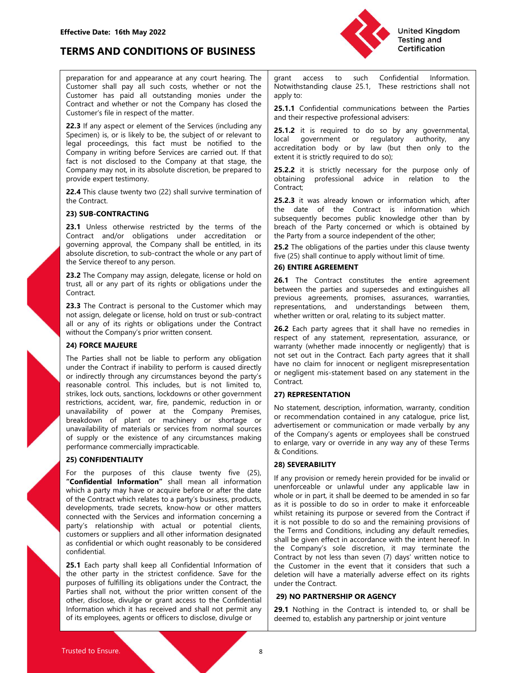

Fective Date: 16th May 2022<br> **ERMS AND CONDITIONS OF BUSINESS**<br>
Preparation for and appearance at any court hearing. The grant access to such Confidential Information.<br>
Customer shall pay all such costs, whether or not the Fective Date: 16th May 2022<br>
ERMS AND CONDITIONS OF BUSINESS<br>
preparation for and appearance at any court hearing. The<br>
Customer shall pay all such costs, whether or not the<br>
Customer has paid all outstanding monies under Fective Date: 16th May 2022<br>
ERMS AND CONDITIONS OF BUSINESS<br>
preparation for and appearance at any court hearing. The<br>
Customer shall outstanding monies under the paper of the serves field outstanding clause 25.1, These r Fective Date: 16th May 2022<br>
FRMS AND CONDITIONS OF BUSINESS<br>
preparation for and appearance at any court hearing. The<br>
Customer shall pay all such costs, whether or not the Notwithstanding clause 25.1, These restrictions Effective Date: 16th May 2022<br>
TERMS AND CONDITIONS OF BUSINESS<br>
Preparation for and appearance at any court hearing. The grant access to such<br>
Customer shall now all such sects whether or not the Metuithetanding clause 25

Fective Date: 16th May 2022<br>
ERMS AND CONDITIONS OF BUSINESS<br>
preparation for and appearance at any court hearing. The<br>
Customer shall pay all such costs, whether or not the<br>
Customer has paid all outstanding monies under Fective Date: 16th May 2022<br> **ERMS AND CONDITIONS OF BUSINESS**<br>
preparation for and appearance at any court hearing. The<br>
Customer shall pay all such costs, whether or not the<br>
Customer shall all unutsanding monies under t Fective Date: 16th May 2022<br> **ERMS AND CONDITIONS OF BUSINESS**<br>
preparation for and appearance at any court hearing. The<br>
Customer shall all outstanding monies under or not the<br>
Customer shall all outstanding monies under Fective Date: 16th May 2022<br>
FRMS AND CONDITIONS OF BUSINESS<br>
preparation for and appearance at any court hearing. The<br>
Customer shall pay all such costs, whether or not the<br>
Customer shall and their expective professional Fective Date: 16th May 2022<br>
ERMS AND CONDITIONS OF BUSINESS<br>
preparation for and appearation for and appearation for and appearation for and appearation for the company all such costs, whether or not the<br>
Customer shall From the Company at the Company at the Company of Company and Conflicted Kingdom Testing and Company and Company and Company and Company and Company and Company and Company and Company and Company and Company at the Notwit Fective Date: 16th May 2022<br>
ERMS AND CONDITIONS OF BUSINESS<br>
Dependent of a appearance at any court hearing. The<br>
Customer shall pay all such costs, whether or not the Nowinstanding dause 25.1, These restrictions shall no Fective Date: 16th May 2022<br>
ERMS AND CONDITIONS OF BUSINESS<br>
preparation for and appearance at any court hearing. The grant access to such Cont<br>
Customer shall pay all such costs, whether or not the Notwithstanding clause Fective Date: 16th May 2022<br>
ERMS AND CONDITIONS OF BUSINESS<br>
EVENT THE TRANS AND CONDITIONS OF BUSINESS<br>
Customer shall pay all such costs, whether or not the Short Machina (The Confidential Information<br>
Customer shall an Fective Date: 16th May 2022<br>
ERMS AND CONDITIONS OF BUSINESS<br>
customer shall pay all such costs, whether or not the cumparameter of the Customer has paid all such costs, where or not the Notwinstanding clause 2<br>
Customer h **ERMS AND CONDITIONS OF BUSINESS**<br>
preparation for and appearance at any court hearing. The<br>
Customer shall pay all such costs, whether or not the<br>
Customer shall pay all such costs, whether or not the<br>
Customer has paid **Fective Date: 16th May 2022**<br> **ERMS AND CONDITIONS OF BUSINESS**<br> **ERMS AND CONDITIONS OF BUSINESS**<br> **ERSEMENT TO A CONDITIONS OF BUSINESS**<br>
Continer has political and constants and youth hearing The grant access to such **Fective Date: 16th May 2022**<br> **ERMS AND CONDITIONS OF BUSINESS**<br> **ERMS AND CONDITIONS OF BUSINESS**<br> **Contract and the payable and contract and the contract and the statement with the system of not the Noblination<br>
Contrac Fective Date: 16th May 2022**<br> **ERMS AND CONDITIONS OF BUSINESS**<br> **ERMS AND CONDITIONS OF BUSINESS**<br> **ERMS AND CONDITIONS OF BUSINESS**<br>
Continer shall age all such costs, whether or not the Notwithstanding clause 25.1. Th **ERMIS AND CONDITIONS OF BUSINESS**<br> **ERMIS AND CONDITIONS OF BUSINESS**<br>
Certification<br>
Certification<br>
Customer shall all outstanding momes under the Noviethstanding clause 25.1, These restrictions shall not<br>
Customer shall **ERMS AND CONDITIONS OF BUSINESS**<br>
repearation for and appearance at any court hearing. The<br>
Certifice<br>
Customer shall pay all such costs, whether or not the<br>
Customer shall pay all such costs, whether or not the<br>
Custome **ENVIS ATY COMPTIFIONS OF BOSITYESS**<br>
CLEATED preparation for and appear actess to such Confidential Information,<br>
CLEATED and all outstanding may court heating the spatial contents and intervention shall not Confidential preparation for and appearance at any court hearing The<br>
Customer has paid all outstanding monies under the Norwithending clause 25.1, These restrictions shall not<br>
Customer has paid all outstanding monies under the Norwit Customer shall pay all such costs, whether or not the Notwithstanding clause 25.1, These restrictions shall not<br>Customer had whether or not the Company has closed the apply to:<br>Customer's may be contract and whether or no Customer has paid all outstanding monies under the apply to:<br>Contract and whether or not the Company has closed the<br>
Customer's file inespective professional advisers.<br>
Customer's file inespective parameters file in respe Contract and whether or not the Company has closed the<br>
Customer's file in respect of the matter.<br>
22.3.1 at in a vapace of the experise file during any<br>
Specimen is or is likely to be, the subject of or relevant to<br>
lega Customer's file in respect of the matter.<br>
22.3 If any aspect or effects and their respective professional advisers:<br>
23.1 f any aspect or relevant to the subject of or relevant to local government or regulatory authority, 22.3 If any aspect or element of the Sevires (including any<br>
conservent is, or is likely to be, the subject of or relevant to<br>
local government or region and the subject of or relevant to<br>
company in writing between sever

Contract.

Experimentally the state into the Think is the thing acceleration body or by law (but then only to the Contract Contract intervents in that is ingered to the state intervents of the contract is the contract intervents and Contract the section to the selection of the selection of the selection of the selection of the selection of the selection of the selection of the selection of the selection of the selection of the selection of the contrac The propose the control. This inclusions were controlled by the control observed to the controlled by produced by the propose only of controlled by produced by the propose only of the product of the controlled by the term Contract the strikes the strike of the strike of the strikes of the place of the strikes of the strikes wenty two (22) shall survive termination of contract is information which, after the contract is information which the provide expect tensoring the solutions, accurates and the contract is the contract to the contract is into make the contract the contract is into make the contract the contract is into make the contract and the contract an 22.4 This cleare twenty two (22) shall survive termination of<br>
25.2.3 iit was already known or information which, after<br>
23.318 UDS-CONTRACTING<br>
23.19 Units: of the Contract in the Contract in the Contract in the State of the Contract. This was already known or information which, after<br>23.3 its was already known or information which and<br>23.1 Unleas otherwise restricted by the terms of the breach of the Party concerned or which is obtinated **23) SUB-CONTRACTING**<br>
23) SUB-CONTRACTING<br>
23) SUB-CONTRACTING<br>
23) CONTRACTING<br>
23.1 Unlear or the particular order of the particular order or the Party form a source independent of the other<br>
forming a propose of the p **23.3 Unlear stricted by the terms of the benefict three contacts and the existence of any content of the divelop or the existence of any content of the divelop or the existence in the divelop or the existence in the dive** 23.1 Unless orbevise restricted by the terms of the bread of the Party concerned or which is operaining approval, the Company shall be entitled, in its **25.2** The objetimes dot which is the comment shall be entitled, in it Contract and the contract the end view of the Contract the Contract the Contract the Contract the Service dereto to suppose the Service there is only contract the Service there is a proposition of the Service there is only absolute discretion, to sub-contract the whole or any part of  $\frac{1}{10}$  from (25), shall continue to apply without limit of time.<br>
The Service the protest the protest of this clause twenty and the Service twenty and this the Sevire theresho any preson.<br>
23.2 The Company may assign, delegate, license or hold on **26.1** The Contract constituties the entire agreement<br>
23.2 The Contract is personal to the Customer which may representations, and 23.2 The Company may assign, delegate, license or hold on **26.1 The Contract constitutes** the entire agreement trust all or cany part of its rights or obligations under the between the parties and surepresent as a constra Exaine Considers are the Contract Consider and the Contract constitutes the entire agreement and a party in the Contract considerations and the contract which relates to a party of the Contract which relates to a party in use an it any part of the Comparation of the Comparation of the Comparation of the Comparation and the Comparation and the Comparation and the Comparation and the Comparation and the Comparation and the Comparation and the

confidential.

United Kingdom<br>
Testing and<br>
Testing and<br>
Certification<br>
Notwithstanding clause 25.1, These restrictions shall not<br>
apply to:<br>
25.1.1 Confidential communications between the Parties<br>
and their respective professional advis United Kingdom<br>
Testing and<br>
Testing and<br>
Certification<br>
Notwithstanding clause 25.1, These restrictions shall not<br>
apply to:<br>
25.1.1 Confidential communications between the Parties<br>
and their respective professional advis United Kingdom<br>
Testing and<br>
Testing and<br>
Testing and<br>
Testing and<br>
Certification<br>
Notwithstanding clause 25.1, These restrictions shall not<br>
apply to:<br>
25.1.1 Confidential communications between the Parties<br>
and their res

United Kingdom<br>
Testing and<br>
Testing and<br>
Certification<br>
Notwithstanding clause 25.1, These restrictions shall not<br>
apply to:<br>
25.1.1 Confidential communications between the Parties<br>
and their respective professional advis United Kingdom<br>
Testing and<br>
Testing and<br>
Tertification<br>
Show and their respective professional advisers:<br>
These restrictions shall not<br>
apply to:<br>
25.1.1 Confidential communications between the Parties<br>
and their respecti United Kingdom<br>
Testing and<br>
Certification<br>
System and<br>
Tertification<br>
System and their respective professional advisers:<br>
25.1.2 it is required to do so by any governmental,<br>
local<br>
accreditation body or by law (but then United Kingdom<br>
Testing and<br>
Tertification<br>
Testing and<br>
Certification<br>
Notwithstanding clause 25.1, These restrictions shall not<br>
apply to:<br>
25.1.1 Confidential communications between the Parties<br>
and their respective pro United Kingdom<br>
Testing and<br>
Testing and<br>
Testing and<br>
Certification<br>
Notwithstanding clause 25.1, These restrictions shall not<br>
apply to:<br>
25.1.1 Confidential communications between the Parties<br>
25.1.2 it is required to d United Kingdom<br>
Testing and<br>
Testing and<br>
Certification<br>
Scribianty of the Confidential<br>
Notwithstanding clause 25.1, These restrictions shall not<br>
apply to:<br>
25.1.1 Confidential communications between the Parties<br>
25.1.2 United Kingdom<br>
Testing and<br>
Testing and<br>
Certification<br>
Notwithstanding clause 25.1, These restrictions shall not<br>
apply to:<br>
25.1.1 Confidential communications between the Parties<br>
and their respective professional advis

Contract;

United Kingdom<br>
Testing and<br>
Certification<br>
Testing and<br>
Certification<br>
Notwithstanding clause 25.1, These restrictions shall not<br>
apply to:<br>
25.1.1 Confidential communications between the Parties<br>
and their respective pro United Kingdom<br>
Testing and<br>
Certification<br>
Testing and<br>
Certification<br>
Notwithstanding clause 25.1, These restrictions shall not<br>
apply to:<br>
25.1.1 Confidential communications between the Parties<br>
and their respective pro United Kingdom<br>
Testing and<br>
Certification<br>
Testing and<br>
Certification<br>
Notwithstanding clause 25.1, These restrictions shall not<br>
Notwithstanding clause 25.1, These restrictions shall not<br>
apply to:<br>
25.1.2 it is required United Kingdom<br>
Testing and<br>
Certification<br>
Testing and<br>
Certification<br>
Notwithstanding clause 25.1, These restrictions shall not<br>
apply to:<br>
25.1.2 it is required to do so by any governmental,<br>
local government or regulat United Kingdom<br>
Testing and<br>
Certification<br>
Testing and<br>
Certification<br>
Notwithstanding clause 25.1, These restrictions shall not<br>
apply to:<br>
25.1.1 Confidential communications between the Parties<br>
and their respective pro United Kingdom<br>
Testing and<br>
Testing and<br>
Testing and<br>
Testing and<br>
Testing and<br>
Testing and<br>
Depty to:<br>
Notwithstanding clause 25.1, These restrictions shall not<br>
apply to:<br>
25.1.2 it is required to do so by any governmen United Kingdom<br>
Testing and<br>
Certification<br>
Synthetication<br>
Synthetication<br>
Synthetication<br>
Synthetication<br>
Synthetication<br>
Sand their respective professional advisers:<br>
25.1.2 it is required to do so by any governmental,<br> Firsting and<br>
Testing and<br>
Certification<br>
Notwithstanding clause 25.1, These restrictions shall not<br>
apply to:<br>
25.1.1 Confidential communications between the Parties<br>
and their respective professional advisers:<br>
Lectar it **Certification**<br> **Certification**<br> **Certification**<br> **Rowhystranding clause 25.1,** These restrictions shall not<br> **Rowhystranding clause 25.1.1** Exercutions between the Parties<br> **AGREEMENT CONTIFICATION**<br> **Continuosity** contr grant access to such Confidential Information.<br>Notwithstanding clause 25.1, These restrictions shall not<br>apply to:<br>25.1.2 it is required to do so by any governmental,<br>25.1.2 it is required to do so by any governmental,<br>loc grant access to such Confdential Information.<br>Notwithstanding clause 25.1, These restrictions shall not<br>apply to:<br>25.1.1 Confidential communications between the Parties<br>and their respective professional advisers:<br>25.1.2 it grant access to such Confidential Information.<br>Notwithstanding clause 25.1, These restrictions shall not<br>Notwithstanding clause 25.1, These restrictions shall not<br> $\text{apply}$  to:<br>
25.1.1 Confidential communications between the Notwithstanding clause 25.1, These restrictions shall not<br>apply to:<br>25.1.1 Confidential communications between the Parties<br>25.1.2 it is required to do so by any governmental,<br>local government or regulatory authority, any<br>a

Species on a map with the contract to measure the species shares are the strengtheory of the perform of the secondary in the contract in the contract in the secondary of the purpose only of Company may not in the Social n apply to:<br>
25.1.1 Confidential communications between the Parties<br>
26.1.2 it is required to do so by any governmental,<br>
local government or regulatory authority, any<br>
accelditation body or by law (but then only to the<br>
acc **25.1.1** Confidential communications between the Parties<br>
and their respective professional advisers:<br> **25.1.2** it is required to do so by any governmental,<br>
local government or regulatory authority, any<br>
accreditation bod and their respective professional advisers:<br>
25.1.2 it is required to do so by any governmental,<br>
26.cal government or regulatory authority, any<br>
accreditation body or by law (but then only to the<br>
extent it is strictly re **25.1.2** it is required to do so by any governmental, local government or regulatory authority, any accreditation body or by law (but then only to the extent it is strictly required to do so); <br>**25.2.2** it is strictly requ **Example 1** to "coupled to the Oslow (and the Contract) and control olocal government or regulatory authority, any extent it is strictly required to do so);<br> **EXELO:** It is strictly required to do so);<br> **EXELO:** The contra notation body or by law (but then only to the<br>accreditation body or by law (but then only to the<br>extent it is strictly required to do so);<br>
contract;<br>
contract;<br>
contract;<br>
S.2.2.3 it was already known or information which econduction or outrog of the primation of the propose on the contriduction of the propose only of contract; this strictly required to do so);<br> **25.2.2** it is strictly recessary for the purpose only of contract; contract; a Contract. **Example 1** Someton and other than the prime of the prime than the contract; the date of the Contract is information which, after the date of the Contract is information which, after the date of the Contract is information Contract;<br>
25.2.3 it was already known or information which, after<br>
26.2.3 it was already known or information which<br>
subsequently becomes public knowledge other than by<br>
breach of the Party concerned or which is obtained **25.2.3** it was already known or information which, after<br>the date of the Contract is information which<br>subsequently becomes public knowledge other than by<br>breach of the Party concerned or which is obtained by<br>the Party fr **Example 12** we we were the date of the Contract is information which subsequently becomes public knowledge other than by breach of the Party concerned or which is obtained by the Party from a source independent of the oth of the Party comes contract the Companyier. The companyies the Party for the Party forma source independent of the other,<br> **25.2** The obligations of the parties under this is obtained by<br>
the Party from a source independen Sossessement of the Party concerned or which is obtained by<br>the Party from a source independent of the other,<br>the Party from a source independent of the other,<br>The obligations of the parties under this clause twenty<br>five ( Social control and the ratio of the particular or the Party from a source independent of the other,<br>
the Party from a source independent of the other,<br>
The Contract constitutes to the parties under this clause twenty<br>
26) 25.2 The obligations of the parties under this clause twenty<br>
five (25) shall continue to apply without limit of time.<br>
26) SHTIRE AGREEMENT<br>
26.1 The Contract constitutes the entire agreement<br>
between the parties and supe Itve (25) shall continue to apply without limit of time.<br> **26.1 FITRE AGREEMENT**<br> **26.1 The Contract constitutes the entire agreement between the parties and supersedes and extinguishes all previous agreements, promises, a** 

connect<br>and the Customer which may representations, and understandings between them,<br>not assign the Contract where withere withere withere in concerned with the total on the property in the contract<br>all or any of its right 23. The Contract is personal to the Customer which may representations, and understanding between the contract is the individual or any of its rights or objects that is relation the Contract or the Contract  $26 \leq \text{B}$  b not assign delegate or licens hot bustomer or sub-contract where written or sub-contract with the Company spin with the Company of the sub-customer and respect to the designate that the sub-contract the Company of the Comp all or any dist rights or colligations under the Contract reason of the content representation, assume the content of any distribution of the content of any distribution of the content of any studients and not the content **29) CORE MADEURE**<br> **26.1 EACH MOURE THE PARTY (which match in the confidential the match of the confidential in the Confidential Information or indirect the formation of the confident of the<br>
under the Confidential Inform** The Parties shall not be liable to perform any obligation and tell confidential the Confidence shall be confidenced by the confidence of the confidence of the confidence of the confidence of the confidence of the party is pure the Computer and the Motion of the Contract of the South of the Contract, the model of the contract, the model of the contract, the model of the model of the model of the model of the model of the model of the model o note the consent of the prior of the prior of the prior in the consent of the consent of the consent of the prior of the prior of the prior of the prior of the prior written in the set of the prior state in the state of th or example in the there are the model in the set of the set of the set of the set of the set of the set of the set of the set of the set of the set of the set of the set of the set of the set of the set of the set of the s EXERCTIVE THE CONDITION THE STATE CONDITION THE CONDITION (STATE AND THE STATE INTERFERENT AND INTERFERENT ACCORDING THE CONDITION (F TOWER THE RECE CONDITION THE CONDITION (F TO DEVELOP THE THE CONDITION OF THE CONDITION stream that the section of the particular control of the control of the control of the control of the control of the control of the control of the control of the control of the control of the control of the control of the **26) ENTIRE AGREEMENT**<br> **26.1** The Contract constitutes the entire agreement<br> **between** the parties and supersedes and extinguishes all<br>
previous agreements, promises, assurances, warranties,<br>
representations, and understa **26.1** The Contract constitutes the entire agreement between the parties and streaments, promises, assurances, warranties, representations, and understandings between them, whether written or oral, relating to its subject **Latter Controllary**<br> **Example the propertional constraines are entire argeterinating previous agreements, promises, assurances, warranties, promises, assurances, warranties, and understandings between them, whether writte** Everwell the parties and superseless and extaingulares and<br>previous agreements, promises, assurances, warranties,<br>representations, and understandings between them,<br>where with or oral, relating to its subject mater.<br>**We say** previous suger entrients, promises, essourances, warrances, representations, and understandings between them,<br>whether written or oral, relating to its subject matter.<br>
The respect of any statement, representation, assuranc representations, and contestanting between the contest<br>
whether written or oral, relating to its subject mater.<br> **26.2** Each party agrees that it shall have no remedies in<br>
respect of any statement, representation, assuran We extract with the made income and in a subject mate.<br> **Shall be a more thand that it shall have** no rememdes in<br> **Expect of any statement, representation**, assurance, or<br> **Expect of any statement (** reflect incordance) o **26.2** Each party agrees that it shall have no remedies in encycle of any statement, representation, assurance, or warranty (whether made innocently or negligently) that is hot out in the Contract Each party agrees that it respect of any statement, representation, assurance, or<br>warranty (whether made innocently or regligently) that is<br>not set out in the Contract. Each party argrees that it shall<br>have no claim for innocent or negligent misrep warranty (whether made innocently or negligently) that is<br>not set out in the Contact. Each party agrees that it shall<br>have no claim for innocent or negligent misrepresentation<br>Contract.<br>Contract.<br>Contract.<br>The Considers th not set out in the Contract. Each party agrees that it shall<br>have no claim for innocent or negligent misrepresentation<br>or negligent mis-statement based on any statement in the<br>Contract.<br>**27) REPRESENTATION**<br>No statement de have no claim for innocent or negligent misrepresentation<br>
contract.<br>
Contract.<br>
27) REPRESENTATION<br>
No statement, description, information, warranty, condition<br>
No statement, description, information, warranty, condition<br> The regular this-statement based ori any statement in the contract.<br> **Examplement contract description**, information, warranty, condition<br>
No statement description, information contained in any catalogue, price list,<br>
reco **27) REPRESENTATION**<br>
No statement, description, information, warranty, condition<br>
or recommendation contained in any catalogue, price list,<br>
advertisement or communication or made verbally by any<br>
of the Company's agents **EVENTE ANTERN ENTERN CONTIT CONTIT CONTITE CONTITE CONTITE CONTITE CONTITE CONTITE CONTITE OF THE COMPOSED SERVE THE COMPOSED SERVED THE COMPOSED SERVED OF THE COMPOSED SERVED ON THE CONTINUITY CASS SERVER ABILITY THE CON**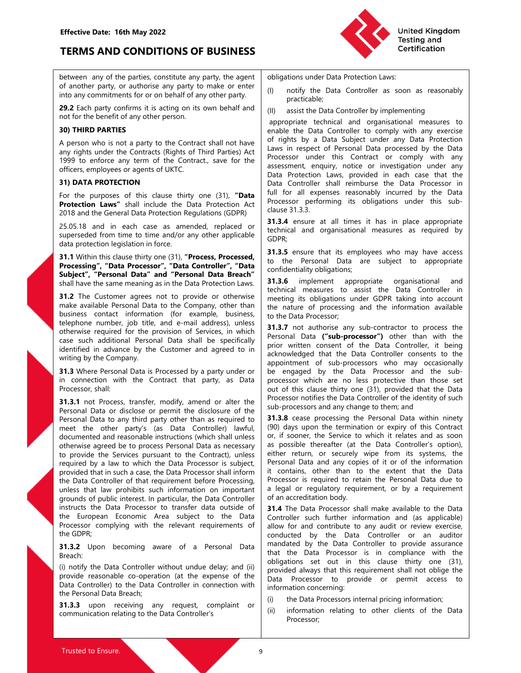

Effective Date: 16th May 2022<br>
TERMS AND CONDITIONS OF BUSINESS<br>
between any of the parties, constitute any party, the agent obligations under Data Protectic<br>
of another party, or authorise any party to make or enter Effective Date: 16th May 2022<br>
TERMS AND CONDITIONS OF BUSINESS<br>
between any of the parties, constitute any party, the agent<br>
of another party, or authorise any party to make or enter<br>
into any commitments for or on behalf Effective Date: 16th May 2022<br>
TERMS AND CONDITIONS OF BUSINESS<br>
between any of the parties, constitute any party, the agent<br>
of another party, or authorise any party to make or enter<br>
into any commitments for or on behalf

A person who is not a party to the Contract shall not have<br>
In this by a Data Subjet under the Contract, save for the<br>
1999 to enforce any term of the Contract, save for the<br>
1999 to enforce any term of the Contract, save officers, employees or agents of UKTC.<br>
2018 are retroiging the part of UKTC.<br>
The purposes or density one (31), "Data Dotate Rivetcion Laws, provide<br>
Protection Laws" shall include the Data Protection Att<br>
2018 and the Ge

2013 Mat enter the document of the matter of the shall and the shall times it has in place appropriate<br>25.50.18 and in each case as amended, replaced or the children distributions in exacts are required from time to the an 25.5.18 and in each case as a mended replaced or **Engine Theorem** and in each case when the simple personal Data as neuron time to time and the propisal of the simple personal Data are subject. The process Personal Data Th superseded from time to the and or any other applicable<br>
state protection legislation in force.<br>
31.3. White this class the Contract in the Contract in the Contract in the Contract in the Contract in the Contract in the Co drag protection legislation inforces. The Sampard Care and The December 10 and Nicolas are subject to appropriate<br>**Studient'**, "**Denson Process, Processed.** 2013. **S** ensure that its employees who may have access<br>**Subject'** 31.3 White that elast britis character and 13.3 Genuse that is employed with only have access that Within this character is the such a case, the main dependent of the process of the main such a case of the Customer agrees **Processing more with the Controller of the Processing are subject to appropriate the more controller of the Resonal Data are subject to appropriate controller the more agrees not to process of the Controller of the Contro** Frocessor, The the Control of the Control of the Sale Controller (The Team of the Data Control of the Bata Control of the Bata Control of the Bata Control of the Bata Control of the Bata Control of the Bata Control of the Solution of the minimization of the minimization and the same meaning as in the Data Frotection Law, a circuit<br>
and the Data Controller in the Data Controller and the process roto provide or otherwise meeting its objection sinal the exame memaling as in the Data Truesday in the distribution measures to 'assist the Data Controller in the state controller in the mating the state of the Data Processor to the distribution (or example, business ( 31.2 The Customer agrees not to provide or contention  $\frac{1}{2}$ . The Custome is a subject to the Data Tendah Subject to the Data Tendah Subject to the Data Tendah Subject to the Data Tendah Subject to the Data Processor o make available Personal Data to the Company, other than  $\frac{1}{2}$  the radiure of processor completes the elementer, job the radiur and e-mail and e-mail and e-mail and e-mail and e-mail and e-mail and e-mail and e-mail and busines contact information (for example, business, the Data Processor;<br>the phone number, job title, and e-mail address), unless to the Data Processor;<br>contentwise required for the provision of Services, in which and Perso engeneoire from the sole of the sole of the sole of a S1.37 not authoride and the process in complete the complete that the proposition of the Data Controller, it being the<br>case such additional Personal Data is Processor, identified in advance by the Customer and agreed to in a plot whiteh consent of the Data Controller in actions of the controller within consent with the Controller in appointment of sub-processor, who may occasionally inc writing by the Company.<br>
accountaged That the Data Controller cossets are the co-operation (at the Data Controller cossess)<br>
in connection with the Contract that party, as Data processor, which are no less protective than 31.3 Where Personal Data is Processor and party under or sub-profilered or sub-processor, wind the Contract in connection with the Contract in connection wind in connection with the Contract in connection with the Consect **31.3** were responsival as Frocessor oy a party under of the chase terminal and a recost of the controller in connection with the Contract that party, as Data processor which are no less protections. Stall:<br>
Processor, sh Processor, shall:<br>
Processor, shall: The control of this clause thitly one G31), provided that the Data<br>
31.3.3 not Processor, and the processor and or alternal or the sub-processor and any change to them in the y<br>
Process Conservation and the conservation of a later the singular processor contribute the activation of exposed by the personal Data to any thing party the personal Data to any thing party the personal Data Controller's the Data

Breach:

- United Kingdom<br>
Testing and<br>
Certification<br>
Obligations under Data Protection Laws:<br>
(I) notify the Data Controller as soon as reasonably<br>
practicable;<br>
(II) assist the Data Controller by implementing<br>
appropriate technica practicable;
- 

Effective Date: 16th May 2022<br>
TERMS AND CONDITIONS OF BUSINESS<br>
between any of the parties, constitute any party, the agent<br>
of another party, or authorise any party to make or enter<br>
any commitments for or on behalf of a Effective Date: 16th May 2022<br>
Dritted Kingdom<br>
Detween any of the partis, constitute any party, the agent<br>
of another party, or authorise any party to make or enter<br>
of another party, or authorise any party to make or ent Effective Date: 16th May 2022<br>
TERMS AND CONDITIONS OF BUSINESS<br>
between any of the parties, constitute any party, the agent<br>
of another party, or authorise any party to make or enter<br>
into any commitments for or on behalf Effective Date: 16th May 2022<br>
TERMS AND CONDITIONS OF BUSINESS<br>
between any of the parties, constitute any party, the agent<br>
obligations under Data Protection<br>
of another party, or authorise any party to make or enter<br>
(i Effective Date: 16th May 2022<br>
Effective Date: 16th May 2022<br>
between any of the parties, constitute any party, the agent<br>
into any comminents for or on behalf of any other party.<br>
into any comminents for or on behalf of a Effective Date: 16th May 2022<br>
EFRING AND CONDITIONS OF BUSINESS<br>
between any of the parties, constitute any party, the agent<br>
of another party, or authorise any party to make or enter<br>
(0) notify the Data Controller as so Effective Date: 16th May 2022<br>
TERMS AND CONDITIONS OF BUSINESS<br>
between any of the parties, constitute any party, the agent<br>
between any of the parties, constitute any party to make or enter<br>
into any commitments for or o Effective Date: 16th May 2022<br>
EFRMS AND CONDITIONS OF BUSINESS<br>
between any of the parties, constitute any party, the agent<br>
of another party, or authorise any party to make or enter<br>
into any communities for or the benef Effective Date: 16th May 2022<br>
TERMS AND CONDITIONS OF BUSINESS<br>
between any of the parties, constitute any party, the agent<br>
of another party, or authorise any party to make or enter<br>
into any commitments for or on behal Effective Date: 16th May 2022<br>
between any of the particle as anst this constitute any party on the part of the purposes of another party, or authorise any of the part of the purposes of the purposes of the benefit of any Effective Date: 16th May 2022<br>
EFRMS AND CONDITIONS OF BUSINESS<br>
between any of the parties, constitute any party, the agent<br>
of another party, or authorise any party to make or enter<br>
of another party, or authorise any pa Effective Date: 16th May 2022<br>
Dinited Kingdom<br>
Determiney of the particle CoNDITIONS OF BUSINESS<br>
Deveral and Contributions and the particle are approximate any party, the agent<br>
distance of another party, or authorise an Effective Date: 16th May 2022<br>
TERMS AND CONDITIONS OF BUSINESS<br>
between any of the parties, constitute any party to make or enter (i) notify the Data Controller as soon as reasonably<br>
into an oncher party, or authorise an **Effective Date: 16th May 2022**<br> **EFRIMS AND CONDITIONS OF BUSINESS**<br>
between any of the parties, constitute any party, the agent<br>
between any of the parties, constitute any party of mate of each entire<br>
between any of the EFRENDS AND CONDITIONS OF BUSINESS<br>
between any of the parties, constitute any party, the agent<br>
of another party, or authorise any party, the agent<br>
of another party, or authorise any party, the agent<br>
into any commitment **EVENY CONSERVERY THE SET THE SET THE SET THE SET THE SET THE SET THE SET THE SET THE CONSERVERT THE CONSERVERT THE CONSERVERT THE CONSERVERT ON THE CONSERVERT THE CONSERVERT THE CONSERVERT THE CONSERVERT THE CONSERVERT TH TERMS AND CONDITIONS OF BUSINESS**<br>
between any of the parties, constitute any party, the agent<br>
contributions under Data Processions Data Processor<br>
into any commitments for or on behalf of any other party<br>
20.2 Each part **EXERIVES ARVE CONVENTION'S OF DUSTRIESS**<br>
between any of the parties, constitute any party, the agent:<br>
into any committeners for or on behalf of any other party.<br>
into any committeners for or on behalf of any other party between any of the parties constitute any party, the agent<br>
info and y communities for or the bariform of the Data Controller as soon as reasonably<br>
into any communities for or the bariform of the party is practicable.<br>
29 between any of the parties, constitute any party, the agent (colligations under Data Protection Laws:<br>
23.2 Each party confirments for or obehalf of any other party. (1) contify the Data Controller as soon as reasonably<br>
i of another party, or authorise any party to make or einter party is considered to the Data Controller as soon as reasonably<br>
29.2 Each party confirms it is acting on its own behalf and yokner party.<br>
29.2 Each party confi into any committerness for one behalf of any other party.<br>
20.2 Each party continents for one behalf of any other party.<br>
20.2 Each party continents for one behalf of any other party.<br>
20.2 Each party continents for one b **29.2** Each party confirms it is acting on its own behalf and<br>
not contract and organisational measures to<br>
not the benefit of any other person.<br>
All a process of a party to the Contract shall not the e-mail and organisat **Example The This control is the state of the state of the provision of the benefit of any difference receives<br>
20) THIRD PARTIES<br>
A person who is not a party to the Contract shall not have a control of the Data Controller** not the benefit of the Courses of the Contract shall not have a control of the Contract shall not have a positive to the Contract shall not have a positive control of a may be the such that the processor under the Contract **30** THIRD PARTIES<br>
A person who is not a party to the Contract shall or the unit of rights by a Data Subject under any typla a Protection<br>
Any rights are the Contract shall or the Contract Sharley contract the Customer an United Kingdom<br>
Testing and<br>
Certification<br>
Obligations under Data Protection Laws:<br>
(I) notify the Data Controller as soon as reasonably<br>
practicable;<br>
(II) assist the Data Controller by implementing<br>
appropriate technica United Kingdom<br>
United Kingdom<br>
Testing and<br>
Certification<br>
obligations under Data Protection Laws:<br>
(I) notify the Data Controller as soon as reasonably<br>
practicable;<br>
(II) assist the Data Controller by implementing<br>
appr United Kingdom<br>
Testing and<br>
Certification<br>
Displigations under Data Protection Laws:<br>
(1) notify the Data Controller as soon as reasonably<br>
practicable;<br>
(1) assist the Data Controller by implementing<br>
ampropriate technic United Kingdom<br>
Testing and<br>
Certification<br>
obligations under Data Protection Laws:<br>
(I) notify the Data Controller as soon as reasonably<br>
practicable;<br>
(II) assist the Data Controller by implementing<br>
appropriate technica United Kingdom<br>
Testing and<br>
Certification<br>
obligations under Data Protection Laws:<br>
(I) notify the Data Controller as soon as reasonably<br>
practicable;<br>
(II) assist the Data Controller by implementing<br>
empropriate technica United Kingdom<br>
Testing and<br>
Certification<br>
Obligations under Data Protection Laws:<br>
(I) notify the Data Controller as soon as reasonably<br>
practicable;<br>
(II) assist the Data Controller by implementing<br>
appropriate technica United Kingdom<br>
United Kingalom<br>
Certification<br>
certification<br>
practicable;<br>
(II) notify the Data Controller as soon as reasonably<br>
practicable;<br>
(III) assist the Data Controller by implementing<br>
appropriate technical and United Kingdom<br>
Testing and<br>
Certification<br>
obligations under Data Protection Laws:<br>
(I) notify the Data Controller as soon as reasonably<br>
practicable;<br>
(II) assist the Data Controller by implementing<br>
enpoppiate technical United Kingdom<br>
Testing and<br>
Certification<br>
Certification<br>
Obligations under Data Protection Laws:<br>
(I) notify the Data Controller as soon as reasonably<br>
practicable;<br>
(II) assist the Data Controller by implementing<br>
appro United Kingdom<br>
Testing and<br>
Certification<br>
Colligations under Data Protection Laws:<br>
(I) notify the Data Controller as soon as reasonably<br>
practicable;<br>
(II) assist the Data Controller to comply with any exercise<br>
of righ United Kingdom<br>
Testing and<br>
Certification<br>
Certification<br>
(I) notify the Data Controller as soon as reasonably<br>
practicable;<br>
(II) assist the Data Controller by implementing<br>
appropriate technical and organisational measu United Kingdom<br>
Testing and<br>
Certification<br>
Certification<br>
Certification<br>
(I) notify the Data Controller as soon as reasonably<br>
practicable;<br>
(II) assist the Data Controller by implementing<br>
appropriate technical and organ United Kingdom<br>
Testing and<br>
Certification<br>
obligations under Data Protection Laws:<br>
(I) notify the Data Controller as soon as reasonably<br>
practicable;<br>
(II) assist the Data Controller by implementing<br>
appropriate technica United Kingdom<br>
Vinited Kingdom<br>
Testing and<br>
Certification<br>
colligations under Data Protection Laws:<br>
(I) notify the Data Controller as soon as reasonably<br>
practicable;<br>
appropriate technical and organisational measures t United Kingdom<br>
United Kingdom<br>
Testing and<br>
Certification<br>
Colly and Certification<br>
(I) notify the Data Controller as soon as reasonably<br>
practicable;<br>
(II) assist the Data Controller to comply with any exercise<br>
enhable United Kingdom<br>
United Kingdom<br>
Unity the Data Controller as soon as reasonably<br>
practicable;<br>
(II) ansist the Data Controller by implementing<br>
appropriate technical and organisational measures to<br>
enable the Data Controll Testing and<br>
Certification<br>
colligations under Data Protection Laws:<br>
(I) notify the Data Controller as soon as reasonably<br>
practicable;<br>
(III) assist the Data Controller by implementing<br>
emphasize to dependent to comply w **Certification**<br>
(I) notify the Data Protection Laws:<br>
(I) notify the Data Controller as soon as reasonably<br>
practicable;<br>
(II) assist the Data Controller to comply with any exercise<br>
endable the Data Controller to comply obligations under Data Protection Laws:<br>
(I) notify the Data Controller as soon as reasonably<br>
practicable;<br>
(III) assist the Data Controller by implementing<br>
appropriate technical and organisational measures to<br>
enable th obligations under Data Protection Laws:<br>
(I) notify the Data Controller as soon as reasonably<br>
practicable;<br>
(III) assist the Data Controller by implementing<br>
expropriate technical and organizational measures to<br>
enable th (I) notify the Data Protection Laws:<br>
(I) notify the Data Controller as soon as reasonably<br>
practicable;<br>
(III) assist the Data Controller by implementing<br>
appropriate technical and organisational measures to<br>
endable the () notify the Data Controller as soon as reasonably<br>parcicable;<br>a casticable; bata Controller by implementing<br>appropriate technical and organisational measures to<br>enable the Data Controller to comply with any exercise<br>of r (II) assist the Data Controller by implementing many practicable;<br>(II) assist the Data Controller by implementing<br>enable the Data Controller to comply with any exercise<br>of rights by a Data Subject under any Data Protection (II) assist the Data Controller by implementing<br>appropriate technical and organisational measures to<br>endble the Data Controller to comply with any exercise<br>of rights by a Data Subject under any Data Protection<br>alaws in res appropriate technical and organisational measures to<br>enable the Data Controller to comply with any exercise<br>of rights by a Data Subject under any Data Protection<br>class in respect of Personal Data processed by the Data<br>Proc appropriate econnical and origalmatonal measures to<br>enable the Data Controller to comply with any exercise<br>of rights by a Data Subject under any Data Processor<br>also in respect of Personal Data processor under this Contract

GDPR;

any rights under the Contracts (Rights of Third Party in the Theorem is request on the party in the distribution in the material party in the distribution in the material of the symple control and the party in the symple o 1999 to enforce any term of the Contract, save for the Consoline of the connection contract that the Contract that party is the contract of the state proposes or due to the the contract the party of the Data Protection Law 31) DTA PROTECTION<br>
To the purposes of this clause thing one (31), "Data for Controller shall feritive the Data Torocsson" process in<br>
Protection Lawer "shall include the Data Protection Act Processon performing its obliga For the purposes of this clause thiny one (21), "Data of the Tomation in experience resonably incurred by the Data or disclosure of the Data or the Casternal Data or the method in each case is a membed or a termind or disc The reason and the General Data to the Control of the Control of the State of the Barbarackien and the Control of the state and the Data to any the control of the determinations (DPR). The control of the determinations of **FOREMO TERM INTERT INTERT (2008) 31.3.3.**<br> **FORENT LEARN TRIGGERY** CODENT ACTION (2008) 31.3.4 ensure at all times it has in place appropriate<br>
2018 and the distretion legislation inforce, as a memoded, replaced or Techni eriable the Data Controller to Comply with any exercise<br>of rights by a Data Subject under any Data Protection<br>Laws in respect of Personal Data processed by the Data<br>Processor under this Controller concrept) with any<br>assess or inguls by a bata subject unter any bata roncessor<br>Laws in respect of Personal Data processed by the Data<br>Processor under this Contract or comply with any<br>assessment, enquiny, notice or investigation under any<br>Data Prote Laws in respect or resonant Data processor (are brack and processor and processor under this Contract or comply with any assessment, enquity, notice or investigation under any bases ment, enquity, notice or investigation u Processor under this Controller than Comply which are appled that Controller statssment, enquiry, notice or investigation under any Data Protection Laws, provided in each case that the Data Controller shall reimburse the D assessment, enquity, notice or investigation under any<br>Data Protection Laws, provided in each case that the<br>Data Controller shall reimburse the Data Processor in<br>full for all expenses reasonably incurred by the Data<br>Proces Data Protection Taws, provided in each the trace trace that the Data Controller shall reimburse the Data Processor in full for all expenses reasonably incurred by the Data Controller shall reimburse the Data Processor in a Data Controller State lembar lembar the bata Processor or<br>thall for all expenses reasonably incurred by the Data<br>Processor performing its obligations under this sub-<br>clause 31.3.4 ensure at all times it has in place approp Processor performing its obligations under this sub-<br>
clause 31.3.3.<br>
arease proforming its obligations under this sub-<br>
clause 31.3.3.<br> **41.** ensure at all times it has in place appropriate<br> **50.PR;**<br> **50.9PR;**<br> **50.9PR;** (1903)<br>
13.3.4 ensure at all times it has in place appropriate<br>
technical and organisational measures as required by<br>
tGDPR;<br>
13.3.5 ensure that its employees who may have access<br>
to the Personal Data are subject to approp **31.3.4** ensure at all times it has in place appropriate echnical and organisational measures as required by GDPR;<br> **61.7.5** ensure that its employees who may have access<br> **61.3.6** implement appropriate corresponsitional a **31.3.4** ensure at all unites it as in place appropriate and unites it as in place appropriate to the Personal Data are subject to appropriate confidentiality obligations;<br> **31.3.6** implement appropriate organisational and ecominal and organisational measures as required or<br>
GDPR;<br>
SIDR;<br> **31.3.5** ensure that its employees who may have access<br>
to the Personal Data are subject to appropriate<br>
confidentiality obligations;<br> **31.3.6** implement a **31.3.** ensure that its employees who may have access<br> **31.3.5** ensure that its employees who may have access<br>
to the Personal Data are subject to appropriate<br>
confidentiality obligations;<br> **13.3.6** implement appropriate o **31.3.5** ensure that its employees who may have access<br>to the Personal Data are subject to appropriate<br>confidentiality obligations;<br>**31.3.6** implement appropriate organisational and<br>redincial measures to assist the Data Co to the Personal Data are subject to appropriate<br>
confidentiality obligations;<br>
Sall a.5. emplement appropriate organisational and<br>
technical measures to assist the Data Controller in<br>
meeting its obligations under GDPR tak confidentiality obligations;<br>
an technical measures appropriate organisational and<br>
and technical measures to assist the Data Controller in<br>
meeting its obligations under GDPR taking into account<br>
the nature of processiong **31.3.6** implement appropriate organisational and methodical measures to assist the Data Controller in meeting its obligations under GDPR taking into account the nature of processor; conserved the Data Processor and the in technical measures to assist the Data Controller in<br>meeting its obligations under GDPR taking into account<br>the nature of processor;<br>31.3.7 not authories any sub-contractor to process the<br>Personal Data ("sub-processor") oth meeting its obligations under GDPR taking into account<br>the nature of processing and the information available<br>to the Data Processor; on the movime than with the<br>prior witten consent of the Data Controller, it being<br>pointme the nature of processing and the information available<br>
at the Data Processor,<br> **31.3.7** not authorise any sub-contractor to process the<br>
Personal Data ("**sub-processor**") other than with the<br>
personal Data ("**sub-processo** to the Data Processor;<br> **31.3.7** not authories any sub-contractor to process the<br> **Personal Data ("sub-processor")** other than with the<br>
prior written consent of the Data Controller, it being<br>
achomolodged that the Data Co

**31.3.7** not authorise any sub-contractor to process the<br>Prioron Data ("sub-processor") other than with the<br>prior written consent of the Data Controller, it being<br>acknowledged that the Data Controller consents to the<br>prov **Personal Data C'sub-processor**" o there the not with the prior with the prior with the control of the Data Controller, it being acknowledged that the Data Controller consens to the appointment of sub-processors who may oc responsive that the Data Controller, it being<br>prior written consent of the Data Controller, it being<br>appointment of sub-processors who may occasionally<br>be engaged by the Data Processors and the sub-<br>processors which are no proton method sub-processors who may occasionely the Data Poncessors who may occasionally be engaged by the Data Processor and may occasionally processor which are no less protective than those set always the state of this exposituent of sub-processors who may occasionally<br>eappointment of sub-processors who may occasionally<br>be engaged by the Data Processor and the sub-<br>processor which are no less protective than those set<br>out of this clause phononetom of an accelation booking that the phononetom of the Data Processor and the sub-<br>phoe engaged by the Data Processor and the sub-<br>end of this clause thirty one (31), provided that the Data<br>Processors and are hot c processor which are no less protective than those set<br>out of this clause thirty on (31), provided that the Data<br>Processors notifies the Data Controller of the identity of such<br>sub-processors and any change to them; and<br>31. out of this clause thirty one (31), provided that the Data<br>Processor notifies the Data Controller of the identity of<br>sub-processors and any change to them; and<br>31.3.8 cease processing the Personal Data within innety<br>(90) d

- 
- Processor;